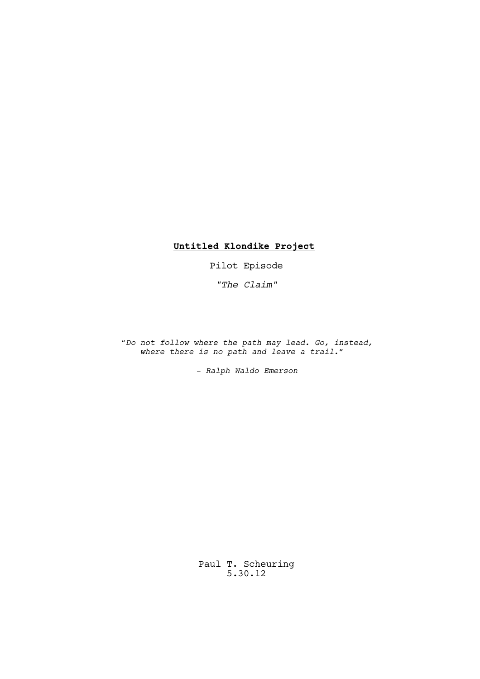# **Untitled Klondike Project**

Pilot Episode

*"The Claim"*

*"Do not follow where the path may lead. Go, instead, where there is no path and leave a trail."* 

*- Ralph Waldo Emerson*

Paul T. Scheuring 5.30.12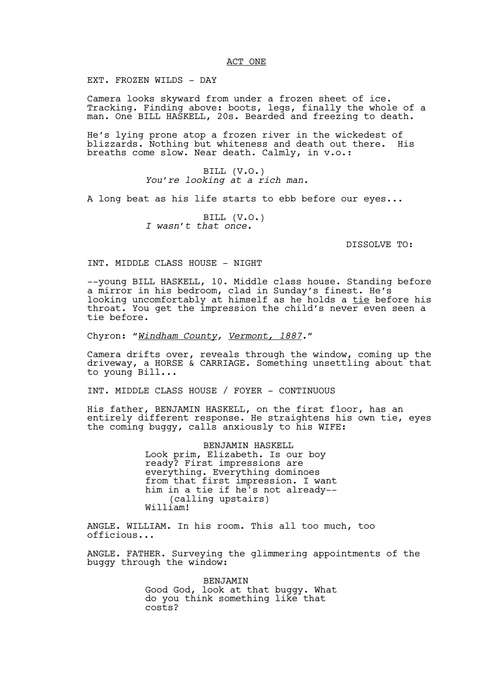#### ACT ONE

EXT. FROZEN WILDS - DAY

Camera looks skyward from under a frozen sheet of ice. Tracking. Finding above: boots, legs, finally the whole of a man. One BILL HASKELL, 20s. Bearded and freezing to death.

He's lying prone atop a frozen river in the wickedest of blizzards. Nothing but whiteness and death out there. His breaths come slow. Near death. Calmly, in v.o.:

> BILL (V.O.) *You're looking at a rich man.*

A long beat as his life starts to ebb before our eyes...

BILL (V.O.) *I wasn't that once.*

DISSOLVE TO:

INT. MIDDLE CLASS HOUSE - NIGHT

--young BILL HASKELL, 10. Middle class house. Standing before a mirror in his bedroom, clad in Sunday's finest. He's looking uncomfortably at himself as he holds a <u>tie</u> before his throat. You get the impression the child's never even seen a tie before.

Chyron: "*Windham County, Vermont, 1887*."

Camera drifts over, reveals through the window, coming up the driveway, a HORSE & CARRIAGE. Something unsettling about that to young Bill...

INT. MIDDLE CLASS HOUSE / FOYER - CONTINUOUS

His father, BENJAMIN HASKELL, on the first floor, has an entirely different response. He straightens his own tie, eyes the coming buggy, calls anxiously to his WIFE:

> BENJAMIN HASKELL Look prim, Elizabeth. Is our boy ready? First impressions are everything. Everything dominoes from that first impression. I want him in a tie if he's not already-- (calling upstairs) William!

ANGLE. WILLIAM. In his room. This all too much, too officious...

ANGLE. FATHER. Surveying the glimmering appointments of the buggy through the window:

> BENJAMIN Good God, look at that buggy. What do you think something like that costs?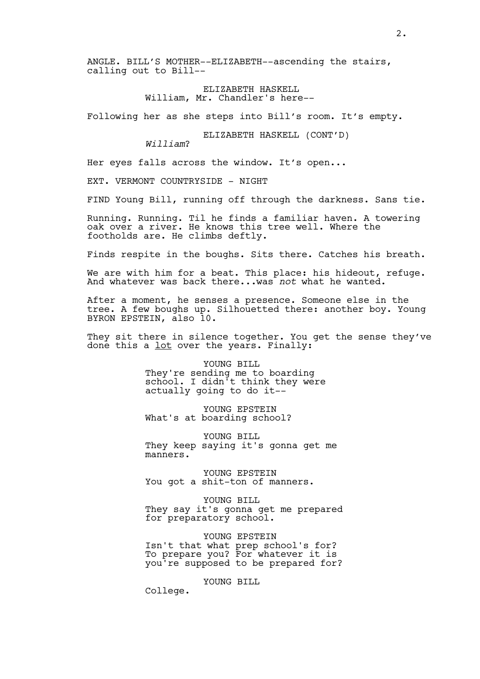ANGLE. BILL'S MOTHER--ELIZABETH--ascending the stairs, calling out to Bill--

> ELIZABETH HASKELL William, Mr. Chandler's here--

Following her as she steps into Bill's room. It's empty.

ELIZABETH HASKELL (CONT'D)

*William*?

Her eyes falls across the window. It's open...

EXT. VERMONT COUNTRYSIDE - NIGHT

FIND Young Bill, running off through the darkness. Sans tie.

Running. Running. Til he finds a familiar haven. A towering oak over a river. He knows this tree well. Where the footholds are. He climbs deftly.

Finds respite in the boughs. Sits there. Catches his breath.

We are with him for a beat. This place: his hideout, refuge. And whatever was back there...was *not* what he wanted.

After a moment, he senses a presence. Someone else in the tree. A few boughs up. Silhouetted there: another boy. Young BYRON EPSTEIN, also 10.

They sit there in silence together. You get the sense they've done this a lot over the years. Finally:

> YOUNG BILL They're sending me to boarding school. I didn't think they were actually going to do it--

YOUNG EPSTEIN What's at boarding school?

YOUNG BILL They keep saying it's gonna get me manners.

YOUNG EPSTEIN You got a shit-ton of manners.

YOUNG BILL They say it's gonna get me prepared for preparatory school.

YOUNG EPSTEIN Isn't that what prep school's for? To prepare you? For whatever it is you're supposed to be prepared for?

YOUNG BILL

College.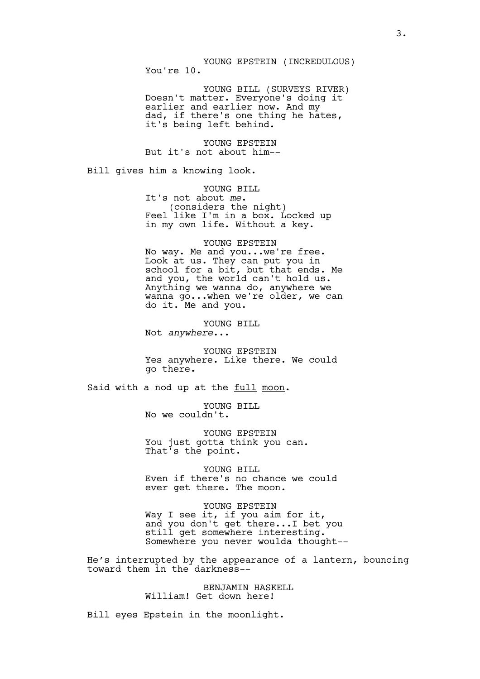YOUNG EPSTEIN (INCREDULOUS) You're 10.

YOUNG BILL (SURVEYS RIVER) Doesn't matter. Everyone's doing it earlier and earlier now. And my dad, if there's one thing he hates, it's being left behind.

YOUNG EPSTEIN But it's not about him--

Bill gives him a knowing look.

YOUNG BILL<br>It's not about me. (considers the night) Feel like I'm in a box. Locked up in my own life. Without a key.

### YOUNG EPSTEIN

No way. Me and you...we're free. Look at us. They can put you in school for a bit, but that ends. Me and you, the world can't hold us. Anything we wanna do, anywhere we wanna go...when we're older, we can do it. Me and you.

YOUNG BILL

Not *anywhere*...

YOUNG EPSTEIN Yes anywhere. Like there. We could go there.

Said with a nod up at the full moon.

YOUNG BILL No we couldn't.

YOUNG EPSTEIN You just gotta think you can. That's the point.

YOUNG BILL Even if there's no chance we could ever get there. The moon.

YOUNG EPSTEIN Way I see it, if you aim for it, and you don't get there... I bet you still get somewhere interesting. Somewhere you never woulda thought--

He's interrupted by the appearance of a lantern, bouncing toward them in the darkness--

> BENJAMIN HASKELL William! Get down here!

Bill eyes Epstein in the moonlight.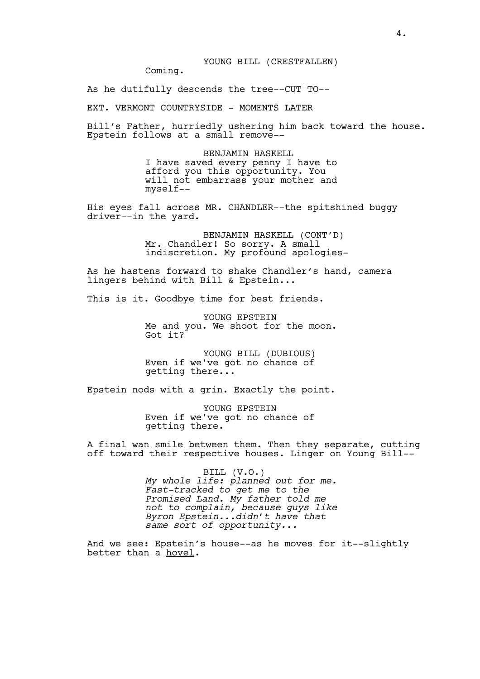Coming.

As he dutifully descends the tree--CUT TO--

EXT. VERMONT COUNTRYSIDE - MOMENTS LATER

Bill's Father, hurriedly ushering him back toward the house. Epstein follows at a small remove--

> BENJAMIN HASKELL I have saved every penny I have to afford you this opportunity. You will not embarrass your mother and myself--

His eyes fall across MR. CHANDLER--the spitshined buggy driver--in the yard.

> BENJAMIN HASKELL (CONT'D) Mr. Chandler! So sorry. A small indiscretion. My profound apologies-

As he hastens forward to shake Chandler's hand, camera lingers behind with Bill & Epstein...

This is it. Goodbye time for best friends.

YOUNG EPSTEIN Me and you. We shoot for the moon. Got it?

YOUNG BILL (DUBIOUS) Even if we've got no chance of getting there...

Epstein nods with a grin. Exactly the point.

YOUNG EPSTEIN Even if we've got no chance of getting there.

A final wan smile between them. Then they separate, cutting off toward their respective houses. Linger on Young Bill--

> BILL (V.O.) *My whole life: planned out for me. Fast-tracked to get me to the Promised Land. My father told me not to complain, because guys like Byron Epstein...didn't have that same sort of opportunity...*

And we see: Epstein's house--as he moves for it--slightly better than a hovel.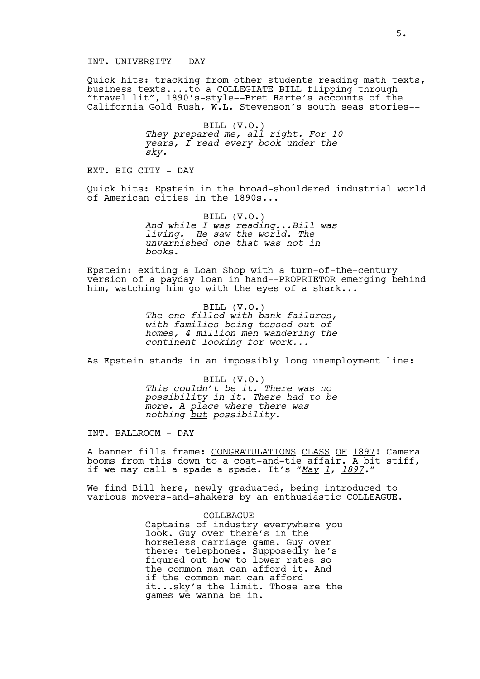INT. UNIVERSITY - DAY

Quick hits: tracking from other students reading math texts, business texts....to a COLLEGIATE BILL flipping through "travel lit", 1890's-style--Bret Harte's accounts of the California Gold Rush, W.L. Stevenson's south seas stories--

> BILL (V.O.) *They prepared me, all right. For 10 years, I read every book under the sky.*

EXT. BIG CITY - DAY

Quick hits: Epstein in the broad-shouldered industrial world of American cities in the 1890s...

> BILL (V.O.) *And while I was reading...Bill was living. He saw the world. The unvarnished one that was not in books.*

Epstein: exiting a Loan Shop with a turn-of-the-century version of a payday loan in hand--PROPRIETOR emerging behind him, watching him go with the eyes of a shark...

> BILL (V.O.) *The one filled with bank failures, with families being tossed out of homes, 4 million men wandering the continent looking for work...*

As Epstein stands in an impossibly long unemployment line:

BILL (V.O.) *This couldn't be it. There was no possibility in it. There had to be more. A place where there was nothing but possibility.*

INT. BALLROOM - DAY

A banner fills frame: CONGRATULATIONS CLASS OF 1897! Camera booms from this down to a coat-and-tie affair. A bit stiff, if we may call a spade a spade. It's *"May 1, 1897.*"

We find Bill here, newly graduated, being introduced to various movers-and-shakers by an enthusiastic COLLEAGUE.

> COLLEAGUE Captains of industry everywhere you look. Guy over there's in the horseless carriage game. Guy over there: telephones. Supposedly he's figured out how to lower rates so the common man can afford it. And if the common man can afford it...sky's the limit. Those are the games we wanna be in.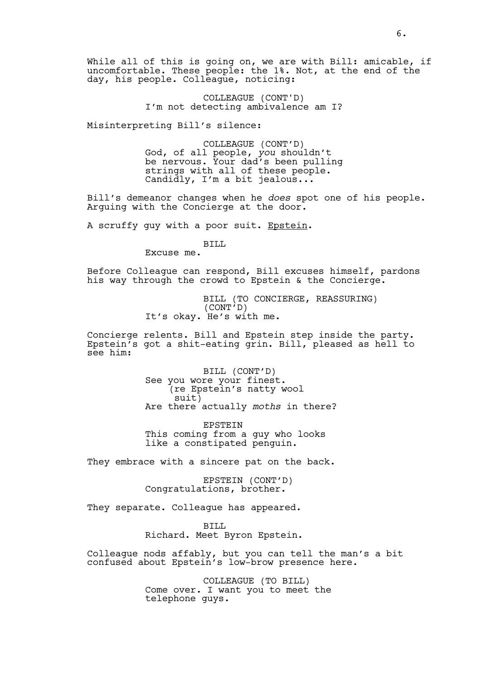While all of this is going on, we are with Bill: amicable, if uncomfortable. These people: the 1%. Not, at the end of the day, his people. Colleague, noticing:

> COLLEAGUE (CONT'D) I'm not detecting ambivalence am I?

Misinterpreting Bill's silence:

COLLEAGUE (CONT'D) God, of all people, *you* shouldn't be nervous. Your dad's been pulling strings with all of these people. Candidly, I'm a bit jealous...

Bill's demeanor changes when he *does* spot one of his people. Arguing with the Concierge at the door.

A scruffy guy with a poor suit. Epstein.

BILL

Excuse me.

Before Colleague can respond, Bill excuses himself, pardons his way through the crowd to Epstein & the Concierge.

> BILL (TO CONCIERGE, REASSURING)  $(CONT'D)$ It's okay. He's with me.

Concierge relents. Bill and Epstein step inside the party. Epstein's got a shit-eating grin. Bill, pleased as hell to see him:

> BILL (CONT'D) See you wore your finest. (re Epstein's natty wool suit) Are there actually *moths* in there?

EPSTEIN This coming from a guy who looks like a constipated penguin.

They embrace with a sincere pat on the back.

EPSTEIN (CONT'D) Congratulations, brother.

They separate. Colleague has appeared.

BILL Richard. Meet Byron Epstein.

Colleague nods affably, but you can tell the man's a bit confused about Epstein's low-brow presence here.

> COLLEAGUE (TO BILL) Come over. I want you to meet the telephone guys.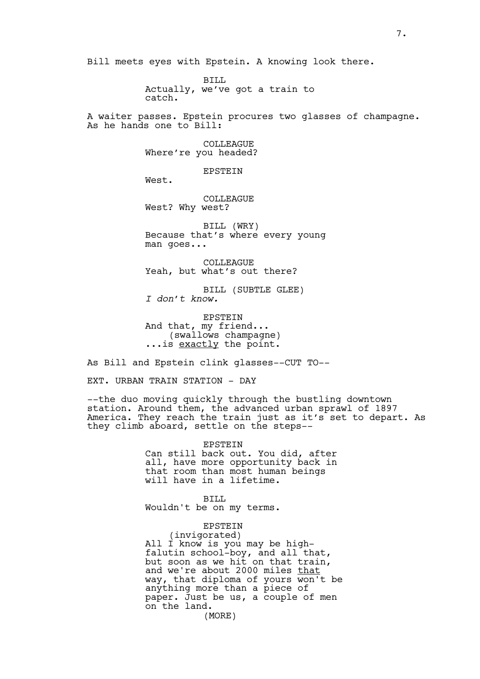Bill meets eyes with Epstein. A knowing look there.

BILL Actually, we've got a train to catch.

A waiter passes. Epstein procures two glasses of champagne. As he hands one to Bill:

> COLLEAGUE Where're you headed?

> > EPSTEIN

West.

COLLEAGUE West? Why west?

BILL (WRY) Because that's where every young man goes...

COLLEAGUE Yeah, but what's out there?

BILL (SUBTLE GLEE) *I don't know.*

**EPSTEIN** And that, my friend... (swallows champagne) ...is exactly the point.

As Bill and Epstein clink glasses--CUT TO--

EXT. URBAN TRAIN STATION - DAY

--the duo moving quickly through the bustling downtown station. Around them, the advanced urban sprawl of 1897 America. They reach the train just as it's set to depart. As they climb aboard, settle on the steps--

> EPSTEIN Can still back out. You did, after all, have more opportunity back in that room than most human beings will have in a lifetime.

BILL Wouldn't be on my terms.

EPSTEIN

(invigorated) All I know is you may be highfalutin school-boy, and all that, but soon as we hit on that train, and we're about 2000 miles that way, that diploma of yours won't be anything more than a piece of paper. Just be us, a couple of men on the land. (MORE)

7.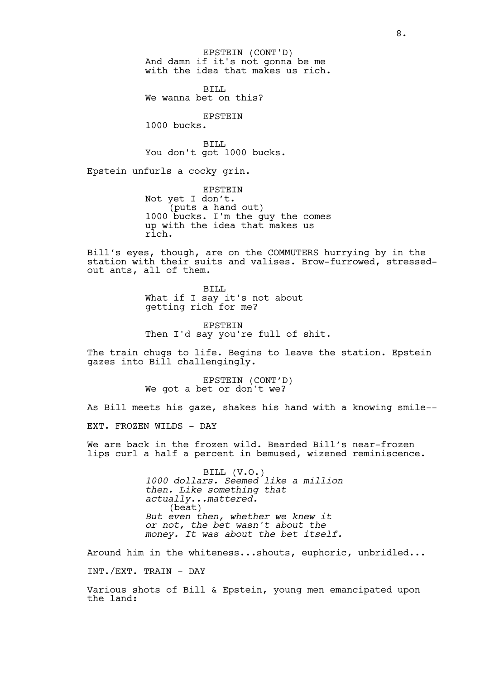And damn if it's not gonna be me with the idea that makes us rich. EPSTEIN (CONT'D)

RTT.T. We wanna bet on this?

EPSTEIN

1000 bucks.

BILL You don't got 1000 bucks.

Epstein unfurls a cocky grin.

EPSTEIN Not yet I don't. (puts a hand out) 1000 bucks. I'm the guy the comes up with the idea that makes us rich.

Bill's eyes, though, are on the COMMUTERS hurrying by in the station with their suits and valises. Brow-furrowed, stressedout ants, all of them.

> BILL What if I say it's not about getting rich for me?

EPSTEIN Then I'd say you're full of shit.

The train chugs to life. Begins to leave the station. Epstein gazes into Bill challengingly.

> EPSTEIN (CONT'D) We got a bet or don't we?

As Bill meets his gaze, shakes his hand with a knowing smile--

EXT. FROZEN WILDS - DAY

We are back in the frozen wild. Bearded Bill's near-frozen lips curl a half a percent in bemused, wizened reminiscence.

> BILL (V.O.) *1000 dollars. Seemed like a million then. Like something that actually...mattered.* (beat) *But even then, whether we knew it or not, the bet wasn't about the money. It was about the bet itself.*

Around him in the whiteness...shouts, euphoric, unbridled...

INT./EXT. TRAIN - DAY

Various shots of Bill & Epstein, young men emancipated upon the land: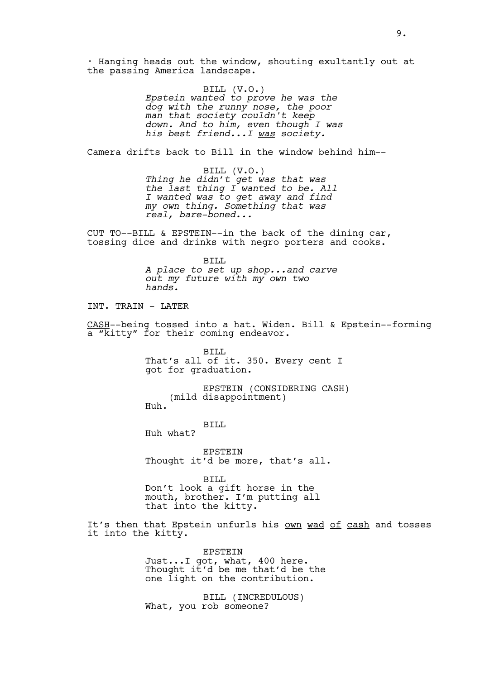• Hanging heads out the window, shouting exultantly out at the passing America landscape.

> BILL (V.O.) *Epstein wanted to prove he was the dog with the runny nose, the poor man that society couldn't keep down. And to him, even though I was his best friend...I was society.*

Camera drifts back to Bill in the window behind him--

BILL (V.O.) *Thing he didn't get was that was the last thing I wanted to be. All I wanted was to get away and find my own thing. Something that was real, bare-boned...*

CUT TO--BILL & EPSTEIN--in the back of the dining car, tossing dice and drinks with negro porters and cooks.

> BILL. *A place to set up shop...and carve out my future with my own two hands.*

INT. TRAIN - LATER

CASH--being tossed into a hat. Widen. Bill & Epstein--forming a "kitty" for their coming endeavor.

> BILL That's all of it. 350. Every cent I got for graduation.

EPSTEIN (CONSIDERING CASH) (mild disappointment) Huh.

BILL Huh what?

EPSTEIN Thought it'd be more, that's all.

BILL Don't look a gift horse in the mouth, brother. I'm putting all that into the kitty.

It's then that Epstein unfurls his own wad of cash and tosses it into the kitty.

> EPSTEIN Just...I got, what, 400 here. Thought it'd be me that'd be the one light on the contribution.

BILL (INCREDULOUS) What, you rob someone?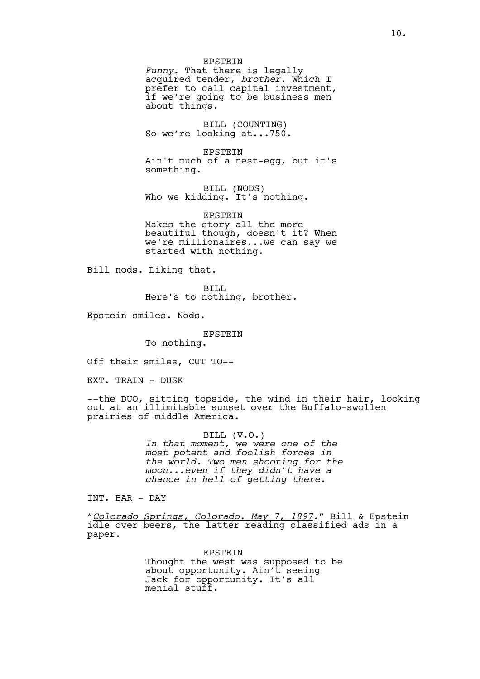#### EPSTEIN

*Funny*. That there is legally acquired tender, *brother*. Which I prefer to call capital investment, if we're going to be business men about things.

BILL (COUNTING) So we're looking at...750.

EPSTEIN Ain't much of a nest-egg, but it's something.

BILL (NODS) Who we kidding. It's nothing.

EPSTEIN Makes the story all the more beautiful though, doesn't it? When we're millionaires...we can say we started with nothing.

Bill nods. Liking that.

BILL. Here's to nothing, brother.

Epstein smiles. Nods.

EPSTEIN

To nothing.

Off their smiles, CUT TO--

EXT. TRAIN - DUSK

--the DUO, sitting topside, the wind in their hair, looking out at an illimitable sunset over the Buffalo-swollen prairies of middle America.

> BILL (V.O.) *In that moment, we were one of the most potent and foolish forces in the world. Two men shooting for the moon...even if they didn't have a chance in hell of getting there.*

INT. BAR - DAY

*"Colorado Springs, Colorado. May 7, 1897."* Bill & Epstein idle over beers, the latter reading classified ads in a paper.

> EPSTEIN Thought the west was supposed to be about opportunity. Ain't seeing Jack for opportunity. It's all menial stuff.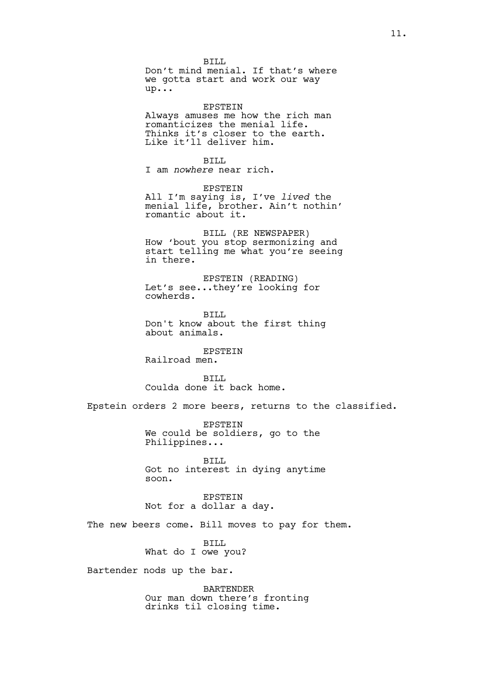BILL Don't mind menial. If that's where we gotta start and work our way up...

#### EPSTEIN

Always amuses me how the rich man romanticizes the menial life. Thinks it's closer to the earth. Like it'll deliver him.

BILL I am *nowhere* near rich.

EPSTEIN All I'm saying is, I've *lived* the menial life, brother. Ain't nothin' romantic about it.

BILL (RE NEWSPAPER) How 'bout you stop sermonizing and start telling me what you're seeing in there.

EPSTEIN (READING) Let's see...they're looking for cowherds.

BILL Don't know about the first thing about animals.

**EPSTEIN** Railroad men.

BILL. Coulda done it back home.

Epstein orders 2 more beers, returns to the classified.

EPSTEIN We could be soldiers, go to the Philippines...

BILL Got no interest in dying anytime soon.

EPSTEIN Not for a dollar a day.

The new beers come. Bill moves to pay for them.

BILL What do I owe you?

Bartender nods up the bar.

BARTENDER Our man down there's fronting drinks til closing time.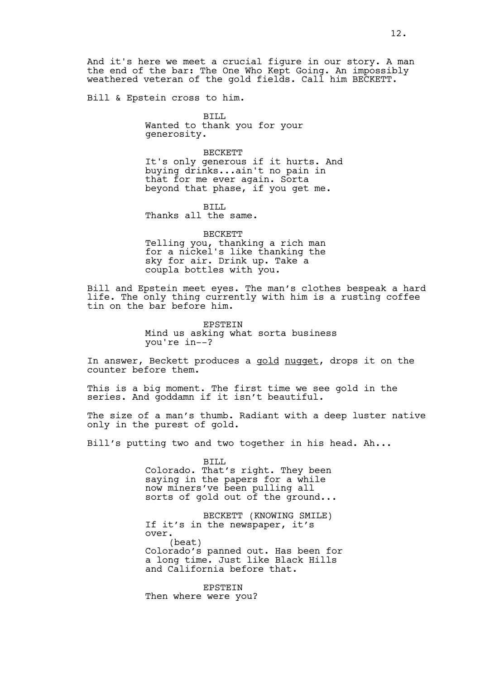And it's here we meet a crucial figure in our story. A man the end of the bar: The One Who Kept Going. An impossibly weathered veteran of the gold fields. Call him BECKETT.

Bill & Epstein cross to him.

BILL Wanted to thank you for your generosity.

BECKETT It's only generous if it hurts. And buying drinks...ain't no pain in that for me ever again. Sorta beyond that phase, if you get me.

BILL Thanks all the same.

BECKETT

Telling you, thanking a rich man for a nickel's like thanking the sky for air. Drink up. Take a coupla bottles with you.

Bill and Epstein meet eyes. The man's clothes bespeak a hard life. The only thing currently with him is a rusting coffee tin on the bar before him.

> EPSTEIN Mind us asking what sorta business you're in--?

In answer, Beckett produces a gold nugget, drops it on the counter before them.

This is a big moment. The first time we see gold in the series. And goddamn if it isn't beautiful.

The size of a man's thumb. Radiant with a deep luster native only in the purest of gold.

Bill's putting two and two together in his head. Ah...

BILL Colorado. That's right. They been saying in the papers for a while now miners've been pulling all sorts of gold out of the ground...

BECKETT (KNOWING SMILE) If it's in the newspaper, it's over. (beat) Colorado's panned out. Has been for a long time. Just like Black Hills and California before that.

**EPSTEIN** Then where were you?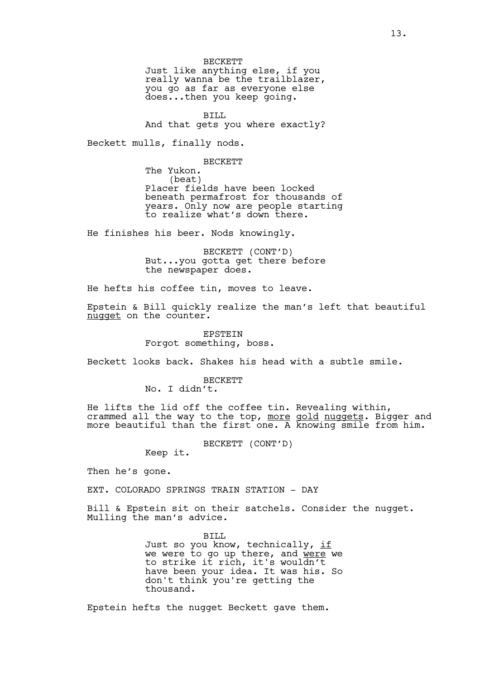**BECKETT** Just like anything else, if you really wanna be the trailblazer, you go as far as everyone else does...then you keep going.

BILL

And that gets you where exactly?

Beckett mulls, finally nods.

BECKETT

The Yukon. (beat) Placer fields have been locked beneath permafrost for thousands of years. Only now are people starting to realize what's down there.

He finishes his beer. Nods knowingly.

BECKETT (CONT'D) But...you gotta get there before the newspaper does.

He hefts his coffee tin, moves to leave.

Epstein & Bill quickly realize the man's left that beautiful nugget on the counter.

> EPSTEIN Forgot something, boss.

Beckett looks back. Shakes his head with a subtle smile.

BECKETT No. I didn't.

He lifts the lid off the coffee tin. Revealing within, crammed all the way to the top, more gold nuggets. Bigger and more beautiful than the first one. A knowing smile from him.

BECKETT (CONT'D)

Keep it.

Then he's gone.

EXT. COLORADO SPRINGS TRAIN STATION - DAY

Bill & Epstein sit on their satchels. Consider the nugget. Mulling the man's advice.

> BILL Just so you know, technically, <u>if</u> we were to go up there, and were we to strike it rich, it's wouldn't have been your idea. It was his. So don't think you're getting the thousand.

Epstein hefts the nugget Beckett gave them.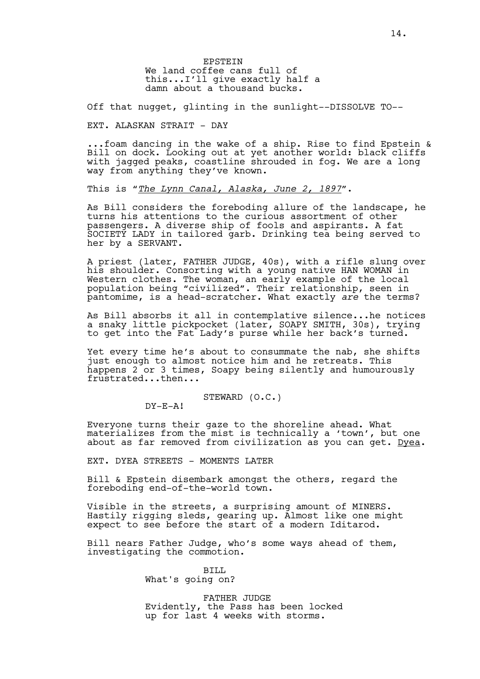EPSTEIN We land coffee cans full of this...I'll give exactly half a damn about a thousand bucks.

Off that nugget, glinting in the sunlight--DISSOLVE TO--

EXT. ALASKAN STRAIT - DAY

.foam dancing in the wake of a ship. Rise to find Epstein & Bill on dock. Looking out at yet another world: black cliffs with jagged peaks, coastline shrouded in fog. We are a long way from anything they've known.

This is *"The Lynn Canal, Alaska, June 2, 1897"*.

As Bill considers the foreboding allure of the landscape, he turns his attentions to the curious assortment of other passengers. A diverse ship of fools and aspirants. A fat SOCIETY LADY in tailored garb. Drinking tea being served to her by a SERVANT.

A priest (later, FATHER JUDGE, 40s), with a rifle slung over his shoulder. Consorting with a young native HAN WOMAN in Western clothes. The woman, an early example of the local population being "civilized". Their relationship, seen in pantomime, is a head-scratcher. What exactly *are* the terms?

As Bill absorbs it all in contemplative silence...he notices a snaky little pickpocket (later, SOAPY SMITH, 30s), trying to get into the Fat Lady's purse while her back's turned.

Yet every time he's about to consummate the nab, she shifts just enough to almost notice him and he retreats. This happens 2 or 3 times, Soapy being silently and humourously frustrated...then...

STEWARD (O.C.)

DY-E-A!

Everyone turns their gaze to the shoreline ahead. What materializes from the mist is technically a 'town', but one about as far removed from civilization as you can get. Dyea.

EXT. DYEA STREETS - MOMENTS LATER

Bill & Epstein disembark amongst the others, regard the foreboding end-of-the-world town.

Visible in the streets, a surprising amount of MINERS. Hastily rigging sleds, gearing up. Almost like one might expect to see before the start of a modern Iditarod.

Bill nears Father Judge, who's some ways ahead of them, investigating the commotion.

> BILL. What's going on?

FATHER JUDGE Evidently, the Pass has been locked up for last 4 weeks with storms.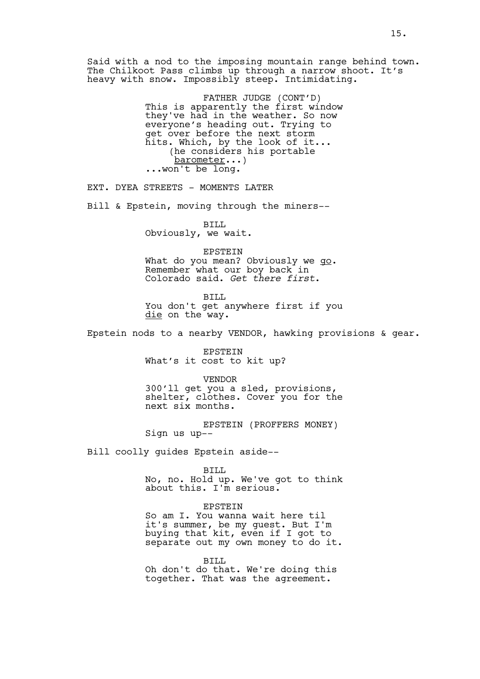Said with a nod to the imposing mountain range behind town. The Chilkoot Pass climbs up through a narrow shoot. It's heavy with snow. Impossibly steep. Intimidating.

> FATHER JUDGE (CONT'D) This is apparently the first window they've had in the weather. So now everyone's heading out. Trying to get over before the next storm hits. Which, by the look of it... (he considers his portable barometer...) ...won't be long.

EXT. DYEA STREETS - MOMENTS LATER

Bill & Epstein, moving through the miners--

BILL Obviously, we wait.

EPSTEIN What do you mean? Obviously we go.<br>Remember what our boy back in Colorado said. *Get there first*.

BILL. You don't get anywhere first if you die on the way.

Epstein nods to a nearby VENDOR, hawking provisions & gear.

EPSTEIN What's it cost to kit up?

VENDOR 300'll get you a sled, provisions, shelter, clothes. Cover you for the next six months.

EPSTEIN (PROFFERS MONEY) Sign us up--

Bill coolly guides Epstein aside--

BILL

No, no. Hold up. We've got to think about this. I'm serious.

#### EPSTEIN

So am I. You wanna wait here til it's summer, be my guest. But I'm buying that kit, even if I got to separate out my own money to do it.

BILL

Oh don't do that. We're doing this together. That was the agreement.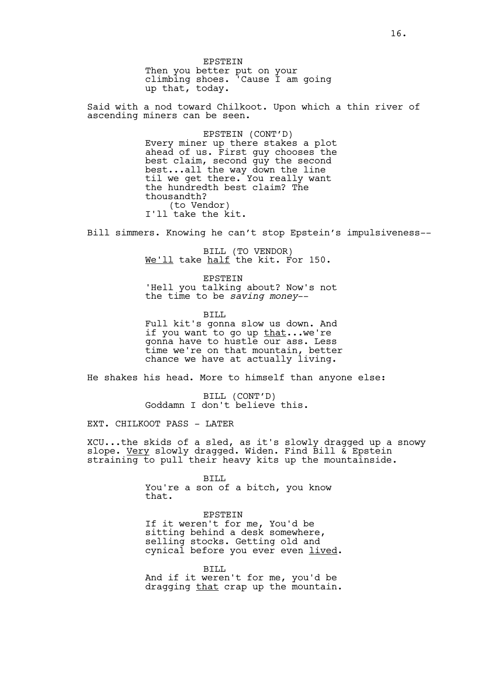EPSTEIN Then you better put on your climbing shoes. 'Cause I am going up that, today.

Said with a nod toward Chilkoot. Upon which a thin river of ascending miners can be seen.

> EPSTEIN (CONT'D) Every miner up there stakes a plot ahead of us. First guy chooses the best claim, second guy the second best...all the way down the line til we get there. You really want the hundredth best claim? The thousandth? (to Vendor) I'll take the kit.

Bill simmers. Knowing he can't stop Epstein's impulsiveness--

BILL (TO VENDOR) We'll take half the kit. For 150.

EPSTEIN 'Hell you talking about? Now's not the time to be *saving money*--

BILL

Full kit's gonna slow us down. And if you want to go up  $that...we're$ </u> gonna have to hustle our ass. Less time we're on that mountain, better chance we have at actually living.

He shakes his head. More to himself than anyone else:

BILL (CONT'D) Goddamn I don't believe this.

EXT. CHILKOOT PASS - LATER

XCU...the skids of a sled, as it's slowly dragged up a snowy slope. Very slowly dragged. Widen. Find Bill & Epstein straining to pull their heavy kits up the mountainside.

> BILL You're a son of a bitch, you know that.

EPSTEIN If it weren't for me, You'd be sitting behind a desk somewhere, selling stocks. Getting old and cynical before you ever even lived.

BILL And if it weren't for me, you'd be dragging that crap up the mountain.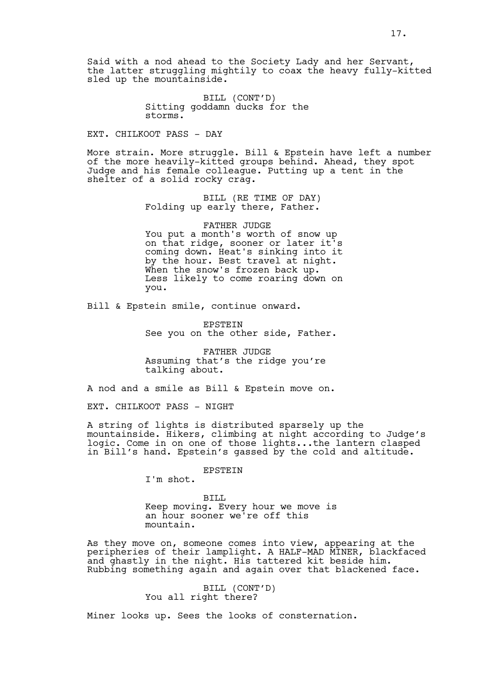Said with a nod ahead to the Society Lady and her Servant, the latter struggling mightily to coax the heavy fully-kitted sled up the mountainside.

> BILL (CONT'D) Sitting goddamn ducks for the storms.

EXT. CHILKOOT PASS - DAY

More strain. More struggle. Bill & Epstein have left a number of the more heavily-kitted groups behind. Ahead, they spot Judge and his female colleague. Putting up a tent in the shelter of a solid rocky crag.

> BILL (RE TIME OF DAY) Folding up early there, Father.

### FATHER JUDGE

You put a month's worth of snow up on that ridge, sooner or later it's coming down. Heat's sinking into it by the hour. Best travel at night. When the snow's frozen back up. Less likely to come roaring down on you.

Bill & Epstein smile, continue onward.

**EPSTEIN** See you on the other side, Father.

FATHER JUDGE Assuming that's the ridge you're talking about.

A nod and a smile as Bill & Epstein move on.

EXT. CHILKOOT PASS - NIGHT

A string of lights is distributed sparsely up the mountainside. Hikers, climbing at night according to Judge's logic. Come in on one of those lights...the lantern clasped in Bill's hand. Epstein's gassed by the cold and altitude.

EPSTEIN

I'm shot.

BILL Keep moving. Every hour we move is an hour sooner we're off this mountain.

As they move on, someone comes into view, appearing at the peripheries of their lamplight. A HALF-MAD MINER, blackfaced and ghastly in the night. His tattered kit beside him. Rubbing something again and again over that blackened face.

> BILL (CONT'D) You all right there?

Miner looks up. Sees the looks of consternation.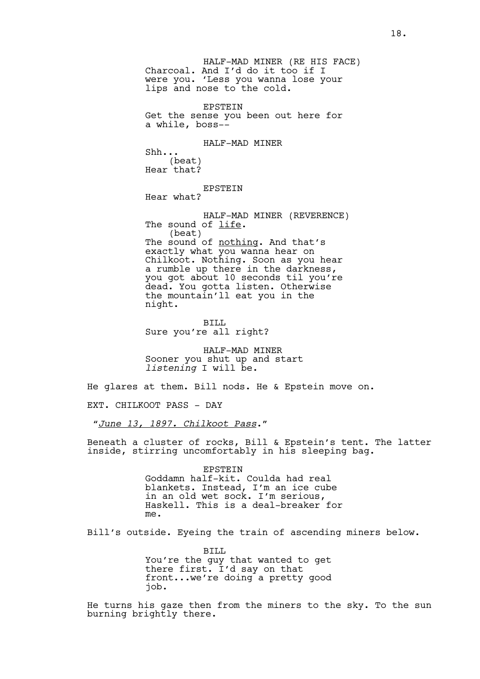HALF-MAD MINER (RE HIS FACE) Charcoal. And I'd do it too if I were you. 'Less you wanna lose your lips and nose to the cold.

**EPSTEIN** Get the sense you been out here for a while, boss--

HALF-MAD MINER

Shh... (beat) Hear that?

EPSTEIN

Hear what?

HALF-MAD MINER (REVERENCE) The sound of  $life$ .<br>(beat)</u> The sound of nothing. And that's exactly what you wanna hear on Chilkoot. Nothing. Soon as you hear a rumble up there in the darkness, you got about 10 seconds til you're dead. You gotta listen. Otherwise the mountain'll eat you in the night.

BILL Sure you're all right?

HALF-MAD MINER Sooner you shut up and start *listening* I will be.

He glares at them. Bill nods. He & Epstein move on.

EXT. CHILKOOT PASS - DAY

"*June 13, 1897. Chilkoot Pass*."

Beneath a cluster of rocks, Bill & Epstein's tent. The latter inside, stirring uncomfortably in his sleeping bag.

> EPSTEIN Goddamn half-kit. Coulda had real blankets. Instead, I'm an ice cube in an old wet sock. I'm serious, Haskell. This is a deal-breaker for me.

Bill's outside. Eyeing the train of ascending miners below.

BILL You're the guy that wanted to get there first. I'd say on that front...we're doing a pretty good job.

He turns his gaze then from the miners to the sky. To the sun burning brightly there.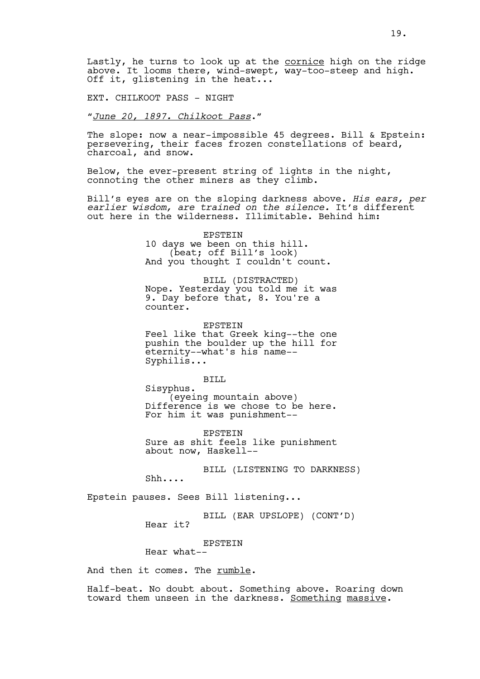Lastly, he turns to look up at the <u>cornice</u> high on the ridge above. It looms there, wind-swept, way-too-steep and high. Off it, glistening in the heat...

EXT. CHILKOOT PASS - NIGHT

"*June 20, 1897. Chilkoot Pass*."

The slope: now a near-impossible 45 degrees. Bill & Epstein: persevering, their faces frozen constellations of beard, charcoal, and snow.

Below, the ever-present string of lights in the night, connoting the other miners as they climb.

Bill's eyes are on the sloping darkness above. *His ears, per earlier wisdom, are trained on the silence.* It's different out here in the wilderness. Illimitable. Behind him:

> **EPSTEIN** 10 days we been on this hill. (beat; off Bill's look) And you thought I couldn't count.

BILL (DISTRACTED) Nope. Yesterday you told me it was 9. Day before that, 8. You're a counter.

EPSTEIN Feel like that Greek king--the one pushin the boulder up the hill for eternity--what's his name-- Syphilis...

BILL Sisyphus. (eyeing mountain above) Difference is we chose to be here. For him it was punishment--

EPSTEIN Sure as shit feels like punishment about now, Haskell--

BILL (LISTENING TO DARKNESS) Shh....

Epstein pauses. Sees Bill listening...

BILL (EAR UPSLOPE) (CONT'D)

Hear it?

EPSTEIN

Hear what--

And then it comes. The rumble.

Half-beat. No doubt about. Something above. Roaring down toward them unseen in the darkness. Something massive.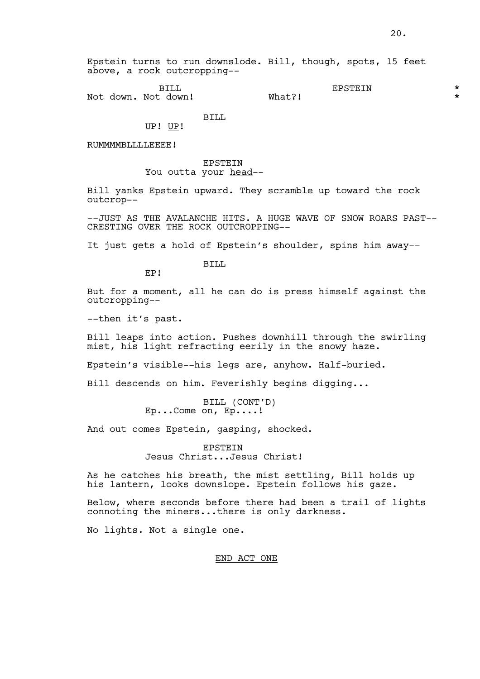Epstein turns to run downslode. Bill, though, spots, 15 feet above, a rock outcropping--

BILL  $\qquad \qquad \star$ Not down. Not down! What?!  $*$ What?!

BILL

UP! UP!

RUMMMMBLLLLEEEE!

EPSTEIN You outta your head--

Bill yanks Epstein upward. They scramble up toward the rock outcrop--

--JUST AS THE AVALANCHE HITS. A HUGE WAVE OF SNOW ROARS PAST--CRESTING OVER THE ROCK OUTCROPPING--

It just gets a hold of Epstein's shoulder, spins him away--

BILL

But for a moment, all he can do is press himself against the outcropping--

--then it's past.

EP!

Bill leaps into action. Pushes downhill through the swirling mist, his light refracting eerily in the snowy haze.

Epstein's visible--his legs are, anyhow. Half-buried.

Bill descends on him. Feverishly begins digging...

BILL (CONT'D) Ep...Come on, Ep....!

And out comes Epstein, gasping, shocked.

EPSTEIN Jesus Christ...Jesus Christ!

As he catches his breath, the mist settling, Bill holds up his lantern, looks downslope. Epstein follows his gaze.

Below, where seconds before there had been a trail of lights connoting the miners...there is only darkness.

No lights. Not a single one.

END ACT ONE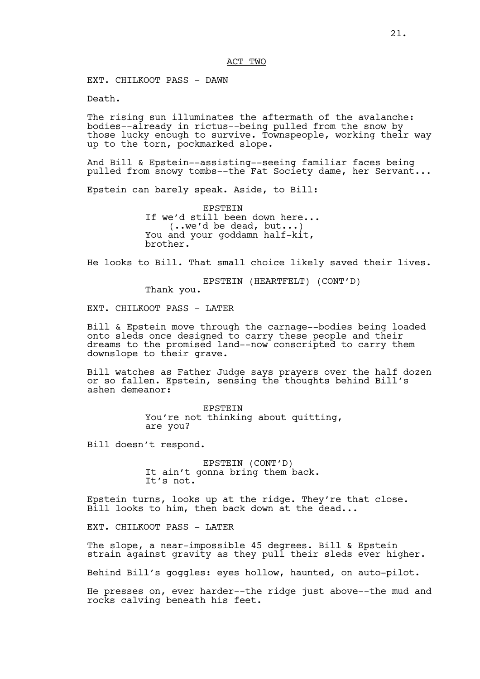EXT. CHILKOOT PASS - DAWN

Death.

The rising sun illuminates the aftermath of the avalanche: bodies--already in rictus--being pulled from the snow by those lucky enough to survive. Townspeople, working their way up to the torn, pockmarked slope.

And Bill & Epstein--assisting--seeing familiar faces being pulled from snowy tombs--the Fat Society dame, her Servant...

Epstein can barely speak. Aside, to Bill:

EPSTEIN If we'd still been down here... (..we'd be dead, but...) You and your goddamn half-kit, brother.

He looks to Bill. That small choice likely saved their lives.

EPSTEIN (HEARTFELT) (CONT'D)

Thank you.

EXT. CHILKOOT PASS - LATER

Bill & Epstein move through the carnage--bodies being loaded onto sleds once designed to carry these people and their dreams to the promised land--now conscripted to carry them downslope to their grave.

Bill watches as Father Judge says prayers over the half dozen or so fallen. Epstein, sensing the thoughts behind Bill's ashen demeanor:

> EPSTEIN You're not thinking about quitting, are you?

Bill doesn't respond.

EPSTEIN (CONT'D) It ain't gonna bring them back. It's not.

Epstein turns, looks up at the ridge. They're that close. Bill looks to him, then back down at the dead...

EXT. CHILKOOT PASS - LATER

The slope, a near-impossible 45 degrees. Bill & Epstein strain against gravity as they pull their sleds ever higher.

Behind Bill's goggles: eyes hollow, haunted, on auto-pilot.

He presses on, ever harder--the ridge just above--the mud and rocks calving beneath his feet.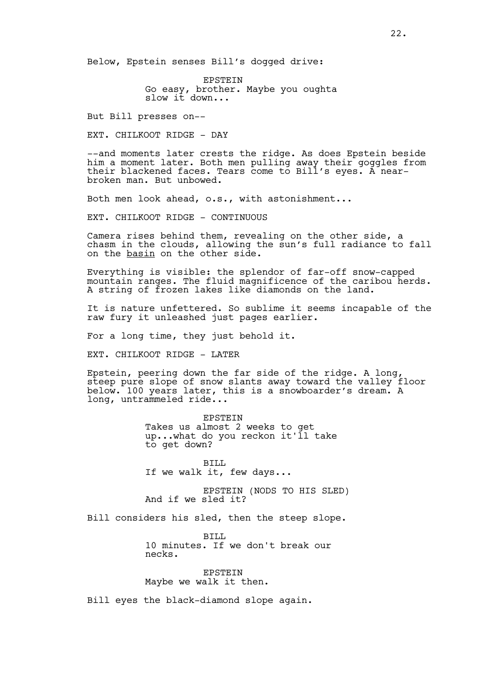Below, Epstein senses Bill's dogged drive:

**EPSTEIN** Go easy, brother. Maybe you oughta slow it down...

But Bill presses on--

EXT. CHILKOOT RIDGE - DAY

--and moments later crests the ridge. As does Epstein beside him a moment later. Both men pulling away their goggles from their blackened faces. Tears come to Bill's eyes. A nearbroken man. But unbowed.

Both men look ahead, o.s., with astonishment...

EXT. CHILKOOT RIDGE - CONTINUOUS

Camera rises behind them, revealing on the other side, a chasm in the clouds, allowing the sun's full radiance to fall on the basin on the other side.

Everything is visible: the splendor of far-off snow-capped mountain ranges. The fluid magnificence of the caribou herds. A string of frozen lakes like diamonds on the land.

It is nature unfettered. So sublime it seems incapable of the raw fury it unleashed just pages earlier.

For a long time, they just behold it.

EXT. CHILKOOT RIDGE - LATER

Epstein, peering down the far side of the ridge. A long, steep pure slope of snow slants away toward the valley floor below. 100 years later, this is a snowboarder's dream. A long, untrammeled ride...

> EPSTEIN Takes us almost 2 weeks to get up...what do you reckon it'll take to get down?

BILL If we walk it, few days...

EPSTEIN (NODS TO HIS SLED) And if we sled it?

Bill considers his sled, then the steep slope.

BILL 10 minutes. If we don't break our necks.

**EPSTEIN** Maybe we walk it then.

Bill eyes the black-diamond slope again.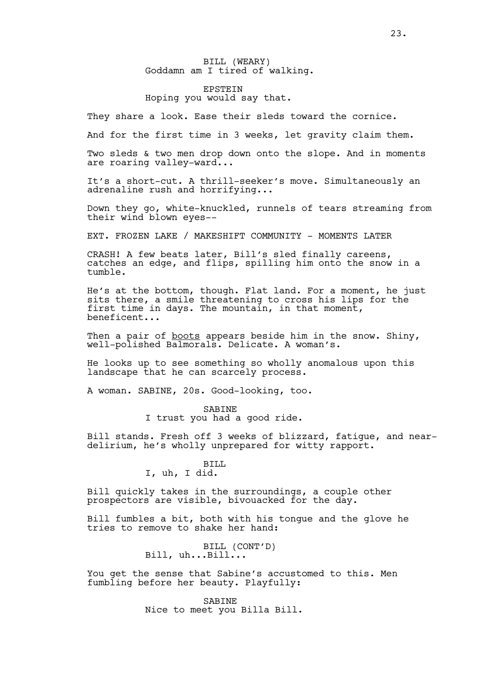BILL (WEARY) Goddamn am I tired of walking.

### EPSTEIN Hoping you would say that.

They share a look. Ease their sleds toward the cornice.

And for the first time in 3 weeks, let gravity claim them.

Two sleds & two men drop down onto the slope. And in moments are roaring valley-ward...

It's a short-cut. A thrill-seeker's move. Simultaneously an adrenaline rush and horrifying...

Down they go, white-knuckled, runnels of tears streaming from their wind blown eyes--

EXT. FROZEN LAKE / MAKESHIFT COMMUNITY - MOMENTS LATER

CRASH! A few beats later, Bill's sled finally careens, catches an edge, and flips, spilling him onto the snow in a tumble.

He's at the bottom, though. Flat land. For a moment, he just sits there, a smile threatening to cross his lips for the first time in days. The mountain, in that moment, beneficent...

Then a pair of boots appears beside him in the snow. Shiny, well-polished Balmorals. Delicate. A woman's.

He looks up to see something so wholly anomalous upon this landscape that he can scarcely process.

A woman. SABINE, 20s. Good-looking, too.

SABINE I trust you had a good ride.

Bill stands. Fresh off 3 weeks of blizzard, fatigue, and neardelirium, he's wholly unprepared for witty rapport.

> BILL I, uh, I did.

Bill quickly takes in the surroundings, a couple other prospectors are visible, bivouacked for the day.

Bill fumbles a bit, both with his tongue and the glove he tries to remove to shake her hand:

> BILL (CONT'D) Bill, uh...Bill...

You get the sense that Sabine's accustomed to this. Men fumbling before her beauty. Playfully:

> SABINE Nice to meet you Billa Bill.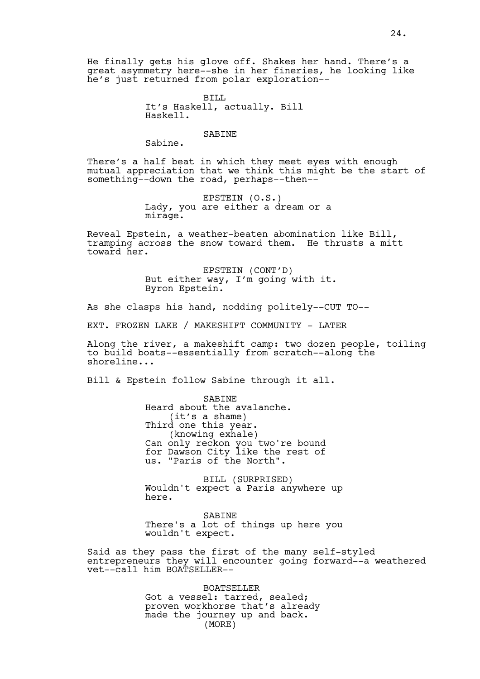He finally gets his glove off. Shakes her hand. There's a great asymmetry here--she in her fineries, he looking like he's just returned from polar exploration--

> BILL It's Haskell, actually. Bill Haskell.

> > SABINE

Sabine.

There's a half beat in which they meet eyes with enough mutual appreciation that we think this might be the start of something--down the road, perhaps--then--

> EPSTEIN (O.S.) Lady, you are either a dream or a mirage.

Reveal Epstein, a weather-beaten abomination like Bill, tramping across the snow toward them. He thrusts a mitt toward her.

> EPSTEIN (CONT'D) But either way, I'm going with it. Byron Epstein.

As she clasps his hand, nodding politely--CUT TO--

EXT. FROZEN LAKE / MAKESHIFT COMMUNITY - LATER

Along the river, a makeshift camp: two dozen people, toiling to build boats--essentially from scratch--along the shoreline...

Bill & Epstein follow Sabine through it all.

SABINE Heard about the avalanche. (it's a shame) Third one this year. (knowing exhale) Can only reckon you two're bound for Dawson City like the rest of us. "Paris of the North".

BILL (SURPRISED) Wouldn't expect a Paris anywhere up here.

SABINE There's a lot of things up here you wouldn't expect.

Said as they pass the first of the many self-styled entrepreneurs they will encounter going forward--a weathered vet--call him BOATSELLER--

> BOATSELLER Got a vessel: tarred, sealed; proven workhorse that's already made the journey up and back. (MORE)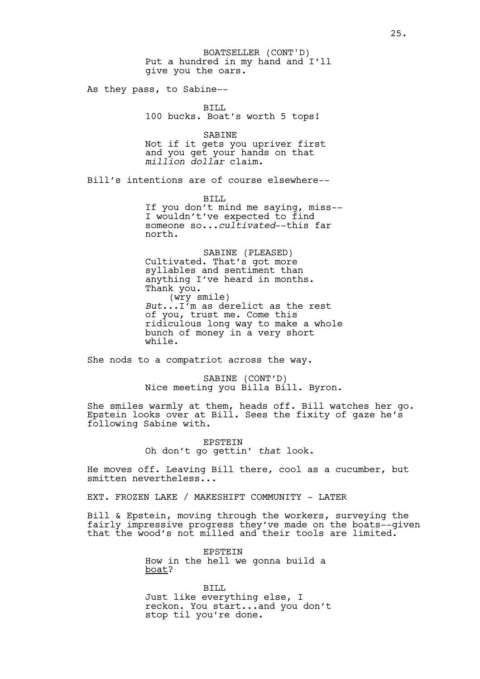Put a hundred in my hand and I'll give you the oars. BOATSELLER (CONT'D)

As they pass, to Sabine--

BILL 100 bucks. Boat's worth 5 tops!

SABINE Not if it gets you upriver first and you get your hands on that *million dollar* claim.

Bill's intentions are of course elsewhere--

BILL

If you don't mind me saying, miss-- I wouldn't've expected to find someone so...*cultivated*--this far north.

SABINE (PLEASED) Cultivated. That's got more syllables and sentiment than anything I've heard in months. Thank you. (wry smile)

*But*...I'm as derelict as the rest of you, trust me. Come this ridiculous long way to make a whole bunch of money in a very short while.

She nods to a compatriot across the way.

SABINE (CONT'D) Nice meeting you Billa Bill. Byron.

She smiles warmly at them, heads off. Bill watches her go. Epstein looks over at Bill. Sees the fixity of gaze he's following Sabine with.

> EPSTEIN Oh don't go gettin' *that* look.

He moves off. Leaving Bill there, cool as a cucumber, but smitten nevertheless...

EXT. FROZEN LAKE / MAKESHIFT COMMUNITY - LATER

Bill & Epstein, moving through the workers, surveying the fairly impressive progress they've made on the boats--given that the wood's not milled and their tools are limited.

> EPSTEIN How in the hell we gonna build a boat?

BILL Just like everything else, I reckon. You start...and you don't stop til you're done.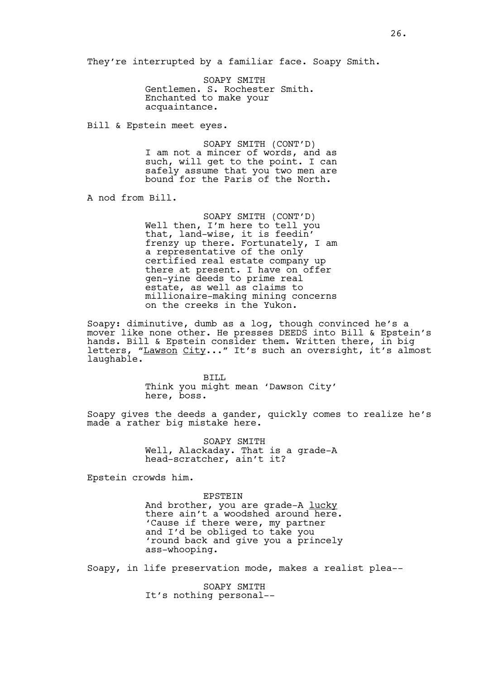They're interrupted by a familiar face. Soapy Smith.

SOAPY SMITH Gentlemen. S. Rochester Smith. Enchanted to make your acquaintance.

Bill & Epstein meet eyes.

SOAPY SMITH (CONT'D) I am not a mincer of words, and as such, will get to the point. I can safely assume that you two men are bound for the Paris of the North.

A nod from Bill.

SOAPY SMITH (CONT'D) Well then, I'm here to tell you that, land-wise, it is feedin' frenzy up there. Fortunately, I am a representative of the only certified real estate company up there at present. I have on offer gen-yine deeds to prime real estate, as well as claims to millionaire-making mining concerns on the creeks in the Yukon.

Soapy: diminutive, dumb as a log, though convinced he's a mover like none other. He presses DEEDS into Bill & Epstein's hands. Bill & Epstein consider them. Written there, in big letters, "Lawson City..." It's such an oversight, it's almost laughable.

> BILL Think you might mean 'Dawson City' here, boss.

Soapy gives the deeds a gander, quickly comes to realize he's made a rather big mistake here.

> SOAPY SMITH Well, Alackaday. That is a grade-A head-scratcher, ain't it?

Epstein crowds him.

EPSTEIN And brother, you are grade-A lucky there ain't a woodshed around here. 'Cause if there were, my partner and I'd be obliged to take you 'round back and give you a princely ass-whooping.

Soapy, in life preservation mode, makes a realist plea--

SOAPY SMITH It's nothing personal--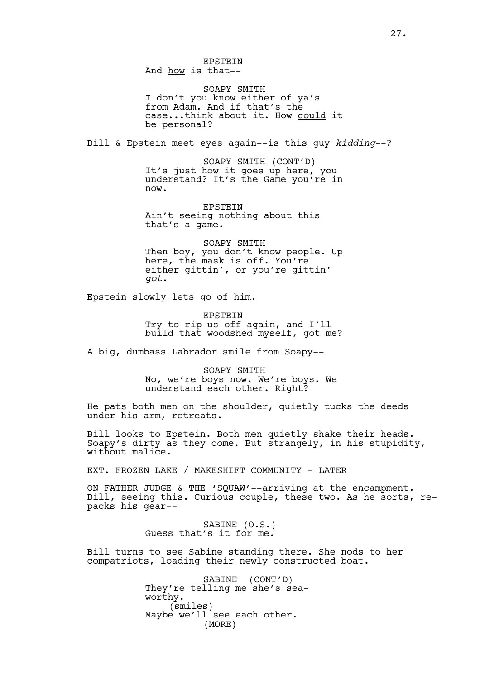SOAPY SMITH I don't you know either of ya's from Adam. And if that's the case...think about it. How could it be personal?

Bill & Epstein meet eyes again--is this guy *kidding*--?

SOAPY SMITH (CONT'D) It's just how it goes up here, you understand? It's the Game you're in now.

EPSTEIN Ain't seeing nothing about this that's a game.

SOAPY SMITH Then boy, you don't know people. Up here, the mask is off. You're either gittin', or you're gittin' *got*.

Epstein slowly lets go of him.

EPSTEIN Try to rip us off again, and I'll build that woodshed myself, got me?

A big, dumbass Labrador smile from Soapy--

SOAPY SMITH No, we're boys now. We're boys. We understand each other. Right?

He pats both men on the shoulder, quietly tucks the deeds under his arm, retreats.

Bill looks to Epstein. Both men quietly shake their heads. Soapy's dirty as they come. But strangely, in his stupidity, without malice.

EXT. FROZEN LAKE / MAKESHIFT COMMUNITY - LATER

ON FATHER JUDGE & THE 'SQUAW'--arriving at the encampment. Bill, seeing this. Curious couple, these two. As he sorts, repacks his gear--

> SABINE (O.S.) Guess that's it for me.

Bill turns to see Sabine standing there. She nods to her compatriots, loading their newly constructed boat.

> SABINE (CONT'D) They're telling me she's seaworthy. (smiles) Maybe we'll see each other. (MORE)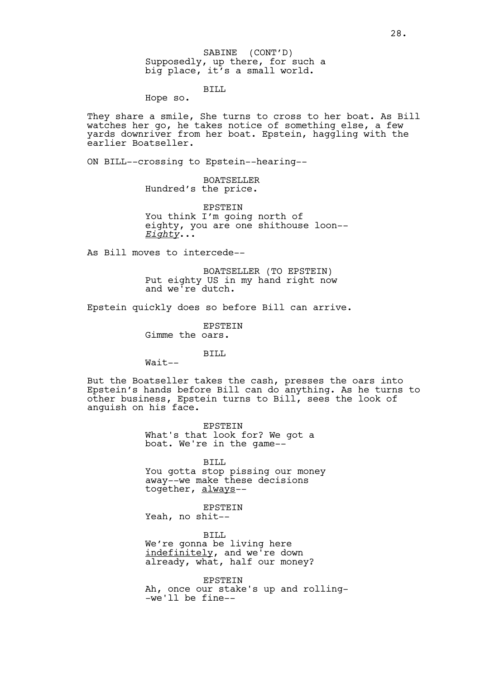### BILL

Hope so.

They share a smile, She turns to cross to her boat. As Bill watches her go, he takes notice of something else, a few yards downriver from her boat. Epstein, haggling with the earlier Boatseller.

ON BILL--crossing to Epstein--hearing--

BOATSELLER Hundred's the price.

EPSTEIN You think I'm going north of eighty, you are one shithouse loon-- *Eighty*...

As Bill moves to intercede--

BOATSELLER (TO EPSTEIN) Put eighty US in my hand right now and we're dutch.

Epstein quickly does so before Bill can arrive.

EPSTEIN

Gimme the oars.

BILL

Wait--

But the Boatseller takes the cash, presses the oars into Epstein's hands before Bill can do anything. As he turns to other business, Epstein turns to Bill, sees the look of anguish on his face.

> EPSTEIN What's that look for? We got a boat. We're in the game--

BILL You gotta stop pissing our money away--we make these decisions together, always--

EPSTEIN Yeah, no shit--

BILL We're gonna be living here indefinitely, and we're down already, what, half our money?

**EPSTEIN** Ah, once our stake's up and rolling- -we'll be fine--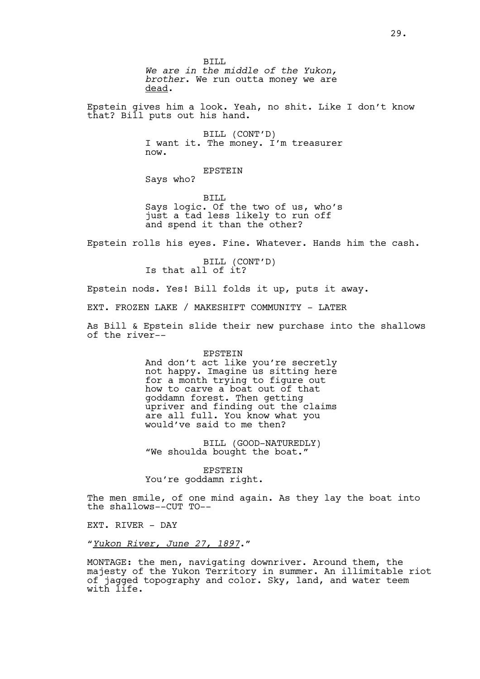BILL. *We are in the middle of the Yukon, brother*. We run outta money we are dead. Epstein gives him a look. Yeah, no shit. Like I don't know that? Bill puts out his hand. BILL (CONT'D) I want it. The money. I'm treasurer now. EPSTEIN Says who? BILL Says logic. Of the two of us, who's just a tad less likely to run off and spend it than the other? Epstein rolls his eyes. Fine. Whatever. Hands him the cash. BILL (CONT'D) Is that all of it? Epstein nods. Yes! Bill folds it up, puts it away. EXT. FROZEN LAKE / MAKESHIFT COMMUNITY - LATER As Bill & Epstein slide their new purchase into the shallows

of the river--

EPSTEIN And don't act like you're secretly not happy. Imagine us sitting here for a month trying to figure out how to carve a boat out of that goddamn forest. Then getting upriver and finding out the claims are all full. You know what you would've said to me then?

BILL (GOOD-NATUREDLY) "We shoulda bought the boat."

EPSTEIN You're goddamn right.

The men smile, of one mind again. As they lay the boat into the shallows--CUT TO--

EXT. RIVER - DAY

"*Yukon River, June 27, 1897*."

MONTAGE: the men, navigating downriver. Around them, the majesty of the Yukon Territory in summer. An illimitable riot of jagged topography and color. Sky, land, and water teem with life.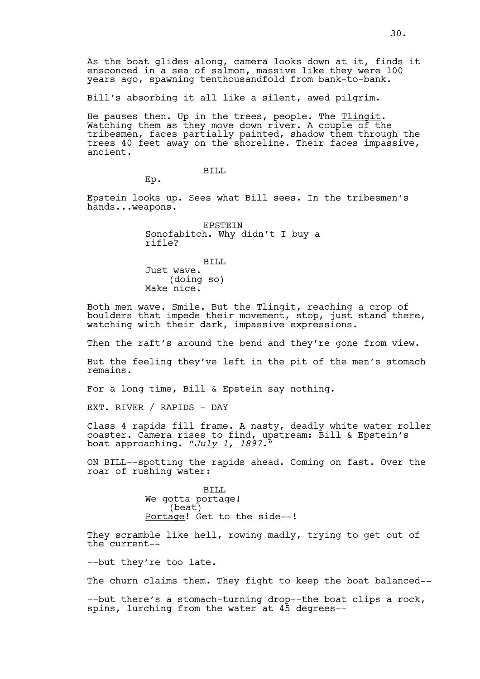As the boat glides along, camera looks down at it, finds it ensconced in a sea of salmon, massive like they were 100 years ago, spawning tenthousandfold from bank-to-bank.

Bill's absorbing it all like a silent, awed pilgrim.

He pauses then. Up in the trees, people. The Tlingit.<br>Watching them as they move down river. A couple of the tribesmen, faces partially painted, shadow them through the trees 40 feet away on the shoreline. Their faces impassive, ancient.

BILL

Ep.

Epstein looks up. Sees what Bill sees. In the tribesmen's hands...weapons.

> EPSTEIN Sonofabitch. Why didn't I buy a rifle?

BILL Just wave. (doing so) Make nice.

Both men wave. Smile. But the Tlingit, reaching a crop of boulders that impede their movement, stop, just stand there, watching with their dark, impassive expressions.

Then the raft's around the bend and they're gone from view.

But the feeling they've left in the pit of the men's stomach remains.

For a long time, Bill & Epstein say nothing.

EXT. RIVER / RAPIDS - DAY

Class 4 rapids fill frame. A nasty, deadly white water roller coaster. Camera rises to find, upstream: Bill & Epstein's boat approaching. *"July 1, 1897."*

ON BILL--spotting the rapids ahead. Coming on fast. Over the roar of rushing water:

> BILL We gotta portage! (beat) Portage! Get to the side--!

They scramble like hell, rowing madly, trying to get out of the current--

--but they're too late.

The churn claims them. They fight to keep the boat balanced--

--but there's a stomach-turning drop--the boat clips a rock, spins, lurching from the water at 45 degrees--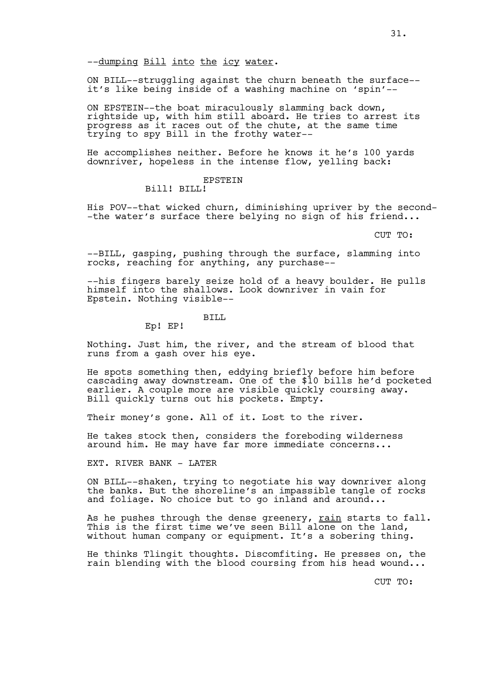ON BILL--struggling against the churn beneath the surface- it's like being inside of a washing machine on 'spin'--

ON EPSTEIN--the boat miraculously slamming back down, rightside up, with him still aboard. He tries to arrest its progress as it races out of the chute, at the same time trying to spy Bill in the frothy water--

He accomplishes neither. Before he knows it he's 100 yards downriver, hopeless in the intense flow, yelling back:

### EPSTEIN

## Bill! BILL!

His POV--that wicked churn, diminishing upriver by the second- -the water's surface there belying no sign of his friend...

CUT TO:

--BILL, gasping, pushing through the surface, slamming into rocks, reaching for anything, any purchase--

--his fingers barely seize hold of a heavy boulder. He pulls himself into the shallows. Look downriver in vain for Epstein. Nothing visible--

### BILL.

Ep! EP!

Nothing. Just him, the river, and the stream of blood that runs from a gash over his eye.

He spots something then, eddying briefly before him before cascading away downstream. One of the \$10 bills he'd pocketed earlier. A couple more are visible quickly coursing away. Bill quickly turns out his pockets. Empty.

Their money's gone. All of it. Lost to the river.

He takes stock then, considers the foreboding wilderness around him. He may have far more immediate concerns...

EXT. RIVER BANK - LATER

ON BILL--shaken, trying to negotiate his way downriver along the banks. But the shoreline's an impassible tangle of rocks and foliage. No choice but to go inland and around...

As he pushes through the dense greenery,  $rain starts to fall.$ </u> This is the first time we've seen Bill alone on the land, without human company or equipment. It's a sobering thing.

He thinks Tlingit thoughts. Discomfiting. He presses on, the rain blending with the blood coursing from his head wound...

CUT TO: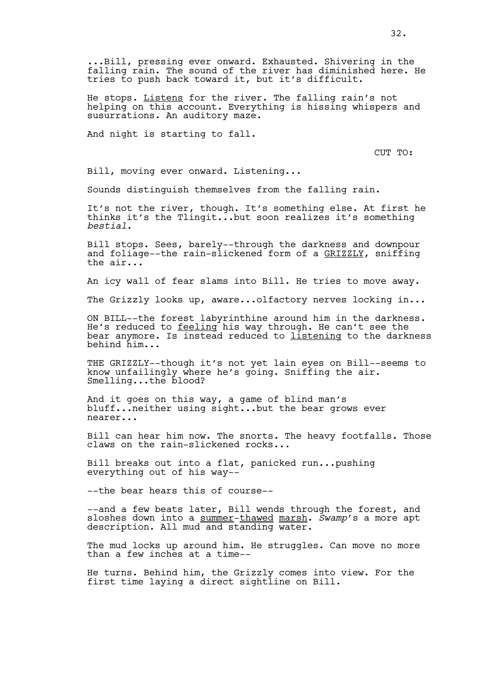...Bill, pressing ever onward. Exhausted. Shivering in the falling rain. The sound of the river has diminished here. He tries to push back toward it, but it's difficult.

He stops. Listens for the river. The falling rain's not helping on this account. Everything is hissing whispers and susurrations. An auditory maze.

And night is starting to fall.

CUT TO:

Bill, moving ever onward. Listening...

Sounds distinguish themselves from the falling rain.

It's not the river, though. It's something else. At first he thinks it's the Tlingit...but soon realizes it's something *bestial*.

Bill stops. Sees, barely--through the darkness and downpour and foliage--the rain-slickened form of a GRIZZLY, sniffing the air...

An icy wall of fear slams into Bill. He tries to move away.

The Grizzly looks up, aware...olfactory nerves locking in...

ON BILL--the forest labyrinthine around him in the darkness. He's reduced to **feeling** his way through. He can't see the bear anymore. Is instead reduced to listening to the darkness behind him...

THE GRIZZLY--though it's not yet lain eyes on Bill--seems to know unfailingly where he's going. Sniffing the air. Smelling...the blood?

And it goes on this way, a game of blind man's bluff...neither using sight...but the bear grows ever nearer...

Bill can hear him now. The snorts. The heavy footfalls. Those claws on the rain-slickened rocks...

Bill breaks out into a flat, panicked run...pushing everything out of his way--

--the bear hears this of course--

--and a few beats later, Bill wends through the forest, and sloshes down into a summer-thawed marsh. *Swamp'*s a more apt description. All mud and standing water.

The mud locks up around him. He struggles. Can move no more than a few inches at a time--

He turns. Behind him, the Grizzly comes into view. For the first time laying a direct sightline on Bill.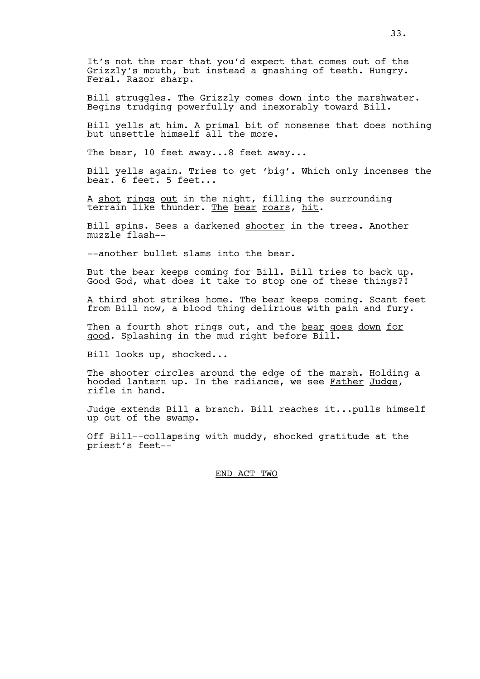It's not the roar that you'd expect that comes out of the Grizzly's mouth, but instead a gnashing of teeth. Hungry. Feral. Razor sharp.

Bill struggles. The Grizzly comes down into the marshwater. Begins trudging powerfully and inexorably toward Bill.

Bill yells at him. A primal bit of nonsense that does nothing but unsettle himself all the more.

The bear, 10 feet away...8 feet away...

Bill yells again. Tries to get 'big'. Which only incenses the bear. 6 feet. 5 feet...

A <u>shot rings out</u> in the night, filling the surrounding terrain like thunder. <u>The bear roars</u>, hit.

Bill spins. Sees a darkened shooter in the trees. Another muzzle flash--

--another bullet slams into the bear.

But the bear keeps coming for Bill. Bill tries to back up. Good God, what does it take to stop one of these things?!

A third shot strikes home. The bear keeps coming. Scant feet from Bill now, a blood thing delirious with pain and fury.

Then a fourth shot rings out, and the bear goes down for good. Splashing in the mud right before Bill.

Bill looks up, shocked...

The shooter circles around the edge of the marsh. Holding a hooded lantern up. In the radiance, we see <u>Father Judge</u>,<br>rifle in hand.

Judge extends Bill a branch. Bill reaches it...pulls himself up out of the swamp.

Off Bill--collapsing with muddy, shocked gratitude at the priest's feet--

END ACT TWO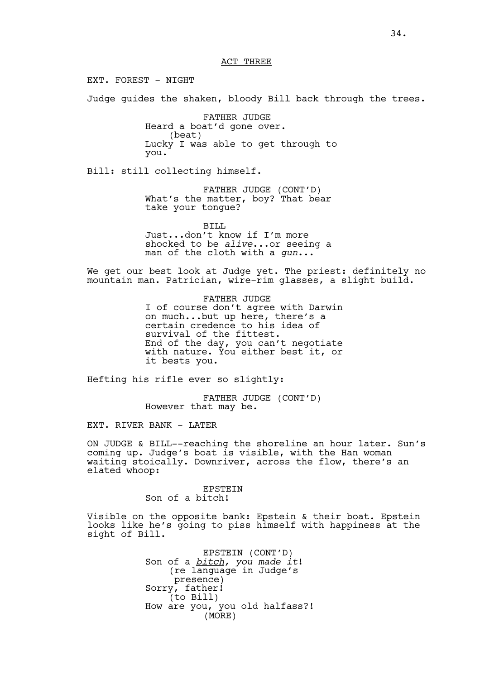EXT. FOREST - NIGHT Judge guides the shaken, bloody Bill back through the trees. FATHER JUDGE Heard a boat'd gone over. (beat) Lucky I was able to get through to you. Bill: still collecting himself. FATHER JUDGE (CONT'D) What's the matter, boy? That bear take your tongue?

> BILL Just...don't know if I'm more shocked to be *alive*...or seeing a man of the cloth with a *gun*...

We get our best look at Judge yet. The priest: definitely no mountain man. Patrician, wire-rim glasses, a slight build.

> FATHER JUDGE I of course don't agree with Darwin on much...but up here, there's a certain credence to his idea of survival of the fittest. End of the day, you can't negotiate with nature. You either best it, or it bests you.

Hefting his rifle ever so slightly:

FATHER JUDGE (CONT'D) However that may be.

EXT. RIVER BANK - LATER

ON JUDGE & BILL--reaching the shoreline an hour later. Sun's coming up. Judge's boat is visible, with the Han woman waiting stoically. Downriver, across the flow, there's an elated whoop:

> EPSTEIN Son of a bitch!

Visible on the opposite bank: Epstein & their boat. Epstein looks like he's going to piss himself with happiness at the sight of Bill.

> EPSTEIN (CONT'D) Son of a *bitch, you made it*! (re language in Judge's presence) Sorry, father! (to Bill) How are you, you old halfass?! (MORE)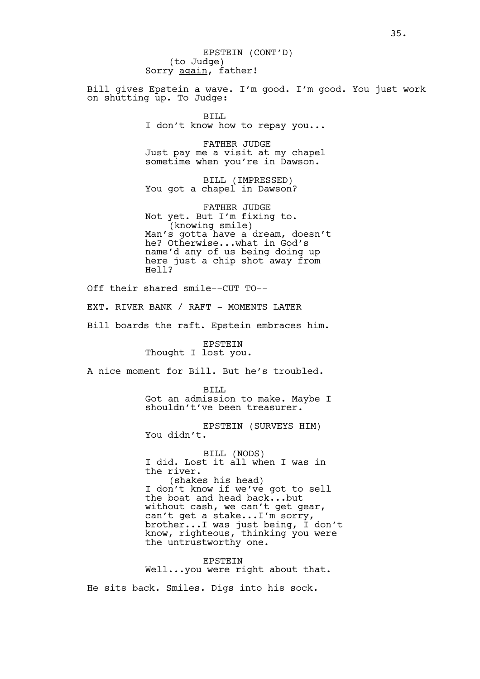(to Judge) Sorry again, father! EPSTEIN (CONT'D)

Bill gives Epstein a wave. I'm good. I'm good. You just work on shutting up. To Judge:

> BILL I don't know how to repay you...

> FATHER JUDGE Just pay me a visit at my chapel sometime when you're in Dawson.

BILL (IMPRESSED) You got a chapel in Dawson?

FATHER JUDGE Not yet. But I'm fixing to. (knowing smile) Man's gotta have a dream, doesn't he? Otherwise...what in God's name'd any of us being doing up here just a chip shot away from Hell?

Off their shared smile--CUT TO--

EXT. RIVER BANK / RAFT - MOMENTS LATER

Bill boards the raft. Epstein embraces him.

EPSTEIN Thought I lost you.

A nice moment for Bill. But he's troubled.

BILL Got an admission to make. Maybe I shouldn't've been treasurer.

EPSTEIN (SURVEYS HIM) You didn't.

BILL (NODS) I did. Lost it all when I was in the river.

(shakes his head) I don't know if we've got to sell the boat and head back...but without cash, we can't get gear, can't get a stake...I'm sorry, brother...I was just being, I don't know, righteous, thinking you were the untrustworthy one.

EPSTEIN Well...you were right about that.

He sits back. Smiles. Digs into his sock.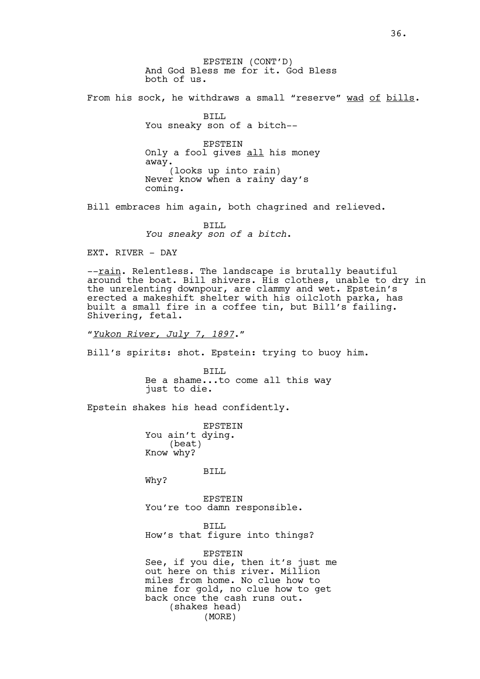EPSTEIN (CONT'D) And God Bless me for it. God Bless both of us.

From his sock, he withdraws a small "reserve" wad of bills.

BILL You sneaky son of a bitch--

EPSTEIN Only a fool gives all his money away. (looks up into rain) Never know when a rainy day's coming.

Bill embraces him again, both chagrined and relieved.

BTLL. *You sneaky son of a bitch*.

EXT. RIVER - DAY

--rain. Relentless. The landscape is brutally beautiful around the boat. Bill shivers. His clothes, unable to dry in the unrelenting downpour, are clammy and wet. Epstein's erected a makeshift shelter with his oilcloth parka, has built a small fire in a coffee tin, but Bill's failing. Shivering, fetal.

"*Yukon River, July 7, 1897*."

Bill's spirits: shot. Epstein: trying to buoy him.

BILL Be a shame...to come all this way just to die.

Epstein shakes his head confidently.

EPSTEIN You ain't dying. (beat) Know why?

BILL

Why?

EPSTEIN You're too damn responsible.

BILL How's that figure into things?

EPSTEIN

See, if you die, then it's just me out here on this river. Million miles from home. No clue how to mine for gold, no clue how to get back once the cash runs out. (shakes head) (MORE)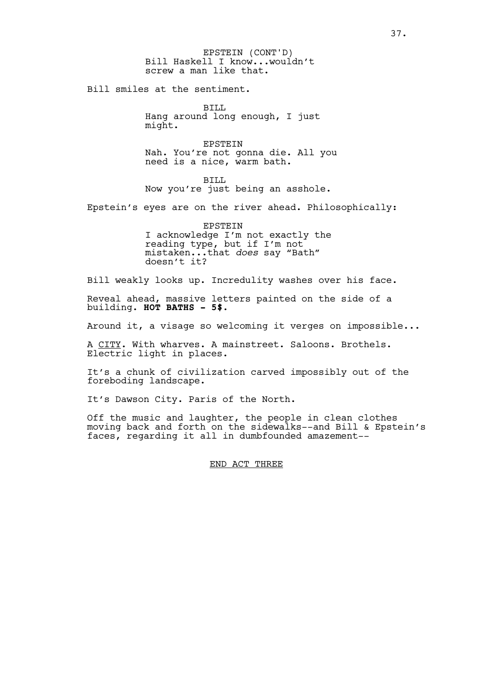Bill Haskell I know...wouldn't screw a man like that. EPSTEIN (CONT'D)

Bill smiles at the sentiment.

BILL Hang around long enough, I just might.

EPSTEIN Nah. You're not gonna die. All you need is a nice, warm bath.

BILL Now you're just being an asshole.

Epstein's eyes are on the river ahead. Philosophically:

EPSTEIN I acknowledge I'm not exactly the reading type, but if I'm not mistaken...that *does* say "Bath" doesn't it?

Bill weakly looks up. Incredulity washes over his face.

Reveal ahead, massive letters painted on the side of a building. **HOT BATHS - 5\$.**

Around it, a visage so welcoming it verges on impossible...

A CITY. With wharves. A mainstreet. Saloons. Brothels. Electric light in places.

It's a chunk of civilization carved impossibly out of the foreboding landscape.

It's Dawson City. Paris of the North.

Off the music and laughter, the people in clean clothes moving back and forth on the sidewalks--and Bill & Epstein's faces, regarding it all in dumbfounded amazement--

### END ACT THREE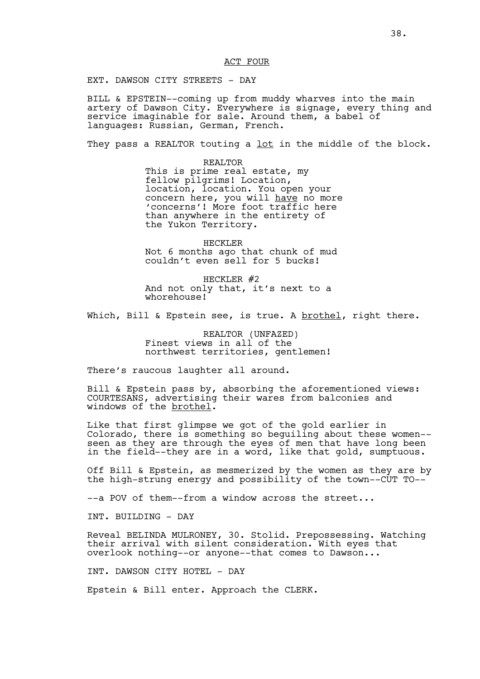EXT. DAWSON CITY STREETS - DAY

BILL & EPSTEIN--coming up from muddy wharves into the main artery of Dawson City. Everywhere is signage, every thing and service imaginable for sale. Around them, a babel of languages: Russian, German, French.

They pass a REALTOR touting a lot in the middle of the block.

REALTOR This is prime real estate, my fellow pilgrims! Location, location, location. You open your concern here, you will have no more 'concerns'! More foot traffic here than anywhere in the entirety of the Yukon Territory.

HECKLER Not 6 months ago that chunk of mud couldn't even sell for 5 bucks!

HECKLER #2 And not only that, it's next to a whorehouse!

Which, Bill & Epstein see, is true. A brothel, right there.

REALTOR (UNFAZED) Finest views in all of the northwest territories, gentlemen!

There's raucous laughter all around.

Bill & Epstein pass by, absorbing the aforementioned views: COURTESANS, advertising their wares from balconies and windows of the brothel.

Like that first glimpse we got of the gold earlier in Colorado, there is something so beguiling about these women- seen as they are through the eyes of men that have long been in the field--they are in a word, like that gold, sumptuous.

Off Bill & Epstein, as mesmerized by the women as they are by the high-strung energy and possibility of the town--CUT TO--

--a POV of them--from a window across the street...

INT. BUILDING - DAY

Reveal BELINDA MULRONEY, 30. Stolid. Prepossessing. Watching their arrival with silent consideration. With eyes that overlook nothing--or anyone--that comes to Dawson...

INT. DAWSON CITY HOTEL - DAY

Epstein & Bill enter. Approach the CLERK.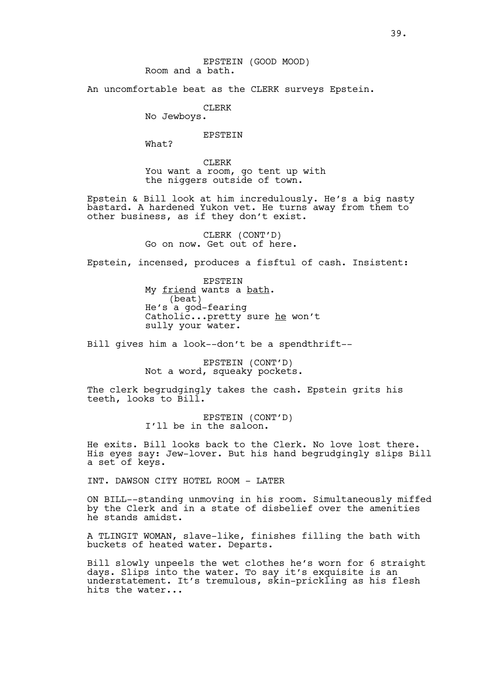An uncomfortable beat as the CLERK surveys Epstein.

CLERK

No Jewboys.

#### EPSTEIN

What?

CLERK You want a room, go tent up with the niggers outside of town.

Epstein & Bill look at him incredulously. He's a big nasty bastard. A hardened Yukon vet. He turns away from them to other business, as if they don't exist.

> CLERK (CONT'D) Go on now. Get out of here.

Epstein, incensed, produces a fisftul of cash. Insistent:

**EPSTEIN** My friend wants a bath. (beat)<br>He's a god-fearing Catholic...pretty sure he won't sully your water.

Bill gives him a look--don't be a spendthrift--

EPSTEIN (CONT'D) Not a word, squeaky pockets.

The clerk begrudgingly takes the cash. Epstein grits his teeth, looks to Bill.

> EPSTEIN (CONT'D) I'll be in the saloon.

He exits. Bill looks back to the Clerk. No love lost there. His eyes say: Jew-lover. But his hand begrudgingly slips Bill a set of keys.

INT. DAWSON CITY HOTEL ROOM - LATER

ON BILL--standing unmoving in his room. Simultaneously miffed by the Clerk and in a state of disbelief over the amenities he stands amidst.

A TLINGIT WOMAN, slave-like, finishes filling the bath with buckets of heated water. Departs.

Bill slowly unpeels the wet clothes he's worn for 6 straight days. Slips into the water. To say it's exquisite is an understatement. It's tremulous, skin-prickling as his flesh hits the water...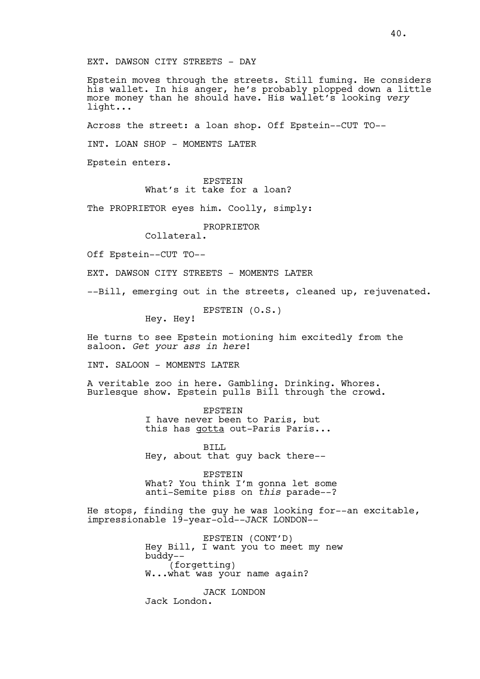EXT. DAWSON CITY STREETS - DAY

Epstein moves through the streets. Still fuming. He considers his wallet. In his anger, he's probably plopped down a little more money than he should have. His wallet's looking *very* light...

Across the street: a loan shop. Off Epstein--CUT TO--

INT. LOAN SHOP - MOMENTS LATER

Epstein enters.

EPSTEIN What's it take for a loan?

The PROPRIETOR eyes him. Coolly, simply:

PROPRIETOR

Collateral.

Off Epstein--CUT TO--

EXT. DAWSON CITY STREETS - MOMENTS LATER

--Bill, emerging out in the streets, cleaned up, rejuvenated.

EPSTEIN (O.S.)

Hey. Hey!

He turns to see Epstein motioning him excitedly from the saloon. *Get your ass in here*!

INT. SALOON - MOMENTS LATER

A veritable zoo in here. Gambling. Drinking. Whores. Burlesque show. Epstein pulls Bill through the crowd.

> EPSTEIN I have never been to Paris, but this has gotta out-Paris Paris...

BILL Hey, about that guy back there--

EPSTEIN What? You think I'm gonna let some anti-Semite piss on *this* parade--?

He stops, finding the guy he was looking for--an excitable, impressionable 19-year-old--JACK LONDON--

> EPSTEIN (CONT'D) Hey Bill, I want you to meet my new buddy-- (forgetting) W...what was your name again?

JACK LONDON Jack London.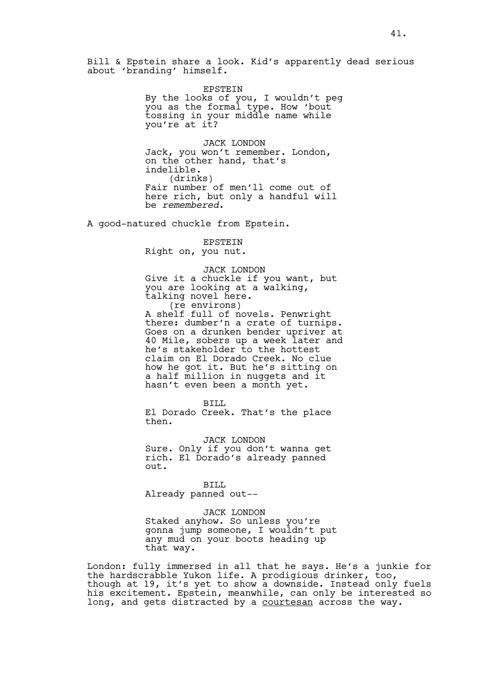Bill & Epstein share a look. Kid's apparently dead serious about 'branding' himself.

> EPSTEIN By the looks of you, I wouldn't peg you as the formal type. How 'bout tossing in your middle name while you're at it?

JACK LONDON Jack, you won't remember. London, on the other hand, that's indelible. (drinks) Fair number of men'll come out of here rich, but only a handful will be *remembered*.

A good-natured chuckle from Epstein.

EPSTEIN Right on, you nut.

JACK LONDON Give it a chuckle if you want, but you are looking at a walking, talking novel here. (re environs)

A shelf full of novels. Penwright there: dumber'n a crate of turnips. Goes on a drunken bender upriver at 40 Mile, sobers up a week later and he's stakeholder to the hottest claim on El Dorado Creek. No clue how he got it. But he's sitting on a half million in nuggets and it hasn't even been a month yet.

BILL.

El Dorado Creek. That's the place then.

JACK LONDON Sure. Only if you don't wanna get rich. El Dorado's already panned out.

BILL Already panned out--

JACK LONDON Staked anyhow. So unless you're gonna jump someone, I wouldn't put any mud on your boots heading up that way.

London: fully immersed in all that he says. He's a junkie for the hardscrabble Yukon life. A prodigious drinker, too, though at 19, it's yet to show a downside. Instead only fuels his excitement. Epstein, meanwhile, can only be interested so long, and gets distracted by a courtesan across the way.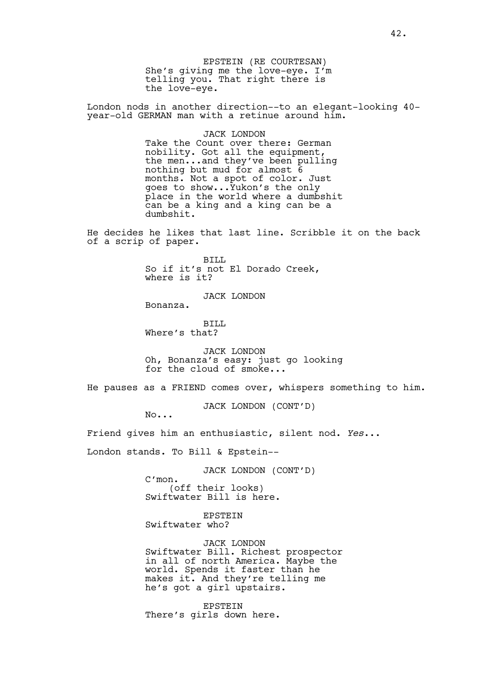EPSTEIN (RE COURTESAN) She's giving me the love-eye. I'm telling you. That right there is the love-eye.

London nods in another direction--to an elegant-looking 40 year-old GERMAN man with a retinue around him.

> JACK LONDON Take the Count over there: German nobility. Got all the equipment, the men...and they've been pulling nothing but mud for almost 6 months. Not a spot of color. Just goes to show...Yukon's the only place in the world where a dumbshit can be a king and a king can be a dumbshit.

He decides he likes that last line. Scribble it on the back of a scrip of paper.

> BILL So if it's not El Dorado Creek, where is it?

> > JACK LONDON

Bonanza.

BILL. Where's that?

JACK LONDON Oh, Bonanza's easy: just go looking for the cloud of smoke...

He pauses as a FRIEND comes over, whispers something to him.

JACK LONDON (CONT'D)

No...

Friend gives him an enthusiastic, silent nod. *Yes*...

London stands. To Bill & Epstein--

JACK LONDON (CONT'D) C'mon. (off their looks)

Swiftwater Bill is here.

EPSTEIN Swiftwater who?

JACK LONDON Swiftwater Bill. Richest prospector in all of north America. Maybe the world. Spends it faster than he makes it. And they're telling me he's got a girl upstairs.

EPSTEIN There's girls down here.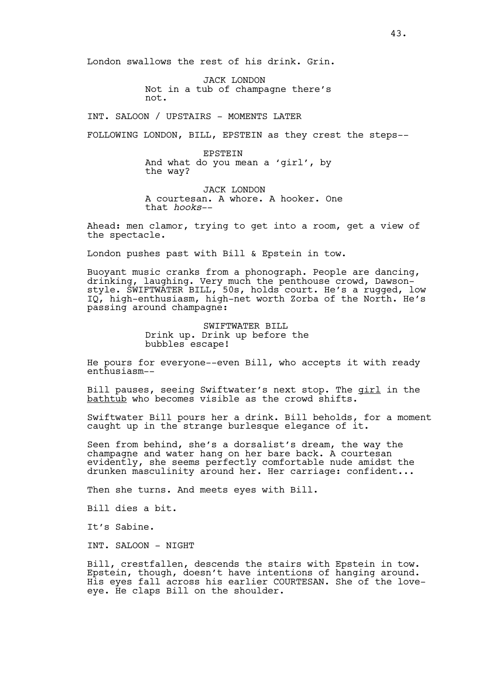London swallows the rest of his drink. Grin.

JACK LONDON Not in a tub of champagne there's not.

INT. SALOON / UPSTAIRS - MOMENTS LATER

FOLLOWING LONDON, BILL, EPSTEIN as they crest the steps--

EPSTEIN And what do you mean a 'girl', by the way?

JACK LONDON A courtesan. A whore. A hooker. One that *hooks*--

Ahead: men clamor, trying to get into a room, get a view of the spectacle.

London pushes past with Bill & Epstein in tow.

Buoyant music cranks from a phonograph. People are dancing, drinking, laughing. Very much the penthouse crowd, Dawsonstyle. SWIFTWATER BILL, 50s, holds court. He's a rugged, low IQ, high-enthusiasm, high-net worth Zorba of the North. He's passing around champagne:

> SWIFTWATER BILL Drink up. Drink up before the bubbles escape!

He pours for everyone--even Bill, who accepts it with ready enthusiasm--

Bill pauses, seeing Swiftwater's next stop. The girl in the bathtub who becomes visible as the crowd shifts.

Swiftwater Bill pours her a drink. Bill beholds, for a moment caught up in the strange burlesque elegance of it.

Seen from behind, she's a dorsalist's dream, the way the champagne and water hang on her bare back. A courtesan evidently, she seems perfectly comfortable nude amidst the drunken masculinity around her. Her carriage: confident...

Then she turns. And meets eyes with Bill.

Bill dies a bit.

It's Sabine.

INT. SALOON - NIGHT

Bill, crestfallen, descends the stairs with Epstein in tow. Epstein, though, doesn't have intentions of hanging around. His eyes fall across his earlier COURTESAN. She of the loveeye. He claps Bill on the shoulder.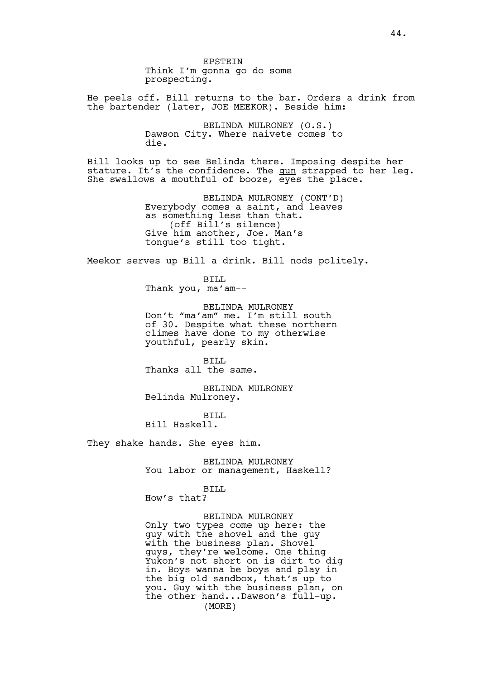EPSTEIN Think I'm gonna go do some prospecting.

He peels off. Bill returns to the bar. Orders a drink from the bartender (later, JOE MEEKOR). Beside him:

> BELINDA MULRONEY (O.S.) Dawson City. Where naivete comes to die.

Bill looks up to see Belinda there. Imposing despite her stature. It's the confidence. The gun strapped to her leg. She swallows a mouthful of booze, eyes the place.

> BELINDA MULRONEY (CONT'D) Everybody comes a saint, and leaves as something less than that. (off Bill's silence) Give him another, Joe. Man's tongue's still too tight.

Meekor serves up Bill a drink. Bill nods politely.

BILL Thank you, ma'am--

BELINDA MULRONEY Don't "ma'am" me. I'm still south of 30. Despite what these northern climes have done to my otherwise youthful, pearly skin.

BILL Thanks all the same.

BELINDA MULRONEY Belinda Mulroney.

RTT.T. Bill Haskell.

They shake hands. She eyes him.

BELINDA MULRONEY You labor or management, Haskell?

# BILL

How's that?

#### BELINDA MULRONEY

Only two types come up here: the guy with the shovel and the guy with the business plan. Shovel guys, they're welcome. One thing Yukon's not short on is dirt to dig in. Boys wanna be boys and play in the big old sandbox, that's up to you. Guy with the business plan, on the other hand...Dawson's full-up. (MORE)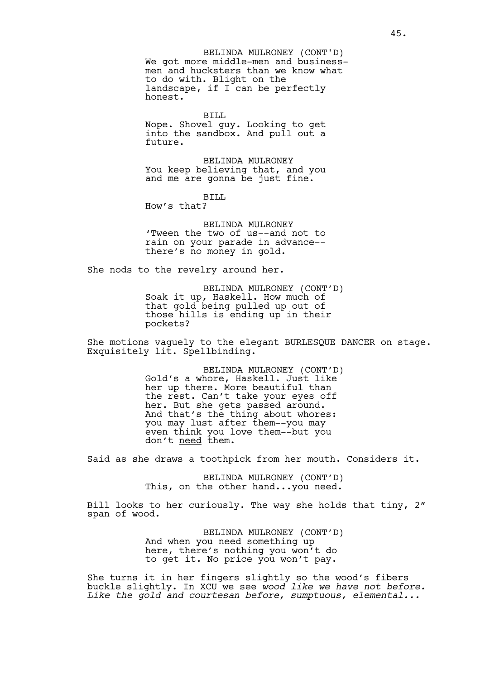We got more middle-men and businessmen and hucksters than we know what to do with. Blight on the landscape, if I can be perfectly honest. BELINDA MULRONEY (CONT'D)

BILL

Nope. Shovel guy. Looking to get into the sandbox. And pull out a future.

BELINDA MULRONEY You keep believing that, and you and me are gonna be just fine.

BILL

How's that?

BELINDA MULRONEY 'Tween the two of us--and not to rain on your parade in advance- there's no money in gold.

She nods to the revelry around her.

BELINDA MULRONEY (CONT'D) Soak it up, Haskell. How much of that gold being pulled up out of those hills is ending up in their pockets?

She motions vaguely to the elegant BURLESQUE DANCER on stage. Exquisitely lit. Spellbinding.

> BELINDA MULRONEY (CONT'D) Gold's a whore, Haskell. Just like her up there. More beautiful than the rest. Can't take your eyes off her. But she gets passed around. And that's the thing about whores: you may lust after them--you may even think you love them--but you don't need them.

Said as she draws a toothpick from her mouth. Considers it.

BELINDA MULRONEY (CONT'D) This, on the other hand...you need.

Bill looks to her curiously. The way she holds that tiny, 2" span of wood.

> BELINDA MULRONEY (CONT'D) And when you need something up here, there's nothing you won't do to get it. No price you won't pay.

She turns it in her fingers slightly so the wood's fibers buckle slightly. In XCU we see *wood like we have not before. Like the gold and courtesan before, sumptuous, elemental...*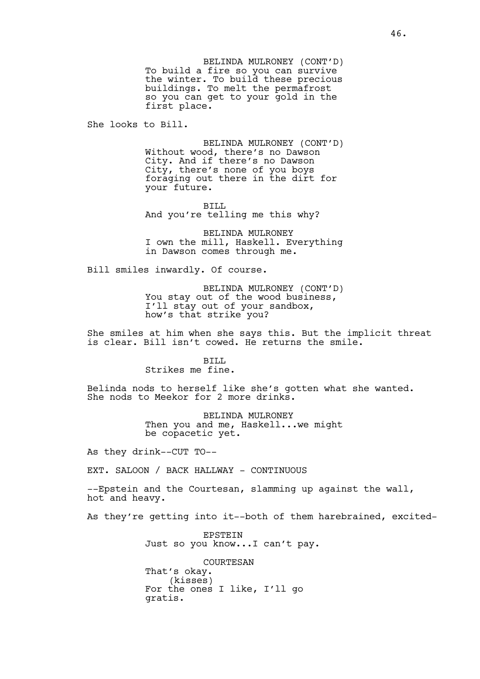BELINDA MULRONEY (CONT'D) To build a fire so you can survive the winter. To build these precious buildings. To melt the permafrost so you can get to your gold in the first place.

She looks to Bill.

BELINDA MULRONEY (CONT'D) Without wood, there's no Dawson City. And if there's no Dawson City, there's none of you boys foraging out there in the dirt for your future.

BILL And you're telling me this why?

BELINDA MULRONEY I own the mill, Haskell. Everything in Dawson comes through me.

Bill smiles inwardly. Of course.

BELINDA MULRONEY (CONT'D) You stay out of the wood business, I'll stay out of your sandbox, how's that strike you?

She smiles at him when she says this. But the implicit threat is clear. Bill isn't cowed. He returns the smile.

# BILL

Strikes me fine.

Belinda nods to herself like she's gotten what she wanted. She nods to Meekor for 2 more drinks.

> BELINDA MULRONEY Then you and me, Haskell...we might be copacetic yet.

As they drink--CUT TO--

EXT. SALOON / BACK HALLWAY - CONTINUOUS

--Epstein and the Courtesan, slamming up against the wall, hot and heavy.

As they're getting into it--both of them harebrained, excited-

EPSTEIN Just so you know...I can't pay.

COURTESAN That's okay. (kisses) For the ones I like, I'll go gratis.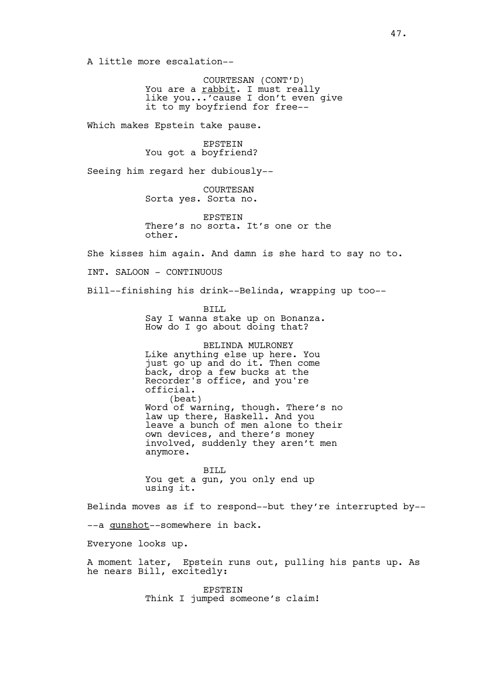A little more escalation--

COURTESAN (CONT'D) You are a rabbit. I must really like you...' cause I don't even give it to my boyfriend for free--

Which makes Epstein take pause.

EPSTEIN You got a boyfriend?

Seeing him regard her dubiously--

COURTESAN Sorta yes. Sorta no.

EPSTEIN There's no sorta. It's one or the other.

She kisses him again. And damn is she hard to say no to.

INT. SALOON - CONTINUOUS

Bill--finishing his drink--Belinda, wrapping up too--

BILL Say I wanna stake up on Bonanza. How do I go about doing that?

BELINDA MULRONEY Like anything else up here. You just go up and do it. Then come back, drop a few bucks at the Recorder's office, and you're official. (beat) Word of warning, though. There's no law up there, Haskell. And you leave a bunch of men alone to their own devices, and there's money involved, suddenly they aren't men anymore.

BILL You get a gun, you only end up using it.

Belinda moves as if to respond--but they're interrupted by-- --a gunshot--somewhere in back.

Everyone looks up.

A moment later, Epstein runs out, pulling his pants up. As he nears Bill, excitedly:

> EPSTEIN Think I jumped someone's claim!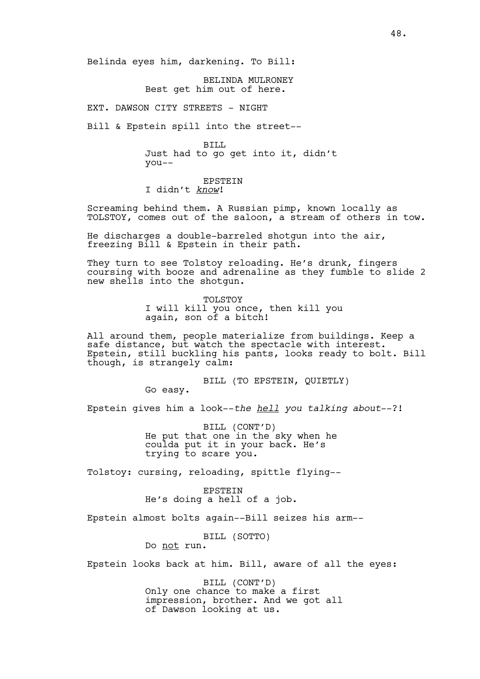Belinda eyes him, darkening. To Bill:

BELINDA MULRONEY Best get him out of here.

EXT. DAWSON CITY STREETS - NIGHT

Bill & Epstein spill into the street--

BILL Just had to go get into it, didn't you--

EPSTEIN I didn't *know*!

Screaming behind them. A Russian pimp, known locally as TOLSTOY, comes out of the saloon, a stream of others in tow.

He discharges a double-barreled shotgun into the air, freezing Bill & Epstein in their path.

They turn to see Tolstoy reloading. He's drunk, fingers coursing with booze and adrenaline as they fumble to slide 2 new shells into the shotqun.

> TOLSTOY I will kill you once, then kill you again, son of a bitch!

All around them, people materialize from buildings. Keep a safe distance, but watch the spectacle with interest. Epstein, still buckling his pants, looks ready to bolt. Bill though, is strangely calm:

BILL (TO EPSTEIN, QUIETLY)

Go easy.

Epstein gives him a look--*the hell you talking about*--?!

BILL (CONT'D) He put that one in the sky when he coulda put it in your back. He's trying to scare you.

Tolstoy: cursing, reloading, spittle flying--

EPSTEIN He's doing a hell of a job.

Epstein almost bolts again--Bill seizes his arm--

BILL (SOTTO)

Do not run.

Epstein looks back at him. Bill, aware of all the eyes:

BILL (CONT'D) Only one chance to make a first impression, brother. And we got all of Dawson looking at us.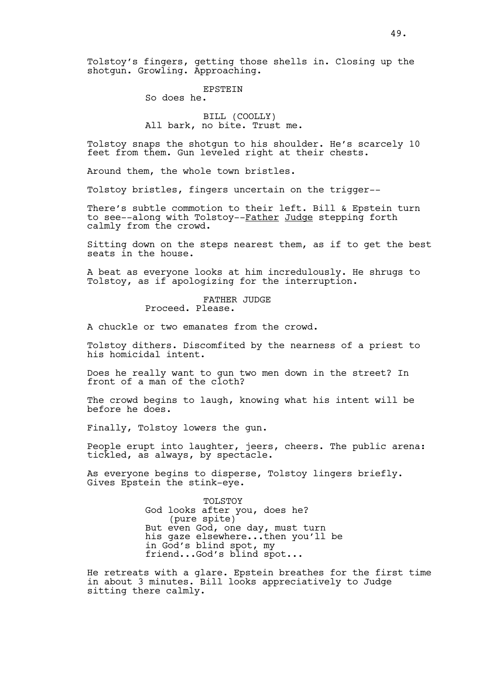EPSTEIN

So does he.

# BILL (COOLLY) All bark, no bite. Trust me.

Tolstoy snaps the shotgun to his shoulder. He's scarcely 10 feet from them. Gun leveled right at their chests.

Around them, the whole town bristles.

Tolstoy bristles, fingers uncertain on the trigger--

There's subtle commotion to their left. Bill & Epstein turn to see--along with Tolstoy--Father Judge stepping forth calmly from the crowd.

Sitting down on the steps nearest them, as if to get the best seats in the house.

A beat as everyone looks at him incredulously. He shrugs to Tolstoy, as if apologizing for the interruption.

# FATHER JUDGE Proceed. Please.

A chuckle or two emanates from the crowd.

Tolstoy dithers. Discomfited by the nearness of a priest to his homicidal intent.

Does he really want to gun two men down in the street? In front of a man of the cloth?

The crowd begins to laugh, knowing what his intent will be before he does.

Finally, Tolstoy lowers the gun.

People erupt into laughter, jeers, cheers. The public arena: tickled, as always, by spectacle.

As everyone begins to disperse, Tolstoy lingers briefly. Gives Epstein the stink-eye.

> TOLSTOY God looks after you, does he? (pure spite) But even God, one day, must turn his gaze elsewhere...then you'll be in God's blind spot, my friend...God's blind spot...

He retreats with a glare. Epstein breathes for the first time in about 3 minutes. Bill looks appreciatively to Judge sitting there calmly.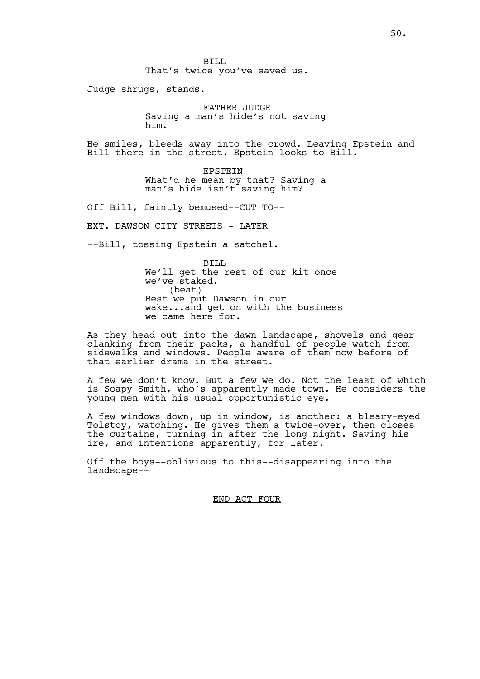BTLL That's twice you've saved us.

Judge shrugs, stands.

FATHER JUDGE Saving a man's hide's not saving him.

He smiles, bleeds away into the crowd. Leaving Epstein and Bill there in the street. Epstein looks to Bill.

> EPSTEIN What'd he mean by that? Saving a man's hide isn't saving him?

Off Bill, faintly bemused--CUT TO--

EXT. DAWSON CITY STREETS - LATER

--Bill, tossing Epstein a satchel.

BILL We'll get the rest of our kit once we've staked. (beat) Best we put Dawson in our wake...and get on with the business we came here for.

As they head out into the dawn landscape, shovels and gear clanking from their packs, a handful of people watch from sidewalks and windows. People aware of them now before of that earlier drama in the street.

A few we don't know. But a few we do. Not the least of which is Soapy Smith, who's apparently made town. He considers the young men with his usual opportunistic eye.

A few windows down, up in window, is another: a bleary-eyed Tolstoy, watching. He gives them a twice-over, then closes the curtains, turning in after the long night. Saving his ire, and intentions apparently, for later.

Off the boys--oblivious to this--disappearing into the landscape--

END ACT FOUR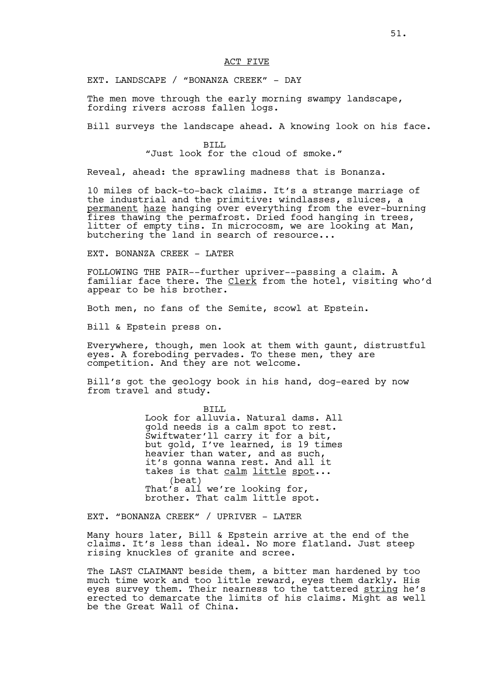#### ACT FIVE

EXT. LANDSCAPE / "BONANZA CREEK" - DAY

The men move through the early morning swampy landscape, fording rivers across fallen logs.

Bill surveys the landscape ahead. A knowing look on his face.

BILL "Just look for the cloud of smoke."

Reveal, ahead: the sprawling madness that is Bonanza.

10 miles of back-to-back claims. It's a strange marriage of the industrial and the primitive: windlasses, sluices, a permanent haze hanging over everything from the ever-burning fires thawing the permafrost. Dried food hanging in trees, litter of empty tins. In microcosm, we are looking at Man, butchering the land in search of resource...

EXT. BONANZA CREEK - LATER

FOLLOWING THE PAIR--further upriver--passing a claim. A familiar face there. The Clerk from the hotel, visiting who'd appear to be his brother.

Both men, no fans of the Semite, scowl at Epstein.

Bill & Epstein press on.

Everywhere, though, men look at them with gaunt, distrustful eyes. A foreboding pervades. To these men, they are competition. And they are not welcome.

Bill's got the geology book in his hand, dog-eared by now from travel and study.

> BILL Look for alluvia. Natural dams. All gold needs is a calm spot to rest. Swiftwater'll carry it for a bit, but gold, I've learned, is 19 times heavier than water, and as such, it's gonna wanna rest. And all it takes is that  $\frac{\text{calm}}{\text{left}}$  little spot... That's all we're looking for, brother. That calm little spot.

EXT. "BONANZA CREEK" / UPRIVER - LATER

Many hours later, Bill & Epstein arrive at the end of the claims. It's less than ideal. No more flatland. Just steep rising knuckles of granite and scree.

The LAST CLAIMANT beside them, a bitter man hardened by too much time work and too little reward, eyes them darkly. His eyes survey them. Their nearness to the tattered string he's erected to demarcate the limits of his claims. Might as well be the Great Wall of China.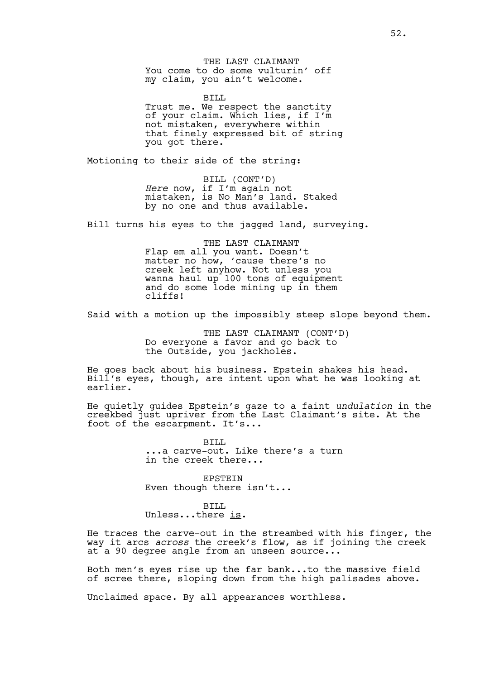THE LAST CLAIMANT You come to do some vulturin' off my claim, you ain't welcome.

BILL Trust me. We respect the sanctity of your claim. Which lies, if I'm not mistaken, everywhere within that finely expressed bit of string you got there.

Motioning to their side of the string:

BILL (CONT'D) Here now, if I'm again not mistaken, is No Man's land. Staked by no one and thus available.

Bill turns his eyes to the jagged land, surveying.

THE LAST CLAIMANT Flap em all you want. Doesn't matter no how, 'cause there's no creek left anyhow. Not unless you wanna haul up 100 tons of equipment and do some lode mining up in them cliffs!

Said with a motion up the impossibly steep slope beyond them.

THE LAST CLAIMANT (CONT'D) Do everyone a favor and go back to the Outside, you jackholes.

He goes back about his business. Epstein shakes his head. Bill's eyes, though, are intent upon what he was looking at earlier.

He quietly guides Epstein's gaze to a faint *undulation* in the creekbed just upriver from the Last Claimant's site. At the foot of the escarpment. It's...

> BILL ...a carve-out. Like there's a turn in the creek there...

EPSTEIN Even though there isn't...

BILL.

Unless...there is.

He traces the carve-out in the streambed with his finger, the way it arcs *across* the creek's flow, as if joining the creek at a 90 degree angle from an unseen source...

Both men's eyes rise up the far bank...to the massive field of scree there, sloping down from the high palisades above.

Unclaimed space. By all appearances worthless.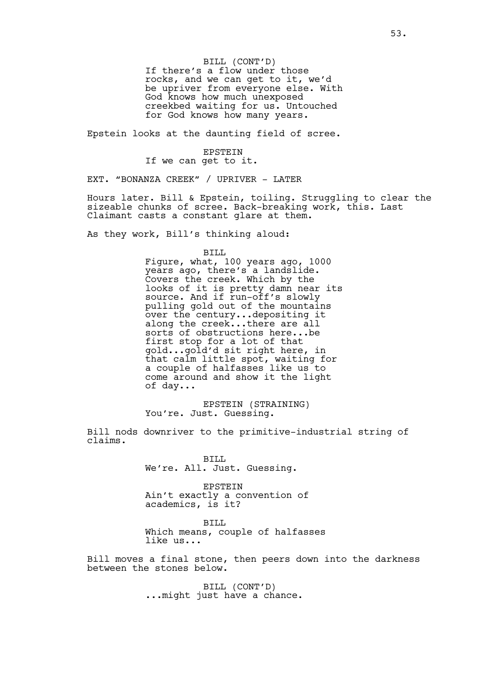BILL (CONT'D) If there's a flow under those rocks, and we can get to it, we'd be upriver from everyone else. With God knows how much unexposed creekbed waiting for us. Untouched for God knows how many years.

Epstein looks at the daunting field of scree.

EPSTEIN

If we can get to it.

EXT. "BONANZA CREEK" / UPRIVER - LATER

Hours later. Bill & Epstein, toiling. Struggling to clear the sizeable chunks of scree. Back-breaking work, this. Last Claimant casts a constant glare at them.

As they work, Bill's thinking aloud:

BILL

Figure, what, 100 years ago, 1000 years ago, there's a landslide. Covers the creek. Which by the looks of it is pretty damn near its source. And if run-off's slowly pulling gold out of the mountains over the century...depositing it along the creek...there are all sorts of obstructions here...be first stop for a lot of that gold...gold'd sit right here, in that calm little spot, waiting for a couple of halfasses like us to come around and show it the light of day...

EPSTEIN (STRAINING) You're. Just. Guessing.

Bill nods downriver to the primitive-industrial string of claims.

> BILL We're. All. Just. Guessing.

EPSTEIN Ain't exactly a convention of academics, is it?

BILL Which means, couple of halfasses like us...

Bill moves a final stone, then peers down into the darkness between the stones below.

> BILL (CONT'D) ...might just have a chance.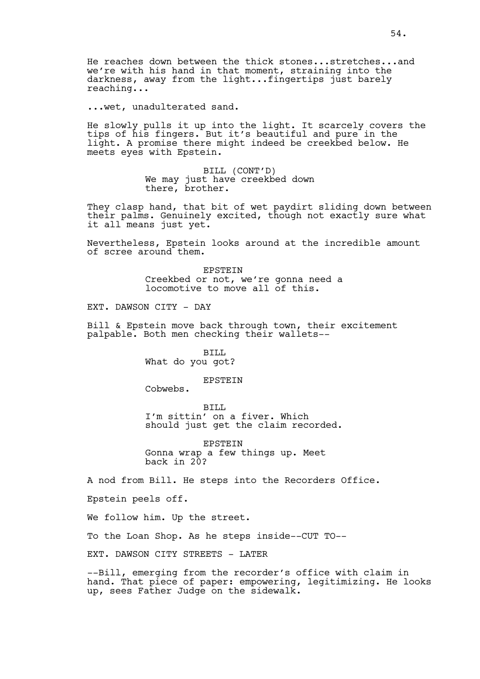He reaches down between the thick stones...stretches...and we're with his hand in that moment, straining into the darkness, away from the light...fingertips just barely reaching...

...wet, unadulterated sand.

He slowly pulls it up into the light. It scarcely covers the tips of his fingers. But it's beautiful and pure in the light. A promise there might indeed be creekbed below. He meets eyes with Epstein.

> BILL (CONT'D) We may just have creekbed down there, brother.

They clasp hand, that bit of wet paydirt sliding down between their palms. Genuinely excited, though not exactly sure what it all means just yet.

Nevertheless, Epstein looks around at the incredible amount of scree around them.

> EPSTEIN Creekbed or not, we're gonna need a locomotive to move all of this.

EXT. DAWSON CITY - DAY

Bill & Epstein move back through town, their excitement palpable. Both men checking their wallets--

> BILL What do you got?

> > EPSTEIN

Cobwebs.

BILL I'm sittin' on a fiver. Which should just get the claim recorded.

EPSTEIN Gonna wrap a few things up. Meet back in 20?

A nod from Bill. He steps into the Recorders Office.

Epstein peels off.

We follow him. Up the street.

To the Loan Shop. As he steps inside--CUT TO--

EXT. DAWSON CITY STREETS - LATER

--Bill, emerging from the recorder's office with claim in hand. That piece of paper: empowering, legitimizing. He looks up, sees Father Judge on the sidewalk.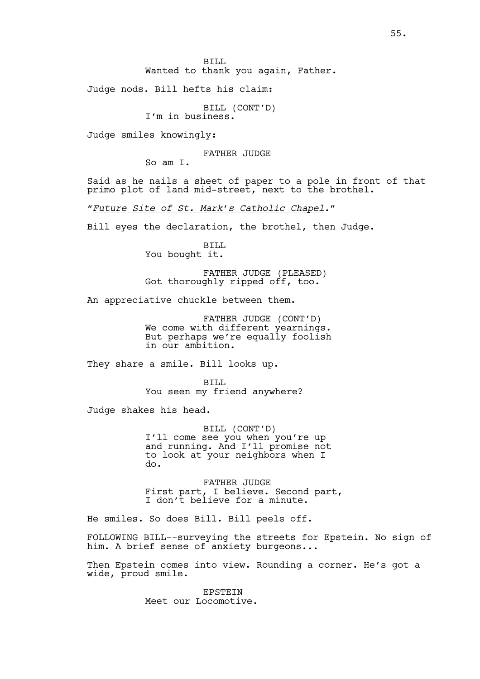BILL Wanted to thank you again, Father.

Judge nods. Bill hefts his claim:

BILL (CONT'D) I'm in business.

Judge smiles knowingly:

FATHER JUDGE

So am I.

Said as he nails a sheet of paper to a pole in front of that primo plot of land mid-street, next to the brothel.

"*Future Site of St. Mark's Catholic Chapel*."

Bill eyes the declaration, the brothel, then Judge.

BILL You bought it.

FATHER JUDGE (PLEASED) Got thoroughly ripped off, too.

An appreciative chuckle between them.

FATHER JUDGE (CONT'D) We come with different yearnings. But perhaps we're equally foolish in our ambition.

They share a smile. Bill looks up.

BILL You seen my friend anywhere?

Judge shakes his head.

BILL (CONT'D) I'll come see you when you're up and running. And I'll promise not to look at your neighbors when I do.

FATHER JUDGE First part, I believe. Second part, I don't believe for a minute.

He smiles. So does Bill. Bill peels off.

FOLLOWING BILL--surveying the streets for Epstein. No sign of him. A brief sense of anxiety burgeons...

Then Epstein comes into view. Rounding a corner. He's got a wide, proud smile.

> EPSTEIN Meet our Locomotive.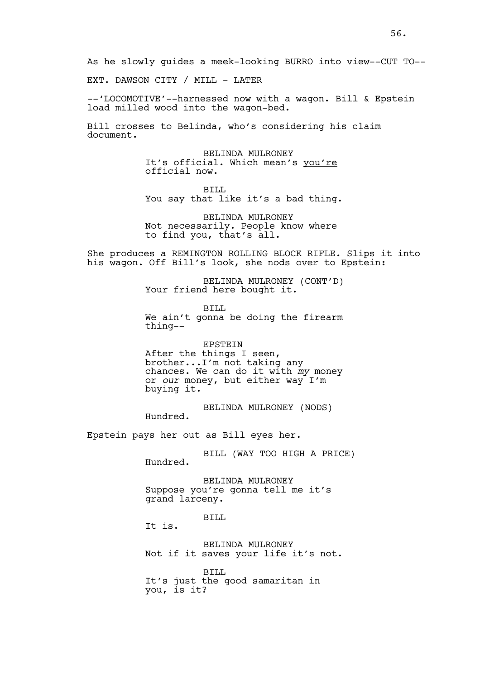EXT. DAWSON CITY / MILL - LATER

--'LOCOMOTIVE'--harnessed now with a wagon. Bill & Epstein load milled wood into the wagon-bed.

Bill crosses to Belinda, who's considering his claim document.

> BELINDA MULRONEY It's official. Which mean's you're official now.

BILL You say that like it's a bad thing.

BELINDA MULRONEY Not necessarily. People know where to find you, that's all.

She produces a REMINGTON ROLLING BLOCK RIFLE. Slips it into his wagon. Off Bill's look, she nods over to Epstein:

> BELINDA MULRONEY (CONT'D) Your friend here bought it.

> BILL We ain't gonna be doing the firearm thing--

EPSTEIN After the things I seen, brother...I'm not taking any chances. We can do it with *my* money or *our* money, but either way I'm buying it.

BELINDA MULRONEY (NODS) Hundred.

Epstein pays her out as Bill eyes her.

BILL (WAY TOO HIGH A PRICE)

Hundred.

BELINDA MULRONEY Suppose you're gonna tell me it's grand larceny.

BILL

It is.

BELINDA MULRONEY Not if it saves your life it's not.

BILL It's just the good samaritan in you, is it?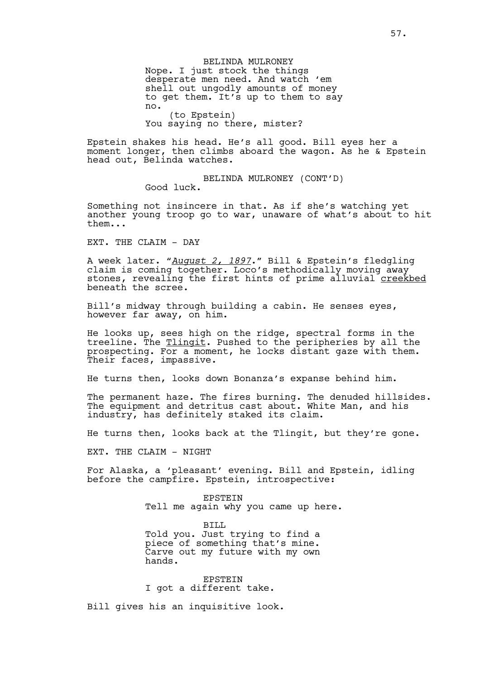BELINDA MULRONEY Nope. I just stock the things desperate men need. And watch 'em shell out ungodly amounts of money to get them. It's up to them to say no. (to Epstein) You saying no there, mister?

Epstein shakes his head. He's all good. Bill eyes her a moment longer, then climbs aboard the wagon. As he & Epstein head out, Belinda watches.

> BELINDA MULRONEY (CONT'D) Good luck.

Something not insincere in that. As if she's watching yet another young troop go to war, unaware of what's about to hit them...

EXT. THE CLAIM - DAY

A week later. "*August 2, 1897*." Bill & Epstein's fledgling claim is coming together. Loco's methodically moving away stones, revealing the first hints of prime alluvial creekbed beneath the scree.

Bill's midway through building a cabin. He senses eyes, however far away, on him.

He looks up, sees high on the ridge, spectral forms in the treeline. The Tlingit. Pushed to the peripheries by all the prospecting. For a moment, he locks distant gaze with them. Their faces, impassive.

He turns then, looks down Bonanza's expanse behind him.

The permanent haze. The fires burning. The denuded hillsides. The equipment and detritus cast about. White Man, and his industry, has definitely staked its claim.

He turns then, looks back at the Tlingit, but they're gone.

EXT. THE CLAIM - NIGHT

For Alaska, a 'pleasant' evening. Bill and Epstein, idling before the campfire. Epstein, introspective:

> EPSTEIN Tell me again why you came up here.

BILL Told you. Just trying to find a piece of something that's mine. Carve out my future with my own hands.

EPSTEIN I got a different take.

Bill gives his an inquisitive look.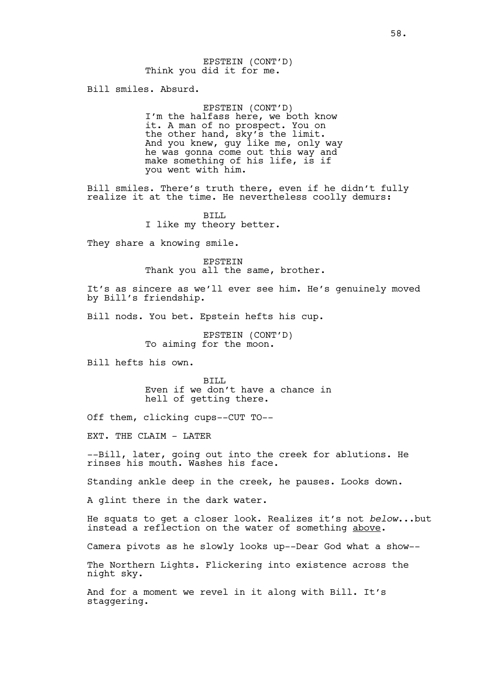Bill smiles. Absurd.

EPSTEIN (CONT'D) I'm the halfass here, we both know it. A man of no prospect. You on the other hand, sky's the limit. And you knew, guy like me, only way he was gonna come out this way and make something of his life, is if you went with him.

Bill smiles. There's truth there, even if he didn't fully realize it at the time. He nevertheless coolly demurs:

> BILL I like my theory better.

They share a knowing smile.

**EPSTEIN** Thank you all the same, brother.

It's as sincere as we'll ever see him. He's genuinely moved by Bill's friendship.

Bill nods. You bet. Epstein hefts his cup.

EPSTEIN (CONT'D) To aiming for the moon.

Bill hefts his own.

BILL Even if we don't have a chance in hell of getting there.

Off them, clicking cups--CUT TO--

EXT. THE CLAIM - LATER

--Bill, later, going out into the creek for ablutions. He rinses his mouth. Washes his face.

Standing ankle deep in the creek, he pauses. Looks down.

A glint there in the dark water.

He squats to get a closer look. Realizes it's not *below*...but instead a reflection on the water of something above.

Camera pivots as he slowly looks up--Dear God what a show--

The Northern Lights. Flickering into existence across the night sky.

And for a moment we revel in it along with Bill. It's staggering.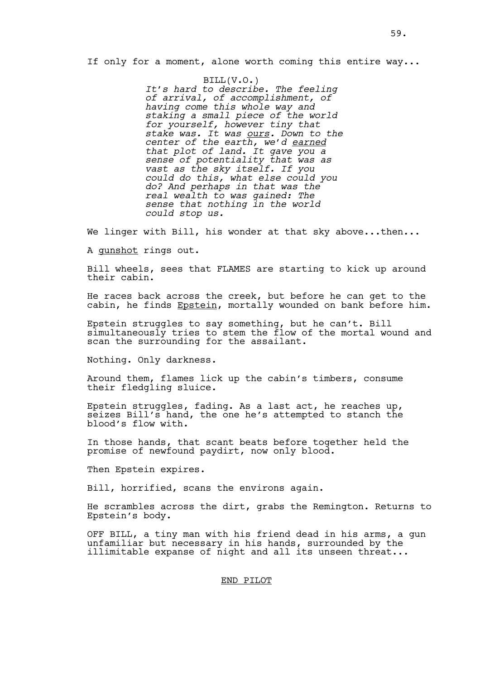If only for a moment, alone worth coming this entire way...

BILL(V.O.) *It's hard to describe. The feeling of arrival, of accomplishment, of having come this whole way and staking a small piece of the world for yourself, however tiny that stake was. It was ours. Down to the center of the earth, we'd earned that plot of land. It gave you a sense of potentiality that was as vast as the sky itself. If you could do this, what else could you do? And perhaps in that was the real wealth to was gained: The sense that nothing in the world could stop us.* 

We linger with Bill, his wonder at that sky above...then...

A gunshot rings out.

Bill wheels, sees that FLAMES are starting to kick up around their cabin.

He races back across the creek, but before he can get to the cabin, he finds Epstein, mortally wounded on bank before him.

Epstein struggles to say something, but he can't. Bill simultaneously tries to stem the flow of the mortal wound and scan the surrounding for the assailant.

Nothing. Only darkness.

Around them, flames lick up the cabin's timbers, consume their fledgling sluice.

Epstein struggles, fading. As a last act, he reaches up, seizes Bill's hand, the one he's attempted to stanch the blood's flow with.

In those hands, that scant beats before together held the promise of newfound paydirt, now only blood.

Then Epstein expires.

Bill, horrified, scans the environs again.

He scrambles across the dirt, grabs the Remington. Returns to Epstein's body.

OFF BILL, a tiny man with his friend dead in his arms, a gun unfamiliar but necessary in his hands, surrounded by the illimitable expanse of night and all its unseen threat...

# END PILOT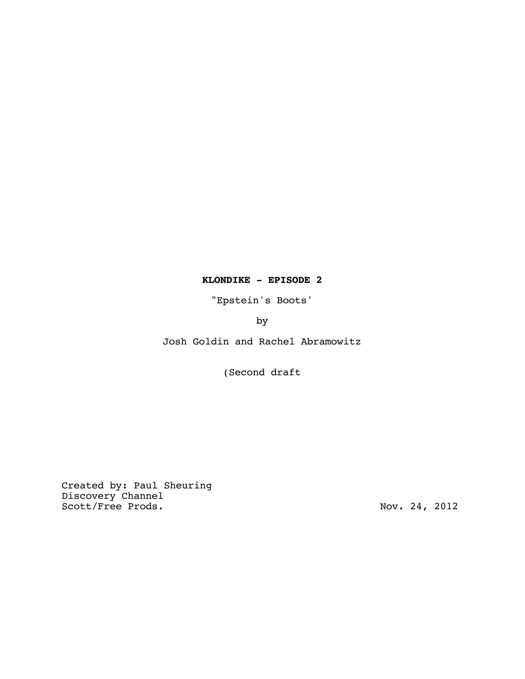# **KLONDIKE - EPISODE 2**

"Epstein's Boots'

by

Josh Goldin and Rachel Abramowitz

(Second draft

Created by: Paul Sheuring Discovery Channel Scott/Free Prods. Nov. 24, 2012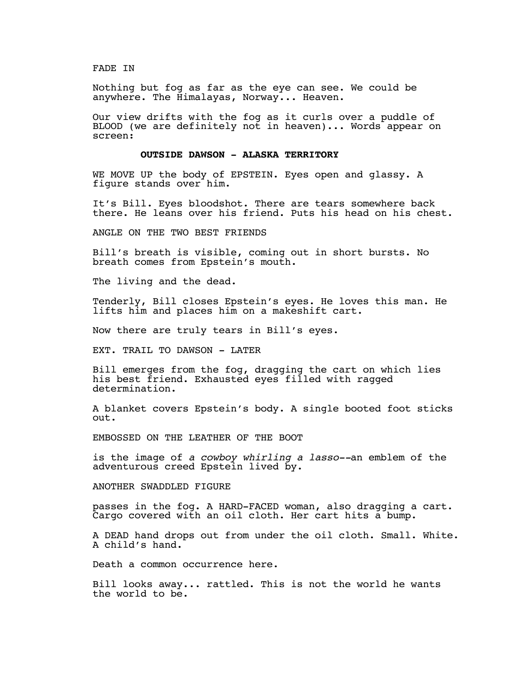### FADE IN

Nothing but fog as far as the eye can see. We could be anywhere. The Himalayas, Norway... Heaven.

Our view drifts with the fog as it curls over a puddle of BLOOD (we are definitely not in heaven)... Words appear on screen:

#### **OUTSIDE DAWSON - ALASKA TERRITORY**

WE MOVE UP the body of EPSTEIN. Eyes open and glassy. A figure stands over him.

It's Bill. Eyes bloodshot. There are tears somewhere back there. He leans over his friend. Puts his head on his chest.

ANGLE ON THE TWO BEST FRIENDS

Bill's breath is visible, coming out in short bursts. No breath comes from Epstein's mouth.

The living and the dead.

Tenderly, Bill closes Epstein's eyes. He loves this man. He lifts him and places him on a makeshift cart.

Now there are truly tears in Bill's eyes.

EXT. TRAIL TO DAWSON - LATER

Bill emerges from the fog, dragging the cart on which lies his best friend. Exhausted eyes filled with ragged determination.

A blanket covers Epstein's body. A single booted foot sticks out.

EMBOSSED ON THE LEATHER OF THE BOOT

is the image of *a cowboy whirling a lasso--*an emblem of the adventurous creed Epstein lived by.

ANOTHER SWADDLED FIGURE

passes in the fog. A HARD-FACED woman, also dragging a cart. Cargo covered with an oil cloth. Her cart hits a bump.

A DEAD hand drops out from under the oil cloth. Small. White. A child's hand.

Death a common occurrence here.

Bill looks away... rattled. This is not the world he wants the world to be.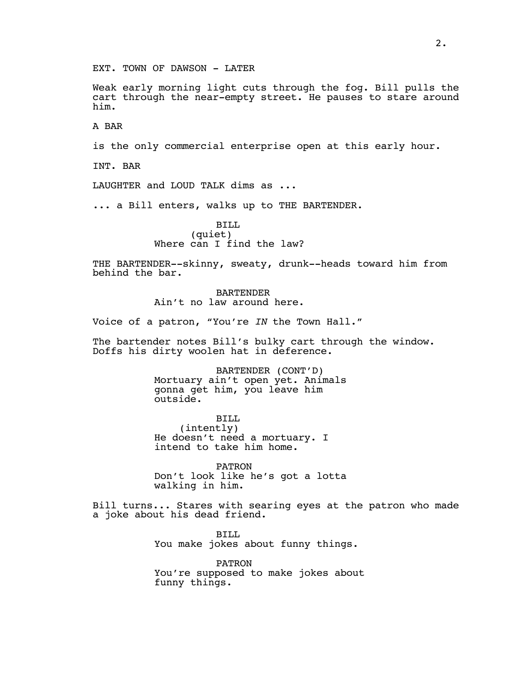EXT. TOWN OF DAWSON - LATER

Weak early morning light cuts through the fog. Bill pulls the cart through the near-empty street. He pauses to stare around him.

A BAR

is the only commercial enterprise open at this early hour.

INT. BAR

LAUGHTER and LOUD TALK dims as ...

... a Bill enters, walks up to THE BARTENDER.

BILL (quiet) Where can I find the law?

THE BARTENDER--skinny, sweaty, drunk--heads toward him from behind the bar.

> BARTENDER Ain't no law around here.

Voice of a patron, "You're *IN* the Town Hall."

The bartender notes Bill's bulky cart through the window. Doffs his dirty woolen hat in deference.

> BARTENDER (CONT'D) Mortuary ain't open yet. Animals gonna get him, you leave him outside.

BILL (intently) He doesn't need a mortuary. I intend to take him home.

PATRON Don't look like he's got a lotta walking in him.

Bill turns... Stares with searing eyes at the patron who made a joke about his dead friend.

> BILL You make jokes about funny things.

PATRON You're supposed to make jokes about funny things.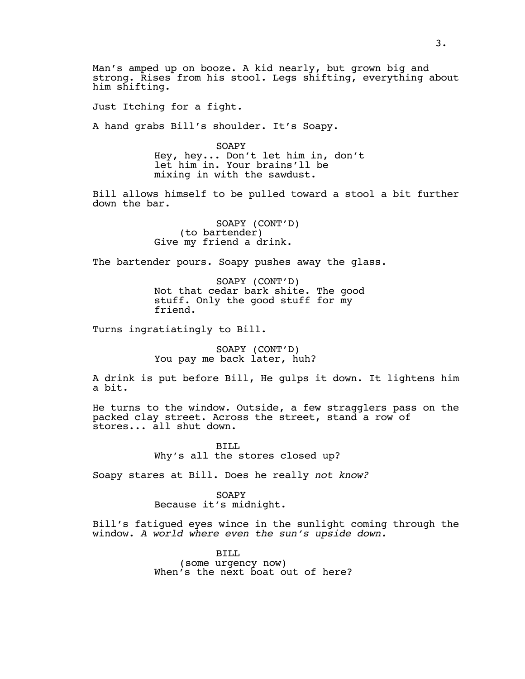Man's amped up on booze. A kid nearly, but grown big and strong. Rises from his stool. Legs shifting, everything about him shifting.

Just Itching for a fight.

A hand grabs Bill's shoulder. It's Soapy.

SOAPY Hey, hey... Don't let him in, don't let him in. Your brains'll be mixing in with the sawdust.

Bill allows himself to be pulled toward a stool a bit further down the bar.

> SOAPY (CONT'D) (to bartender) Give my friend a drink.

The bartender pours. Soapy pushes away the glass.

SOAPY (CONT'D) Not that cedar bark shite. The good stuff. Only the good stuff for my friend.

Turns ingratiatingly to Bill.

SOAPY (CONT'D) You pay me back later, huh?

A drink is put before Bill, He gulps it down. It lightens him a bit.

He turns to the window. Outside, a few stragglers pass on the packed clay street. Across the street, stand a row of stores... all shut down.

> BILL. Why's all the stores closed up?

Soapy stares at Bill. Does he really *not know?*

SOAPY Because it's midnight.

Bill's fatigued eyes wince in the sunlight coming through the window. *A world where even the sun's upside down.*

> BILL (some urgency now) When's the next boat out of here?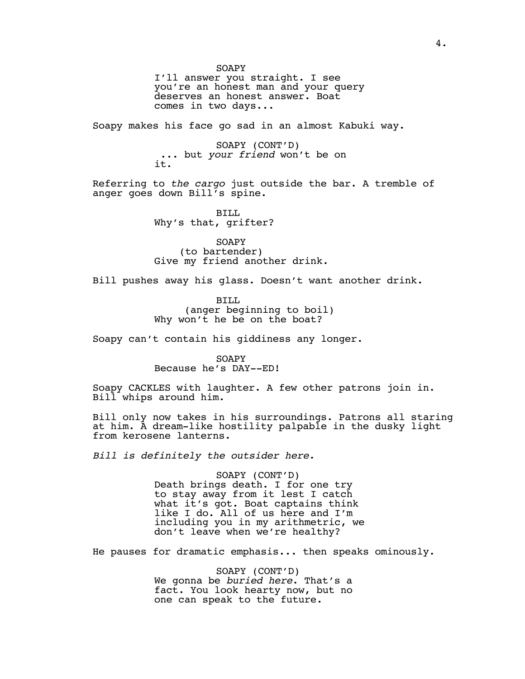SOAPY I'll answer you straight. I see you're an honest man and your query deserves an honest answer. Boat comes in two days...

Soapy makes his face go sad in an almost Kabuki way.

SOAPY (CONT'D) ... but *your friend* won't be on it.

Referring to *the cargo* just outside the bar. A tremble of anger goes down Bill's spine.

> BILL Why's that, grifter?

SOAPY (to bartender) Give my friend another drink.

Bill pushes away his glass. Doesn't want another drink.

BILL (anger beginning to boil) Why won't he be on the boat?

Soapy can't contain his giddiness any longer.

SOAPY Because he's DAY--ED!

Soapy CACKLES with laughter. A few other patrons join in. Bill whips around him.

Bill only now takes in his surroundings. Patrons all staring at him. A dream-like hostility palpable in the dusky light from kerosene lanterns.

*Bill is definitely the outsider here.*

SOAPY (CONT'D) Death brings death. I for one try to stay away from it lest I catch what it's got. Boat captains think like I do. All of us here and I'm including you in my arithmetric, we don't leave when we're healthy?

He pauses for dramatic emphasis... then speaks ominously.

SOAPY (CONT'D) We gonna be *buried here*. That's a fact. You look hearty now, but no one can speak to the future.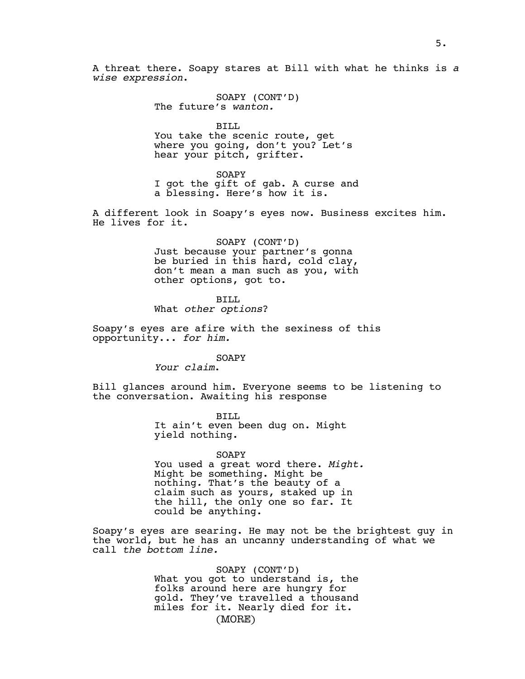A threat there. Soapy stares at Bill with what he thinks is *a wise expression*.

> SOAPY (CONT'D) The future's *wanton.*

BILL You take the scenic route, get where you going, don't you? Let's hear your pitch, grifter.

SOAPY I got the gift of gab. A curse and a blessing. Here's how it is.

A different look in Soapy's eyes now. Business excites him. He lives for it.

# SOAPY (CONT'D) Just because your partner's gonna be buried in this hard, cold clay, don't mean a man such as you, with other options, got to.

BILL What *other options*?

Soapy's eyes are afire with the sexiness of this opportunity... *for him.*

#### SOAPY

*Your claim*.

Bill glances around him. Everyone seems to be listening to the conversation. Awaiting his response

> BILL It ain't even been dug on. Might yield nothing.

SOAPY You used a great word there. *Might.*  Might be something. Might be nothing*.* That's the beauty of a claim such as yours, staked up in the hill, the only one so far. It could be anything.

Soapy's eyes are searing. He may not be the brightest guy in the world, but he has an uncanny understanding of what we call *the bottom line.*

> SOAPY (CONT'D) What you got to understand is, the folks around here are hungry for gold. They've travelled a thousand miles for it. Nearly died for it. (MORE)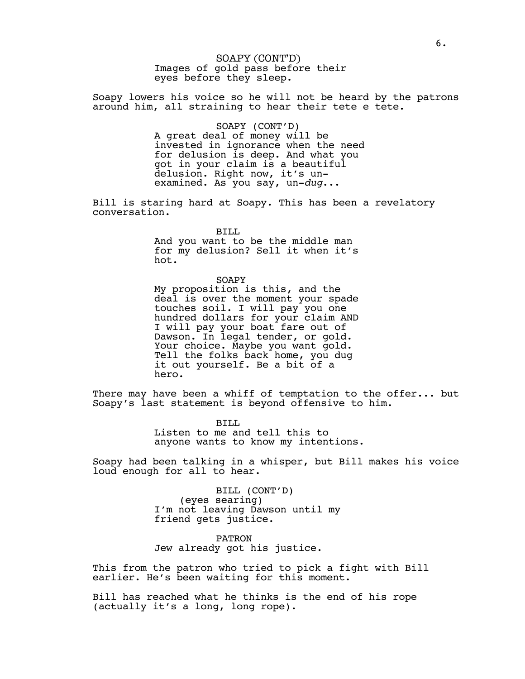## Images of gold pass before their eyes before they sleep. SOAPY (CONT'D)

Soapy lowers his voice so he will not be heard by the patrons around him, all straining to hear their tete e tete.

> SOAPY (CONT'D) A great deal of money will be invested in ignorance when the need for delusion is deep. And what you got in your claim is a beautiful delusion. Right now, it's unexamined. As you say, un-*dug*...

Bill is staring hard at Soapy. This has been a revelatory conversation.

> BILL And you want to be the middle man for my delusion? Sell it when it's hot.

> SOAPY My proposition is this, and the deal is over the moment your spade touches soil. I will pay you one hundred dollars for your claim AND I will pay your boat fare out of Dawson. In legal tender, or gold. Your choice. Maybe you want gold. Tell the folks back home, you dug it out yourself. Be a bit of a hero.

There may have been a whiff of temptation to the offer... but Soapy's last statement is beyond offensive to him.

> BILL Listen to me and tell this to anyone wants to know my intentions.

Soapy had been talking in a whisper, but Bill makes his voice loud enough for all to hear.

> BILL (CONT'D) (eyes searing) I'm not leaving Dawson until my friend gets justice.

PATRON Jew already got his justice.

This from the patron who tried to pick a fight with Bill earlier. He's been waiting for this moment.

Bill has reached what he thinks is the end of his rope (actually it's a long, long rope).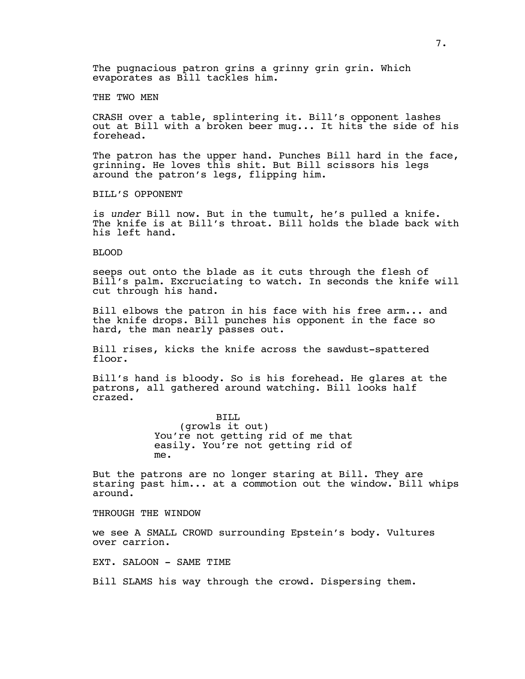The pugnacious patron grins a grinny grin grin. Which evaporates as Bill tackles him.

THE TWO MEN

CRASH over a table, splintering it. Bill's opponent lashes out at Bill with a broken beer mug... It hits the side of his forehead.

The patron has the upper hand. Punches Bill hard in the face, grinning. He loves this shit. But Bill scissors his legs around the patron's legs, flipping him.

BILL'S OPPONENT

is *under* Bill now. But in the tumult, he's pulled a knife. The knife is at Bill's throat. Bill holds the blade back with his left hand.

BLOOD

seeps out onto the blade as it cuts through the flesh of Bill's palm. Excruciating to watch. In seconds the knife will cut through his hand.

Bill elbows the patron in his face with his free arm... and the knife drops. Bill punches his opponent in the face so hard, the man nearly passes out.

Bill rises, kicks the knife across the sawdust-spattered floor.

Bill's hand is bloody. So is his forehead. He glares at the patrons, all gathered around watching. Bill looks half crazed.

> BILL. (growls it out) You're not getting rid of me that easily. You're not getting rid of me.

But the patrons are no longer staring at Bill. They are staring past him... at a commotion out the window. Bill whips around.

THROUGH THE WINDOW

we see A SMALL CROWD surrounding Epstein's body. Vultures over carrion.

EXT. SALOON - SAME TIME

Bill SLAMS his way through the crowd. Dispersing them.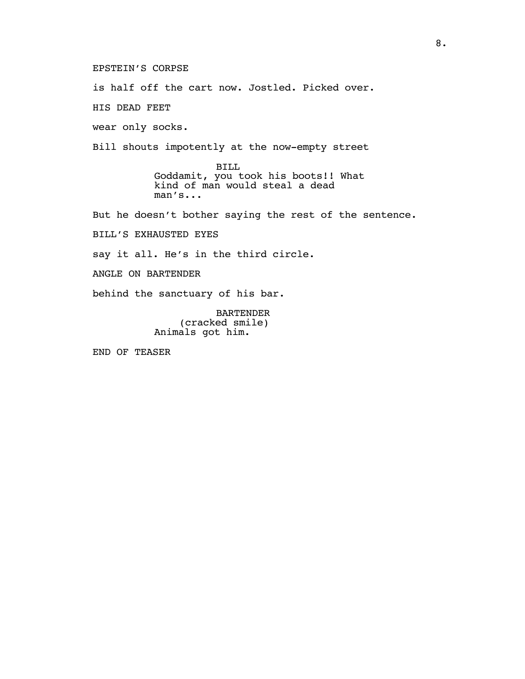## EPSTEIN'S CORPSE

is half off the cart now. Jostled. Picked over.

HIS DEAD FEET

wear only socks.

Bill shouts impotently at the now-empty street

BILL Goddamit, you took his boots!! What kind of man would steal a dead man's...

But he doesn't bother saying the rest of the sentence.

BILL'S EXHAUSTED EYES

say it all. He's in the third circle.

ANGLE ON BARTENDER

behind the sanctuary of his bar.

BARTENDER (cracked smile) Animals got him.

END OF TEASER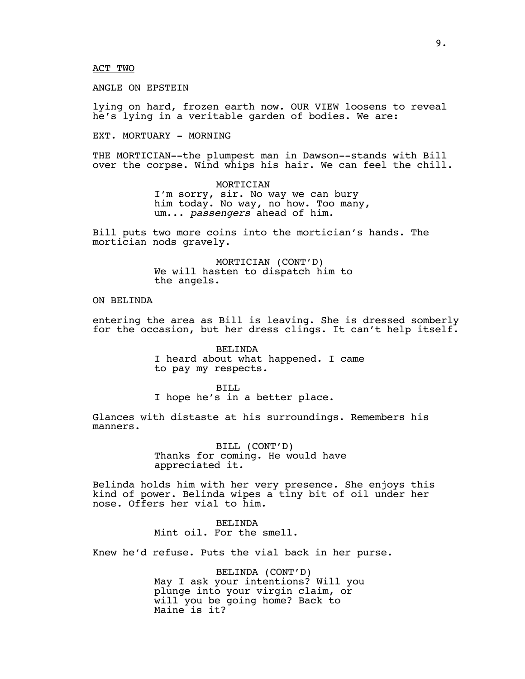#### ACT TWO

ANGLE ON EPSTEIN

lying on hard, frozen earth now. OUR VIEW loosens to reveal he's lying in a veritable garden of bodies. We are:

EXT. MORTUARY - MORNING

THE MORTICIAN--the plumpest man in Dawson--stands with Bill over the corpse. Wind whips his hair. We can feel the chill.

> MORTICIAN I'm sorry, sir. No way we can bury him today. No way, no how. Too many, um... *passengers* ahead of him.

Bill puts two more coins into the mortician's hands. The mortician nods gravely.

> MORTICIAN (CONT'D) We will hasten to dispatch him to the angels.

### ON BELINDA

entering the area as Bill is leaving. She is dressed somberly for the occasion, but her dress clings. It can't help itself.

> BELINDA I heard about what happened. I came to pay my respects.

> > BILL

I hope he's in a better place.

Glances with distaste at his surroundings. Remembers his manners.

> BILL (CONT'D) Thanks for coming. He would have appreciated it.

Belinda holds him with her very presence. She enjoys this kind of power. Belinda wipes a tiny bit of oil under her nose. Offers her vial to him.

> BELINDA Mint oil. For the smell.

Knew he'd refuse. Puts the vial back in her purse.

BELINDA (CONT'D) May I ask your intentions? Will you plunge into your virgin claim, or will you be going home? Back to Maine is it?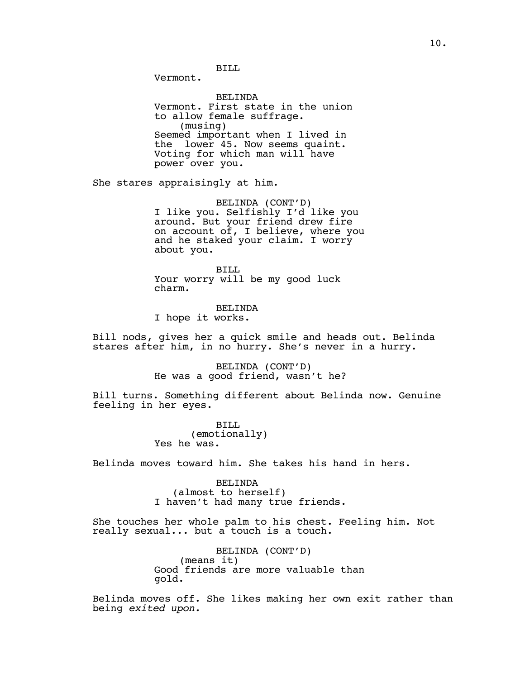BILL Vermont.

BELINDA Vermont. First state in the union to allow female suffrage. (musing) Seemed important when I lived in the lower 45. Now seems quaint. Voting for which man will have power over you.

She stares appraisingly at him.

BELINDA (CONT'D) I like you. Selfishly I'd like you around. But your friend drew fire on account of, I believe, where you and he staked your claim. I worry about you.

BILL Your worry will be my good luck charm.

BELINDA I hope it works.

Bill nods, gives her a quick smile and heads out. Belinda stares after him, in no hurry. She's never in a hurry.

> BELINDA (CONT'D) He was a good friend, wasn't he?

Bill turns. Something different about Belinda now. Genuine feeling in her eyes.

> BILL (emotionally) Yes he was.

Belinda moves toward him. She takes his hand in hers.

BELINDA (almost to herself) I haven't had many true friends.

She touches her whole palm to his chest. Feeling him. Not really sexual... but a touch is a touch.

> BELINDA (CONT'D) (means it) Good friends are more valuable than gold.

Belinda moves off. She likes making her own exit rather than being *exited upon.*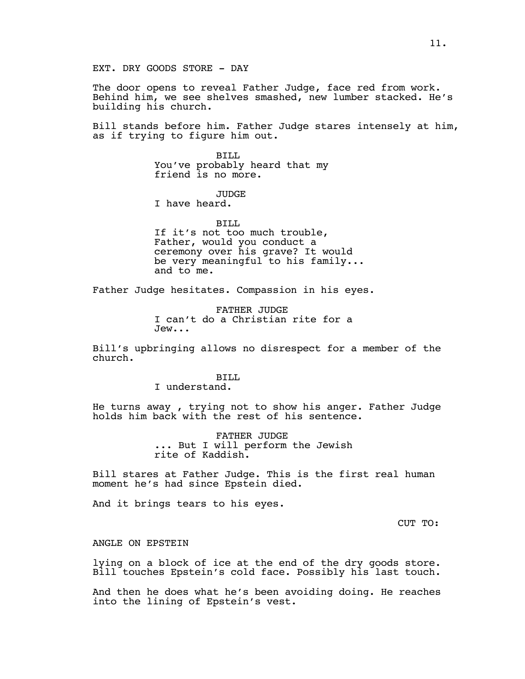The door opens to reveal Father Judge, face red from work. Behind him, we see shelves smashed, new lumber stacked. He's building his church.

Bill stands before him. Father Judge stares intensely at him, as if trying to figure him out.

> BILL You've probably heard that my friend is no more.

> > JUDGE

I have heard.

BILL

If it's not too much trouble, Father, would you conduct a ceremony over his grave? It would be very meaningful to his family... and to me.

Father Judge hesitates. Compassion in his eyes.

FATHER JUDGE I can't do a Christian rite for a Jew...

Bill's upbringing allows no disrespect for a member of the church.

## BILL

## I understand.

He turns away , trying not to show his anger. Father Judge holds him back with the rest of his sentence.

> FATHER JUDGE ... But I will perform the Jewish rite of Kaddish.

Bill stares at Father Judge. This is the first real human moment he's had since Epstein died.

And it brings tears to his eyes.

CUT TO:

### ANGLE ON EPSTEIN

lying on a block of ice at the end of the dry goods store. Bill touches Epstein's cold face. Possibly his last touch.

And then he does what he's been avoiding doing. He reaches into the lining of Epstein's vest.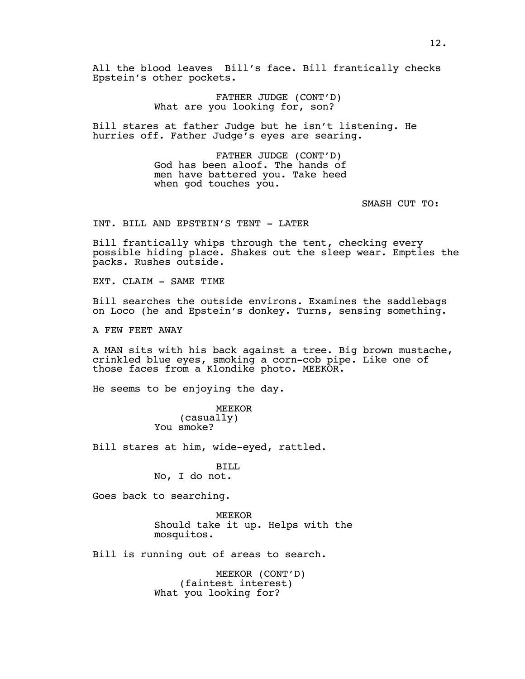All the blood leaves Bill's face. Bill frantically checks Epstein's other pockets.

> FATHER JUDGE (CONT'D) What are you looking for, son?

Bill stares at father Judge but he isn't listening. He hurries off. Father Judge's eyes are searing.

> FATHER JUDGE (CONT'D) God has been aloof. The hands of men have battered you. Take heed when god touches you.

> > SMASH CUT TO:

INT. BILL AND EPSTEIN'S TENT - LATER

Bill frantically whips through the tent, checking every possible hiding place. Shakes out the sleep wear. Empties the packs. Rushes outside.

EXT. CLAIM - SAME TIME

Bill searches the outside environs. Examines the saddlebags on Loco (he and Epstein's donkey. Turns, sensing something.

A FEW FEET AWAY

A MAN sits with his back against a tree. Big brown mustache, crinkled blue eyes, smoking a corn-cob pipe. Like one of those faces from a Klondike photo. MEEKOR.

He seems to be enjoying the day.

MEEKOR (casually) You smoke?

Bill stares at him, wide-eyed, rattled.

BILL. No, I do not.

Goes back to searching.

MEEKOR Should take it up. Helps with the mosquitos.

Bill is running out of areas to search.

MEEKOR (CONT'D) (faintest interest) What you looking for?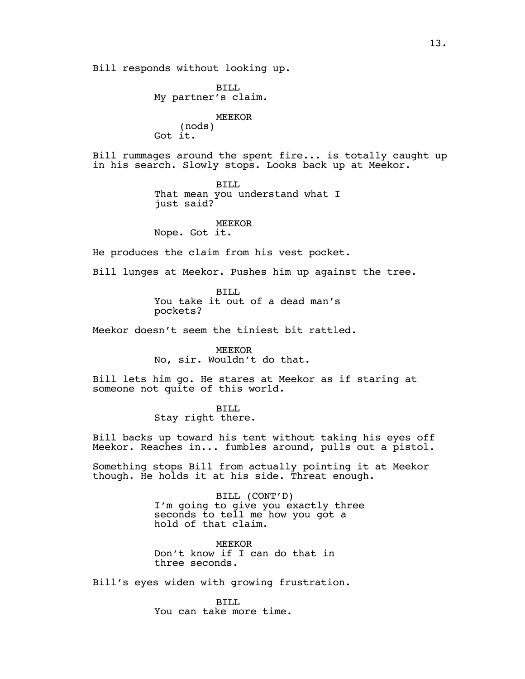Bill responds without looking up.

BILL My partner's claim. MEEKOR (nods) Got it.

Bill rummages around the spent fire... is totally caught up in his search. Slowly stops. Looks back up at Meekor.

> BILL That mean you understand what I just said?

MEEKOR Nope. Got it.

He produces the claim from his vest pocket.

Bill lunges at Meekor. Pushes him up against the tree.

BILL You take it out of a dead man's pockets?

Meekor doesn't seem the tiniest bit rattled.

MEEKOR No, sir. Wouldn't do that.

Bill lets him go. He stares at Meekor as if staring at someone not quite of this world.

BILL

Stay right there.

Bill backs up toward his tent without taking his eyes off Meekor. Reaches in... fumbles around, pulls out a pistol.

Something stops Bill from actually pointing it at Meekor though. He holds it at his side. Threat enough.

> BILL (CONT'D) I'm going to give you exactly three seconds to tell me how you got a hold of that claim.

MEEKOR Don't know if I can do that in three seconds.

Bill's eyes widen with growing frustration.

BILL You can take more time.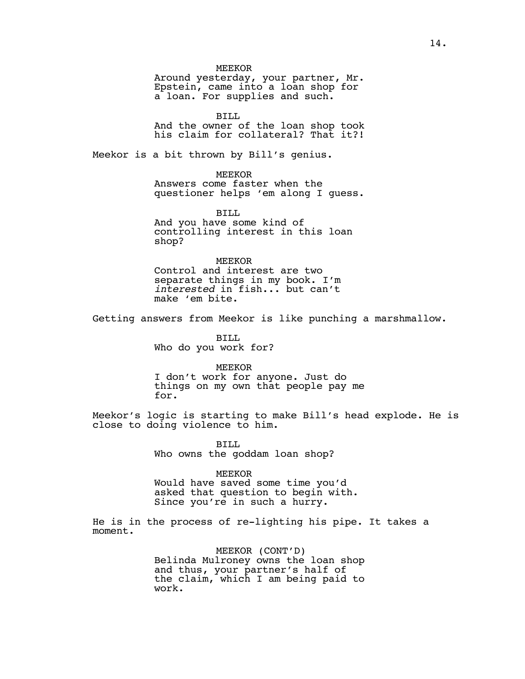MEEKOR

Around yesterday, your partner, Mr. Epstein, came into a loan shop for a loan. For supplies and such.

BILL.

And the owner of the loan shop took his claim for collateral? That it?!

Meekor is a bit thrown by Bill's genius.

MEEKOR Answers come faster when the questioner helps 'em along I guess.

BILL And you have some kind of controlling interest in this loan shop?

MEEKOR Control and interest are two separate things in my book. I'm *interested* in fish... but can't make 'em bite.

Getting answers from Meekor is like punching a marshmallow.

BILL Who do you work for?

## MEEKOR

I don't work for anyone. Just do things on my own that people pay me for.

Meekor's logic is starting to make Bill's head explode. He is close to doing violence to him.

> BILL Who owns the goddam loan shop?

MEEKOR Would have saved some time you'd asked that question to begin with. Since you're in such a hurry.

He is in the process of re-lighting his pipe. It takes a moment.

> MEEKOR (CONT'D) Belinda Mulroney owns the loan shop and thus, your partner's half of the claim, which I am being paid to work.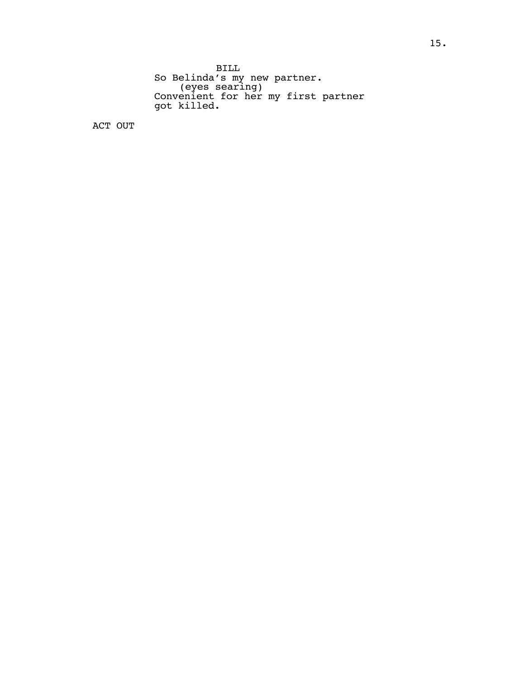BILL So Belinda's my new partner. (eyes searing) Convenient for her my first partner got killed.

ACT OUT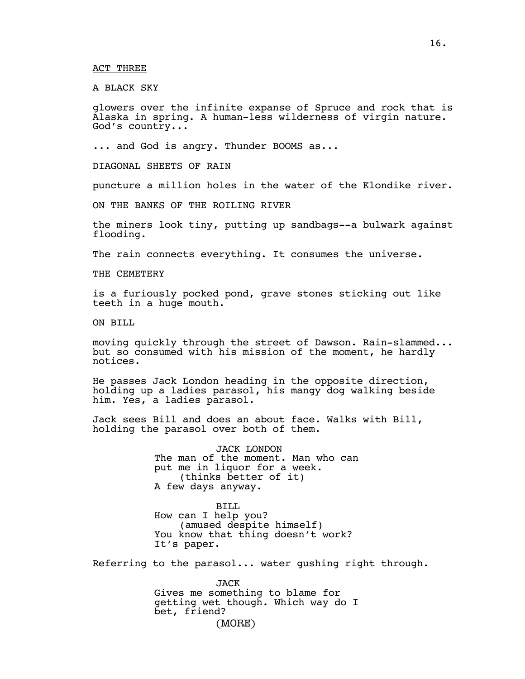#### ACT THREE

A BLACK SKY

glowers over the infinite expanse of Spruce and rock that is Alaska in spring. A human-less wilderness of virgin nature. God's country...

... and God is angry. Thunder BOOMS as...

DIAGONAL SHEETS OF RAIN

puncture a million holes in the water of the Klondike river.

ON THE BANKS OF THE ROILING RIVER

the miners look tiny, putting up sandbags--a bulwark against flooding.

The rain connects everything. It consumes the universe.

THE CEMETERY

is a furiously pocked pond, grave stones sticking out like teeth in a huge mouth.

ON BILL

moving quickly through the street of Dawson. Rain-slammed... but so consumed with his mission of the moment, he hardly notices.

He passes Jack London heading in the opposite direction, holding up a ladies parasol, his mangy dog walking beside him. Yes, a ladies parasol.

Jack sees Bill and does an about face. Walks with Bill, holding the parasol over both of them.

> JACK LONDON The man of the moment. Man who can put me in liquor for a week. (thinks better of it) A few days anyway.

BILL How can I help you? (amused despite himself) You know that thing doesn't work? It's paper.

Referring to the parasol... water gushing right through.

JACK Gives me something to blame for getting wet though. Which way do I bet, friend?

(MORE)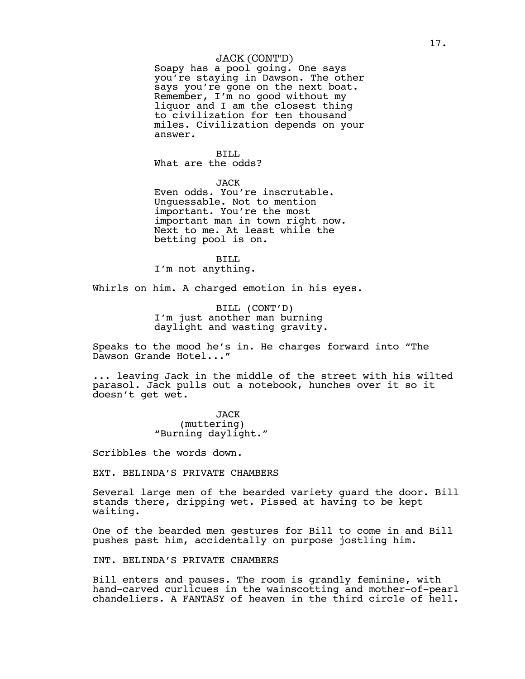#### JACK (CONT'D)

Soapy has a pool going. One says you're staying in Dawson. The other says you're gone on the next boat. Remember, I'm no good without my liquor and I am the closest thing to civilization for ten thousand miles. Civilization depends on your answer.

BILL What are the odds?

JACK

Even odds. You're inscrutable. Unguessable. Not to mention important. You're the most important man in town right now. Next to me. At least while the betting pool is on.

BILL I'm not anything.

Whirls on him. A charged emotion in his eyes.

BILL (CONT'D) I'm just another man burning daylight and wasting gravity.

Speaks to the mood he's in. He charges forward into "The Dawson Grande Hotel..."

... leaving Jack in the middle of the street with his wilted parasol. Jack pulls out a notebook, hunches over it so it doesn't get wet.

> JACK (muttering) "Burning daylight."

Scribbles the words down.

EXT. BELINDA'S PRIVATE CHAMBERS

Several large men of the bearded variety guard the door. Bill stands there, dripping wet. Pissed at having to be kept waiting.

One of the bearded men gestures for Bill to come in and Bill pushes past him, accidentally on purpose jostling him.

INT. BELINDA'S PRIVATE CHAMBERS

Bill enters and pauses. The room is grandly feminine, with hand-carved curlicues in the wainscotting and mother-of-pearl chandeliers. A FANTASY of heaven in the third circle of hell.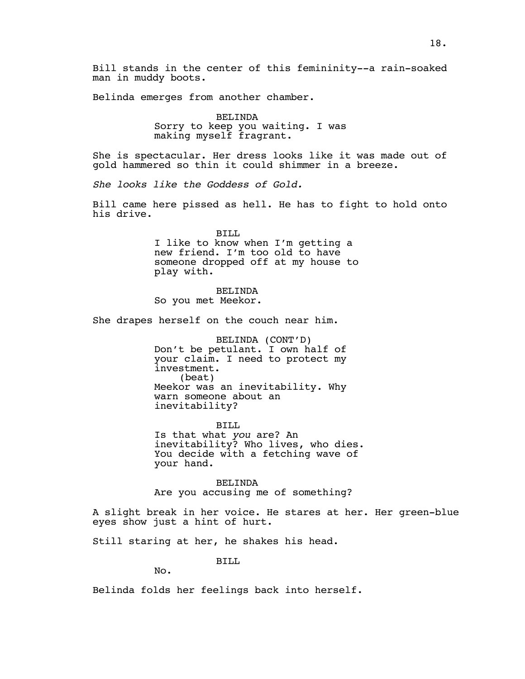Bill stands in the center of this femininity--a rain-soaked man in muddy boots.

Belinda emerges from another chamber.

BELINDA Sorry to keep you waiting. I was making myself fragrant.

She is spectacular. Her dress looks like it was made out of gold hammered so thin it could shimmer in a breeze.

*She looks like the Goddess of Gold.*

Bill came here pissed as hell. He has to fight to hold onto his drive.

> BILL I like to know when I'm getting a new friend. I'm too old to have someone dropped off at my house to play with.

> > BELINDA

So you met Meekor.

She drapes herself on the couch near him.

BELINDA (CONT'D) Don't be petulant. I own half of your claim. I need to protect my investment. (beat) Meekor was an inevitability. Why warn someone about an inevitability?

BILL Is that what *you* are? An inevitability? Who lives, who dies. You decide with a fetching wave of your hand.

BELINDA Are you accusing me of something?

A slight break in her voice. He stares at her. Her green-blue eyes show just a hint of hurt.

Still staring at her, he shakes his head.

BILL

No.

Belinda folds her feelings back into herself.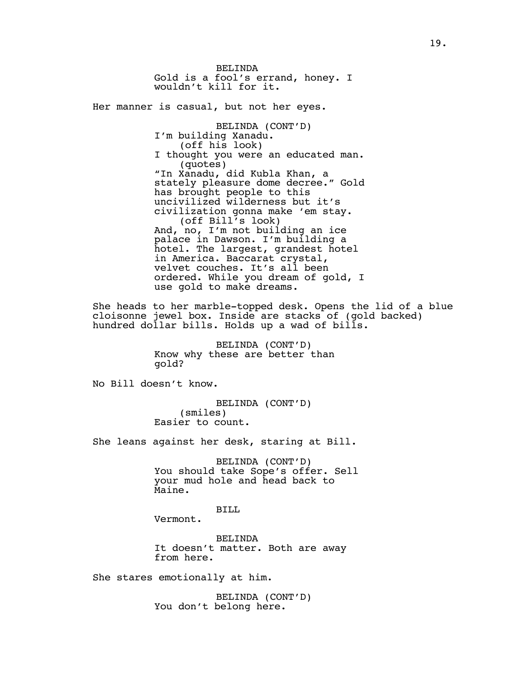BELINDA Gold is a fool's errand, honey. I wouldn't kill for it.

Her manner is casual, but not her eyes.

BELINDA (CONT'D) I'm building Xanadu. (off his look) I thought you were an educated man. (quotes) "In Xanadu, did Kubla Khan, a stately pleasure dome decree." Gold has brought people to this uncivilized wilderness but it's civilization gonna make 'em stay. (off Bill's look) And, no, I'm not building an ice palace in Dawson. I'm building a hotel. The largest, grandest hotel in America. Baccarat crystal, velvet couches. It's all been ordered. While you dream of gold, I use gold to make dreams.

She heads to her marble-topped desk. Opens the lid of a blue cloisonne jewel box. Inside are stacks of (gold backed) hundred dollar bills. Holds up a wad of bills.

> BELINDA (CONT'D) Know why these are better than gold?

No Bill doesn't know.

BELINDA (CONT'D) (smiles) Easier to count.

She leans against her desk, staring at Bill.

BELINDA (CONT'D) You should take Sope's offer. Sell your mud hole and head back to Maine.

BILL Vermont.

BELINDA

It doesn't matter. Both are away from here.

She stares emotionally at him.

BELINDA (CONT'D) You don't belong here.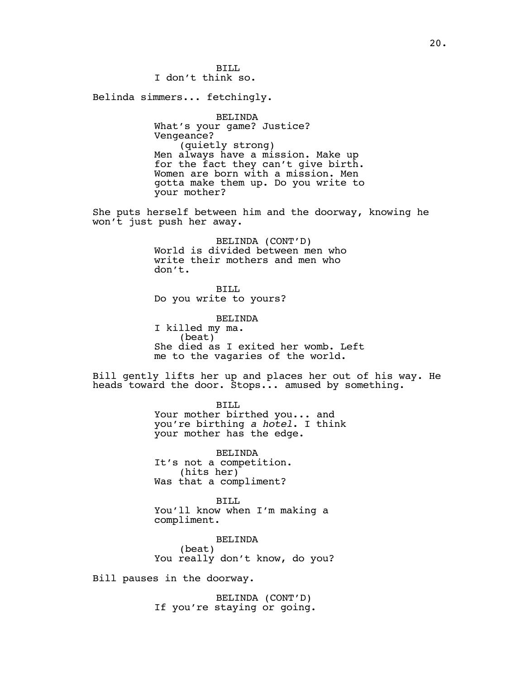BILL I don't think so.

Belinda simmers... fetchingly.

BELINDA What's your game? Justice? Vengeance? (quietly strong) Men always have a mission. Make up for the fact they can't give birth. Women are born with a mission. Men gotta make them up. Do you write to your mother?

She puts herself between him and the doorway, knowing he won't just push her away.

> BELINDA (CONT'D) World is divided between men who write their mothers and men who don't.

BILL Do you write to yours?

BELINDA I killed my ma. (beat) She died as I exited her womb. Left me to the vagaries of the world.

Bill gently lifts her up and places her out of his way. He heads toward the door. Stops... amused by something.

> BILL Your mother birthed you... and you're birthing *a hotel*. I think your mother has the edge.

BELINDA It's not a competition. (hits her) Was that a compliment?

BILL You'll know when I'm making a compliment.

BELINDA (beat) You really don't know, do you?

Bill pauses in the doorway.

BELINDA (CONT'D) If you're staying or going.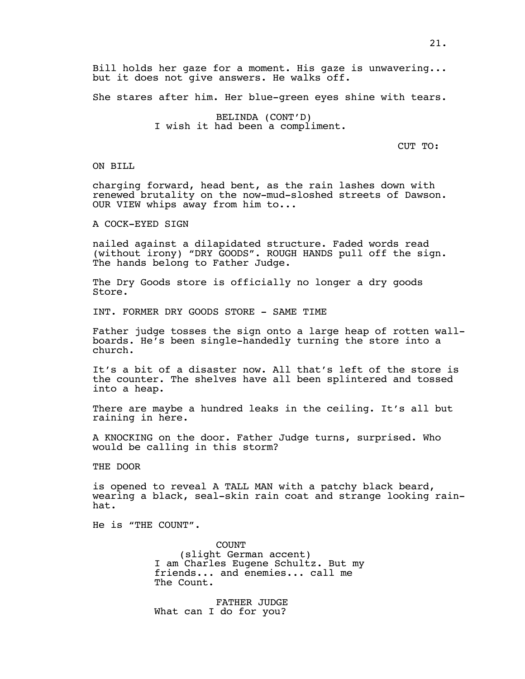Bill holds her gaze for a moment. His gaze is unwavering... but it does not give answers. He walks off.

She stares after him. Her blue-green eyes shine with tears.

BELINDA (CONT'D) I wish it had been a compliment.

CUT TO:

ON BILL

charging forward, head bent, as the rain lashes down with renewed brutality on the now-mud-sloshed streets of Dawson. OUR VIEW whips away from him to...

A COCK-EYED SIGN

nailed against a dilapidated structure. Faded words read (without irony) "DRY GOODS". ROUGH HANDS pull off the sign. The hands belong to Father Judge.

The Dry Goods store is officially no longer a dry goods Store.

INT. FORMER DRY GOODS STORE - SAME TIME

Father judge tosses the sign onto a large heap of rotten wallboards. He's been single-handedly turning the store into a church.

It's a bit of a disaster now. All that's left of the store is the counter. The shelves have all been splintered and tossed into a heap.

There are maybe a hundred leaks in the ceiling. It's all but raining in here.

A KNOCKING on the door. Father Judge turns, surprised. Who would be calling in this storm?

THE DOOR

is opened to reveal A TALL MAN with a patchy black beard, wearing a black, seal-skin rain coat and strange looking rainhat.

He is "THE COUNT".

COUNT (slight German accent) I am Charles Eugene Schultz. But my friends... and enemies... call me The Count.

FATHER JUDGE What can I do for you?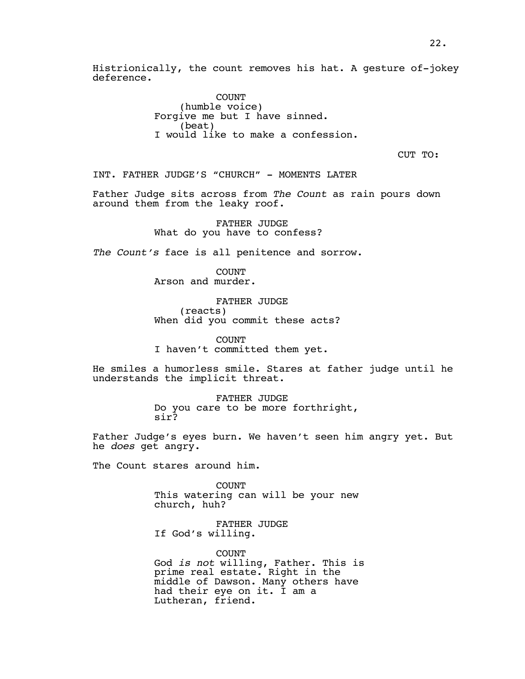Histrionically, the count removes his hat. A gesture of-jokey deference.

> COUNT (humble voice) Forgive me but I have sinned. (beat) I would like to make a confession.

> > CUT TO:

INT. FATHER JUDGE'S "CHURCH" - MOMENTS LATER

Father Judge sits across from *The Count* as rain pours down around them from the leaky roof.

> FATHER JUDGE What do you have to confess?

*The Count's* face is all penitence and sorrow.

**COUNT** Arson and murder.

FATHER JUDGE (reacts) When did you commit these acts?

**COUNT** I haven't committed them yet.

He smiles a humorless smile. Stares at father judge until he understands the implicit threat.

> FATHER JUDGE Do you care to be more forthright, sir?

Father Judge's eyes burn. We haven't seen him angry yet. But he *does* get angry.

The Count stares around him.

COUNT This watering can will be your new church, huh?

FATHER JUDGE If God's willing.

COUNT

God *is not* willing, Father. This is prime real estate. Right in the middle of Dawson. Many others have had their eye on it. I am a Lutheran, friend.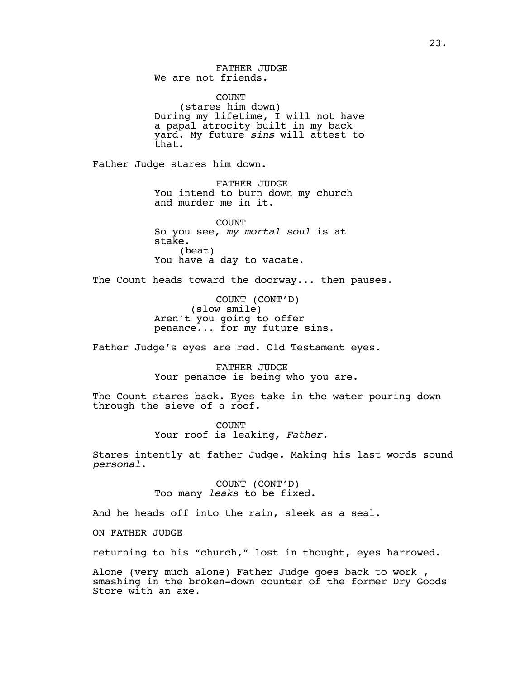FATHER JUDGE We are not friends.

**COUNT** (stares him down) During my lifetime, I will not have a papal atrocity built in my back yard. My future *sins* will attest to that.

Father Judge stares him down.

FATHER JUDGE You intend to burn down my church and murder me in it.

**COUNT** So you see, *my mortal soul* is at stake. (beat) You have a day to vacate.

The Count heads toward the doorway... then pauses.

COUNT (CONT'D) (slow smile) Aren't you going to offer penance... for my future sins.

Father Judge's eyes are red. Old Testament eyes.

FATHER JUDGE Your penance is being who you are.

The Count stares back. Eyes take in the water pouring down through the sieve of a roof.

> COUNT Your roof is leaking*, Father.*

Stares intently at father Judge. Making his last words sound *personal.*

> COUNT (CONT'D) Too many *leaks* to be fixed.

And he heads off into the rain, sleek as a seal.

ON FATHER JUDGE

returning to his "church," lost in thought, eyes harrowed.

Alone (very much alone) Father Judge goes back to work , smashing in the broken-down counter of the former Dry Goods Store with an axe.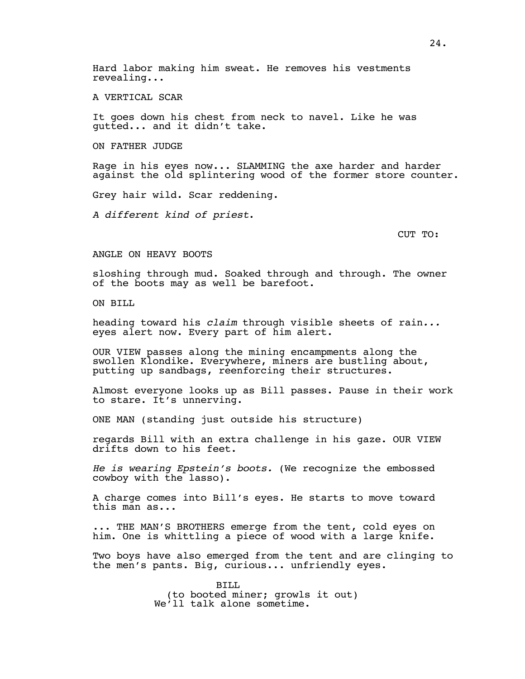Hard labor making him sweat. He removes his vestments revealing...

A VERTICAL SCAR

It goes down his chest from neck to navel. Like he was gutted... and it didn't take.

ON FATHER JUDGE

Rage in his eyes now... SLAMMING the axe harder and harder against the old splintering wood of the former store counter.

Grey hair wild. Scar reddening.

*A different kind of priest*.

CUT TO:

# ANGLE ON HEAVY BOOTS

sloshing through mud. Soaked through and through. The owner of the boots may as well be barefoot.

ON BILL

heading toward his *claim* through visible sheets of rain*...* eyes alert now. Every part of him alert.

OUR VIEW passes along the mining encampments along the swollen Klondike. Everywhere, miners are bustling about, putting up sandbags, reenforcing their structures.

Almost everyone looks up as Bill passes. Pause in their work to stare. It's unnerving.

ONE MAN (standing just outside his structure)

regards Bill with an extra challenge in his gaze. OUR VIEW drifts down to his feet.

*He is wearing Epstein's boots.* (We recognize the embossed cowboy with the lasso).

A charge comes into Bill's eyes. He starts to move toward this man as...

... THE MAN'S BROTHERS emerge from the tent, cold eyes on him. One is whittling a piece of wood with a large knife.

Two boys have also emerged from the tent and are clinging to the men's pants. Big, curious... unfriendly eyes.

> BILL (to booted miner; growls it out) We'll talk alone sometime.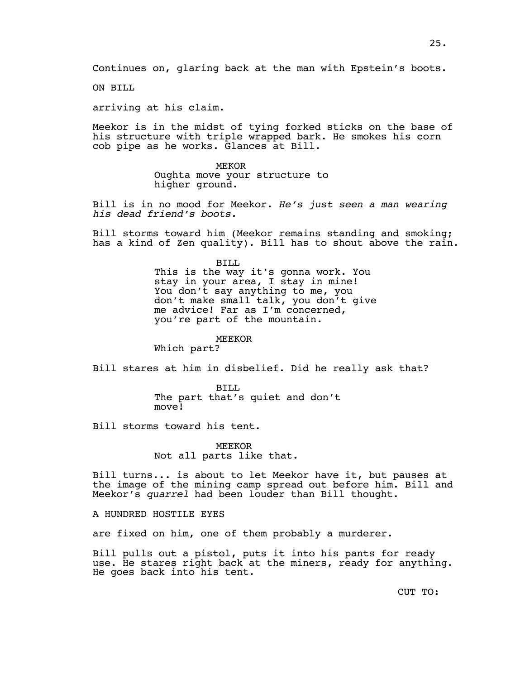ON BILL

arriving at his claim.

Meekor is in the midst of tying forked sticks on the base of his structure with triple wrapped bark. He smokes his corn cob pipe as he works. Glances at Bill.

> MEKOR Oughta move your structure to higher ground.

Bill is in no mood for Meekor. *He's just seen a man wearing his dead friend's boots.* 

Bill storms toward him (Meekor remains standing and smoking; has a kind of Zen quality). Bill has to shout above the rain.

> BILL This is the way it's gonna work. You stay in your area, I stay in mine! You don't say anything to me, you don't make small talk, you don't give me advice! Far as I'm concerned, you're part of the mountain.

> > MEEKOR

Which part?

Bill stares at him in disbelief. Did he really ask that?

BILL The part that's quiet and don't move!

Bill storms toward his tent.

MEEKOR Not all parts like that.

Bill turns... is about to let Meekor have it, but pauses at the image of the mining camp spread out before him. Bill and Meekor's *quarrel* had been louder than Bill thought.

A HUNDRED HOSTILE EYES

are fixed on him, one of them probably a murderer.

Bill pulls out a pistol, puts it into his pants for ready use. He stares right back at the miners, ready for anything. He goes back into his tent.

CUT TO: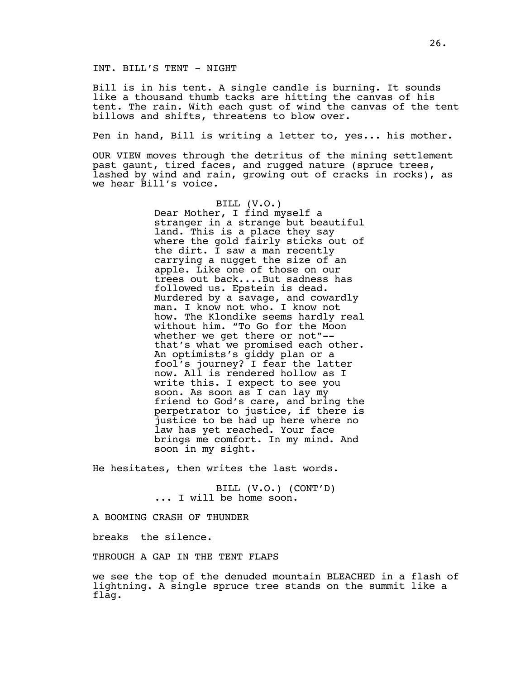INT. BILL'S TENT - NIGHT

Bill is in his tent. A single candle is burning. It sounds like a thousand thumb tacks are hitting the canvas of his tent. The rain. With each gust of wind the canvas of the tent billows and shifts, threatens to blow over.

Pen in hand, Bill is writing a letter to, yes... his mother.

OUR VIEW moves through the detritus of the mining settlement past gaunt, tired faces, and rugged nature (spruce trees, lashed by wind and rain, growing out of cracks in rocks), as we hear Bill's voice.

> BILL (V.O.) Dear Mother, I find myself a stranger in a strange but beautiful land. This is a place they say where the gold fairly sticks out of the dirt. I saw a man recently carrying a nugget the size of an apple. Like one of those on our trees out back....But sadness has followed us. Epstein is dead. Murdered by a savage, and cowardly man. I know not who. I know not how. The Klondike seems hardly real without him. "To Go for the Moon whether we get there or not"- that's what we promised each other. An optimists's giddy plan or a fool's journey? I fear the latter now. All is rendered hollow as I write this. I expect to see you soon. As soon as I can lay my friend to God's care, and bring the perpetrator to justice, if there is justice to be had up here where no law has yet reached. Your face brings me comfort. In my mind. And soon in my sight.

He hesitates, then writes the last words.

BILL (V.O.) (CONT'D) ... I will be home soon.

A BOOMING CRASH OF THUNDER

breaks the silence.

THROUGH A GAP IN THE TENT FLAPS

we see the top of the denuded mountain BLEACHED in a flash of lightning. A single spruce tree stands on the summit like a flag.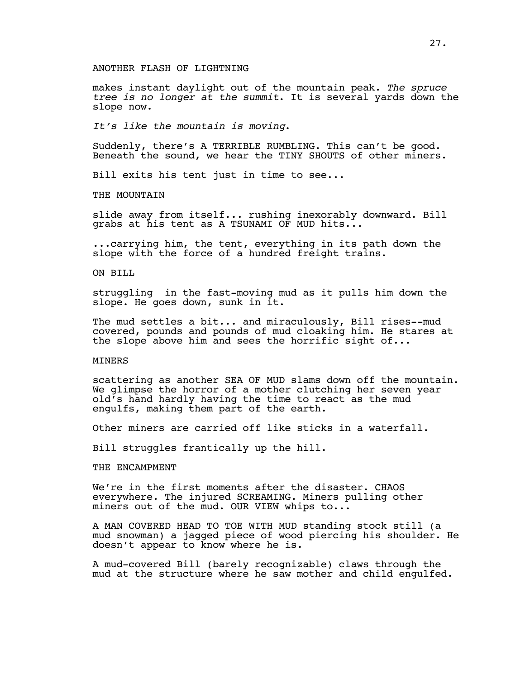ANOTHER FLASH OF LIGHTNING

makes instant daylight out of the mountain peak. *The spruce tree is no longer at the summit*. It is several yards down the slope now.

*It's like the mountain is moving*.

Suddenly, there's A TERRIBLE RUMBLING. This can't be good. Beneath the sound, we hear the TINY SHOUTS of other miners.

Bill exits his tent just in time to see...

THE MOUNTAIN

slide away from itself... rushing inexorably downward. Bill grabs at his tent as A TSUNAMI OF MUD hits...

...carrying him, the tent, everything in its path down the slope with the force of a hundred freight trains.

ON BILL

struggling in the fast-moving mud as it pulls him down the slope. He goes down, sunk in it.

The mud settles a bit... and miraculously, Bill rises--mud covered, pounds and pounds of mud cloaking him. He stares at the slope above him and sees the horrific sight of...

**MINERS** 

scattering as another SEA OF MUD slams down off the mountain. We glimpse the horror of a mother clutching her seven year old's hand hardly having the time to react as the mud engulfs, making them part of the earth.

Other miners are carried off like sticks in a waterfall.

Bill struggles frantically up the hill.

THE ENCAMPMENT

We're in the first moments after the disaster. CHAOS everywhere. The injured SCREAMING. Miners pulling other miners out of the mud. OUR VIEW whips to...

A MAN COVERED HEAD TO TOE WITH MUD standing stock still (a mud snowman) a jagged piece of wood piercing his shoulder. He doesn't appear to know where he is.

A mud-covered Bill (barely recognizable) claws through the mud at the structure where he saw mother and child engulfed.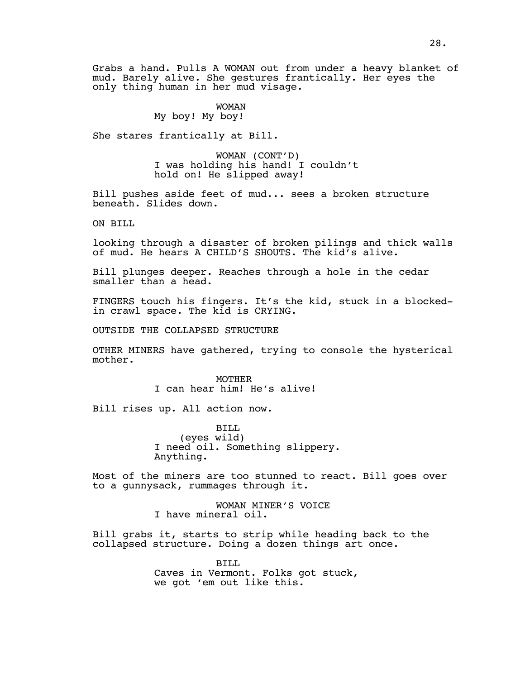Grabs a hand. Pulls A WOMAN out from under a heavy blanket of mud. Barely alive. She gestures frantically. Her eyes the only thing human in her mud visage.

## WOMAN My boy! My boy!

She stares frantically at Bill.

WOMAN (CONT'D) I was holding his hand! I couldn't hold on! He slipped away!

Bill pushes aside feet of mud... sees a broken structure beneath. Slides down.

ON BILL

looking through a disaster of broken pilings and thick walls of mud. He hears A CHILD'S SHOUTS. The kid's alive.

Bill plunges deeper. Reaches through a hole in the cedar smaller than a head.

FINGERS touch his fingers. It's the kid, stuck in a blockedin crawl space. The kid is CRYING.

OUTSIDE THE COLLAPSED STRUCTURE

OTHER MINERS have gathered, trying to console the hysterical mother.

> MOTHER I can hear him! He's alive!

Bill rises up. All action now.

BILL (eyes wild) I need oil. Something slippery. Anything.

Most of the miners are too stunned to react. Bill goes over to a gunnysack, rummages through it.

> WOMAN MINER'S VOICE I have mineral oil.

Bill grabs it, starts to strip while heading back to the collapsed structure. Doing a dozen things art once.

> BILL. Caves in Vermont. Folks got stuck, we got 'em out like this.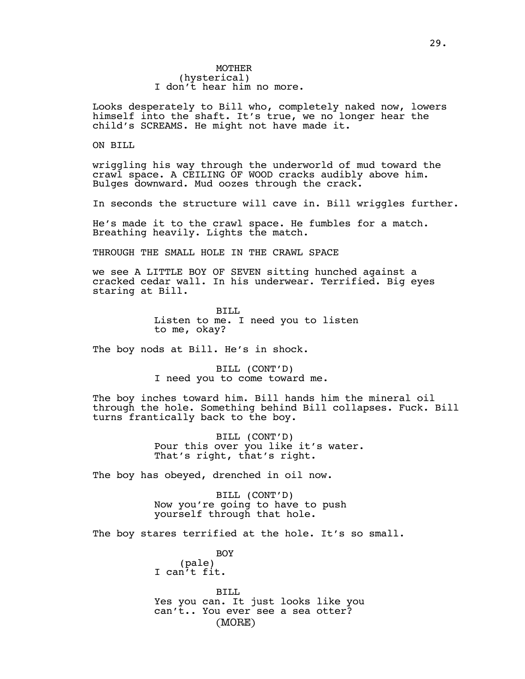Looks desperately to Bill who, completely naked now, lowers himself into the shaft. It's true, we no longer hear the child's SCREAMS. He might not have made it.

ON BILL

wriggling his way through the underworld of mud toward the crawl space. A CEILING OF WOOD cracks audibly above him. Bulges downward. Mud oozes through the crack.

In seconds the structure will cave in. Bill wriggles further.

He's made it to the crawl space. He fumbles for a match. Breathing heavily. Lights the match.

THROUGH THE SMALL HOLE IN THE CRAWL SPACE

we see A LITTLE BOY OF SEVEN sitting hunched against a cracked cedar wall. In his underwear. Terrified. Big eyes staring at Bill.

> BILL. Listen to me. I need you to listen to me, okay?

The boy nods at Bill. He's in shock.

BILL (CONT'D) I need you to come toward me.

The boy inches toward him. Bill hands him the mineral oil through the hole. Something behind Bill collapses. Fuck. Bill turns frantically back to the boy.

> BILL (CONT'D) Pour this over you like it's water. That's right, that's right.

The boy has obeyed, drenched in oil now.

BILL (CONT'D) Now you're going to have to push yourself through that hole.

The boy stares terrified at the hole. It's so small.

BOY (pale) I can't fit.

BILL Yes you can. It just looks like you can't.. You ever see a sea otter? (MORE)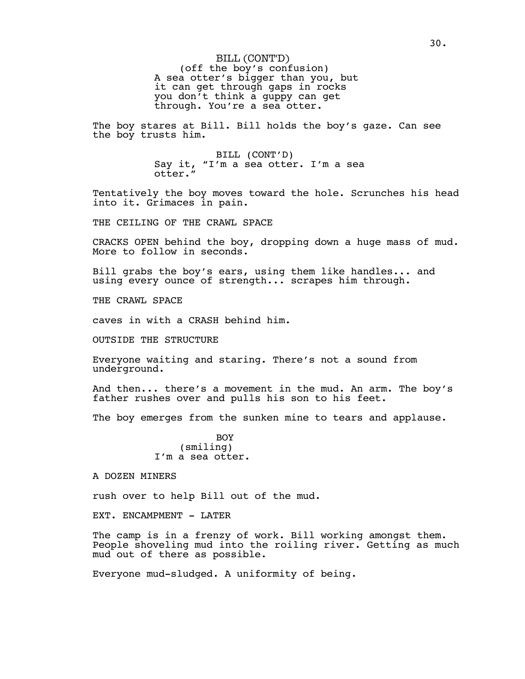# BILL (CONT'D)

(off the boy's confusion) A sea otter's bigger than you, but it can get through gaps in rocks you don't think a guppy can get through. You're a sea otter.

The boy stares at Bill. Bill holds the boy's gaze. Can see the boy trusts him.

> BILL (CONT'D) Say it, "I'm a sea otter. I'm a sea otter."

Tentatively the boy moves toward the hole. Scrunches his head into it. Grimaces in pain.

THE CEILING OF THE CRAWL SPACE

CRACKS OPEN behind the boy, dropping down a huge mass of mud. More to follow in seconds.

Bill grabs the boy's ears, using them like handles... and using every ounce of strength... scrapes him through.

THE CRAWL SPACE

caves in with a CRASH behind him.

OUTSIDE THE STRUCTURE

Everyone waiting and staring. There's not a sound from underground.

And then... there's a movement in the mud. An arm. The boy's father rushes over and pulls his son to his feet.

The boy emerges from the sunken mine to tears and applause.

BOY (smiling) I'm a sea otter.

A DOZEN MINERS

rush over to help Bill out of the mud.

EXT. ENCAMPMENT - LATER

The camp is in a frenzy of work. Bill working amongst them. People shoveling mud into the roiling river. Getting as much mud out of there as possible.

Everyone mud-sludged. A uniformity of being.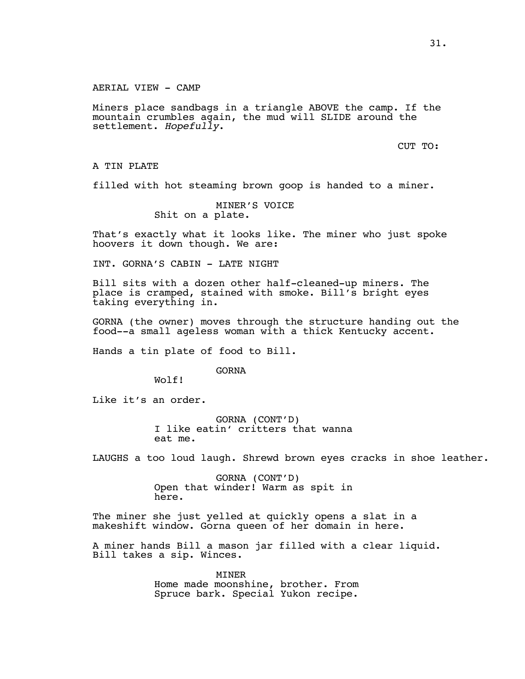AERIAL VIEW - CAMP

Miners place sandbags in a triangle ABOVE the camp. If the mountain crumbles again, the mud will SLIDE around the settlement. *Hopefully*.

CUT TO:

A TIN PLATE

filled with hot steaming brown goop is handed to a miner.

MINER'S VOICE Shit on a plate.

That's exactly what it looks like. The miner who just spoke hoovers it down though. We are:

INT. GORNA'S CABIN - LATE NIGHT

Bill sits with a dozen other half-cleaned-up miners. The place is cramped, stained with smoke. Bill's bright eyes taking everything in.

GORNA (the owner) moves through the structure handing out the food--a small ageless woman with a thick Kentucky accent.

Hands a tin plate of food to Bill.

GORNA

Wolf!

Like it's an order.

GORNA (CONT'D) I like eatin' critters that wanna eat me.

LAUGHS a too loud laugh. Shrewd brown eyes cracks in shoe leather.

GORNA (CONT'D) Open that winder! Warm as spit in here.

The miner she just yelled at quickly opens a slat in a makeshift window. Gorna queen of her domain in here.

A miner hands Bill a mason jar filled with a clear liquid. Bill takes a sip. Winces.

> MINER Home made moonshine, brother. From Spruce bark. Special Yukon recipe.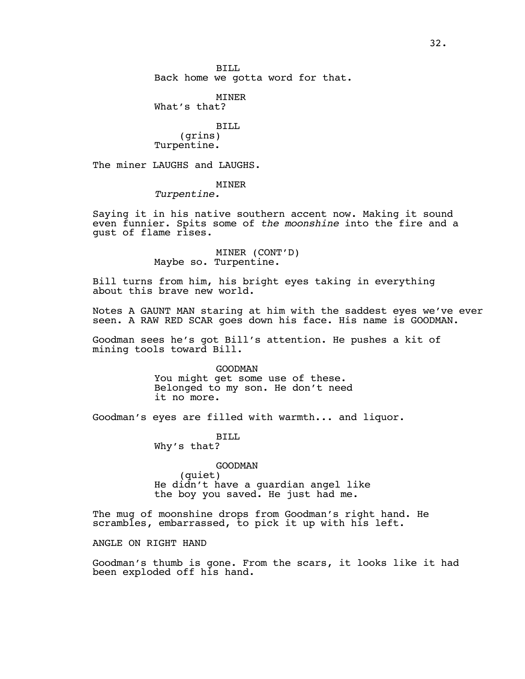MINER What's that?

BILL (grins) Turpentine.

The miner LAUGHS and LAUGHS.

# MINER

*Turpentine.*

Saying it in his native southern accent now. Making it sound even funnier. Spits some of *the moonshine* into the fire and a gust of flame rises.

> MINER (CONT'D) Maybe so. Turpentine.

Bill turns from him, his bright eyes taking in everything about this brave new world.

Notes A GAUNT MAN staring at him with the saddest eyes we've ever seen. A RAW RED SCAR goes down his face. His name is GOODMAN.

Goodman sees he's got Bill's attention. He pushes a kit of mining tools toward Bill.

> GOODMAN You might get some use of these. Belonged to my son. He don't need it no more.

Goodman's eyes are filled with warmth... and liquor.

BILL Why's that?

GOODMAN (quiet) He didn't have a guardian angel like the boy you saved. He just had me.

The mug of moonshine drops from Goodman's right hand. He scrambles, embarrassed, to pick it up with his left.

ANGLE ON RIGHT HAND

Goodman's thumb is gone. From the scars, it looks like it had been exploded off his hand.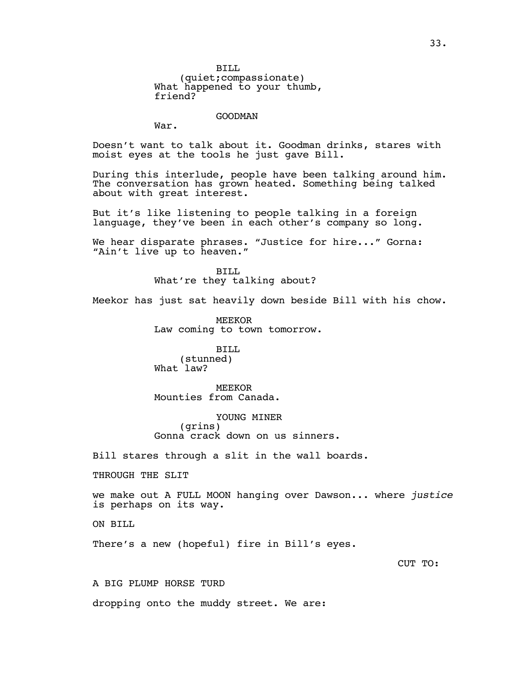BILL (quiet;compassionate) What happened to your thumb, friend?

GOODMAN

War.

Doesn't want to talk about it. Goodman drinks, stares with moist eyes at the tools he just gave Bill.

During this interlude, people have been talking around him. The conversation has grown heated. Something being talked about with great interest.

But it's like listening to people talking in a foreign language, they've been in each other's company so long.

We hear disparate phrases. "Justice for hire..." Gorna: "Ain't live up to heaven."

> BILL What're they talking about?

Meekor has just sat heavily down beside Bill with his chow.

MEEKOR Law coming to town tomorrow.

BILL (stunned) What law?

MEEKOR Mounties from Canada.

YOUNG MINER (grins) Gonna crack down on us sinners.

Bill stares through a slit in the wall boards.

THROUGH THE SLIT

we make out A FULL MOON hanging over Dawson... where *justice*  is perhaps on its way.

ON BILL

There's a new (hopeful) fire in Bill's eyes.

CUT TO:

A BIG PLUMP HORSE TURD

dropping onto the muddy street. We are: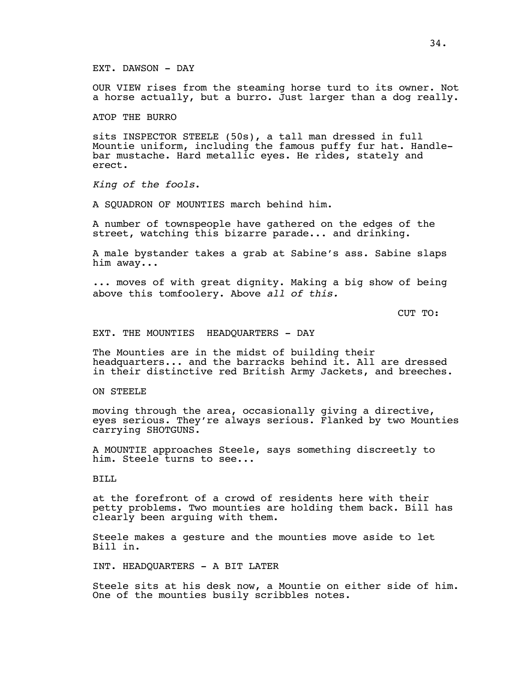EXT. DAWSON - DAY

OUR VIEW rises from the steaming horse turd to its owner. Not a horse actually, but a burro. Just larger than a dog really.

ATOP THE BURRO

sits INSPECTOR STEELE (50s), a tall man dressed in full Mountie uniform, including the famous puffy fur hat. Handlebar mustache. Hard metallic eyes. He rides, stately and erect.

*King of the fools*.

A SQUADRON OF MOUNTIES march behind him.

A number of townspeople have gathered on the edges of the street, watching this bizarre parade... and drinking.

A male bystander takes a grab at Sabine's ass. Sabine slaps him away...

... moves of with great dignity. Making a big show of being above this tomfoolery. Above *all of this.*

CUT TO:

EXT. THE MOUNTIES HEADQUARTERS - DAY

The Mounties are in the midst of building their headquarters... and the barracks behind it. All are dressed in their distinctive red British Army Jackets, and breeches.

ON STEELE

moving through the area, occasionally giving a directive, eyes serious. They're always serious. Flanked by two Mounties carrying SHOTGUNS.

A MOUNTIE approaches Steele, says something discreetly to him. Steele turns to see...

BILL.

at the forefront of a crowd of residents here with their petty problems. Two mounties are holding them back. Bill has clearly been arguing with them.

Steele makes a gesture and the mounties move aside to let Bill in.

INT. HEADQUARTERS - A BIT LATER

Steele sits at his desk now, a Mountie on either side of him. One of the mounties busily scribbles notes.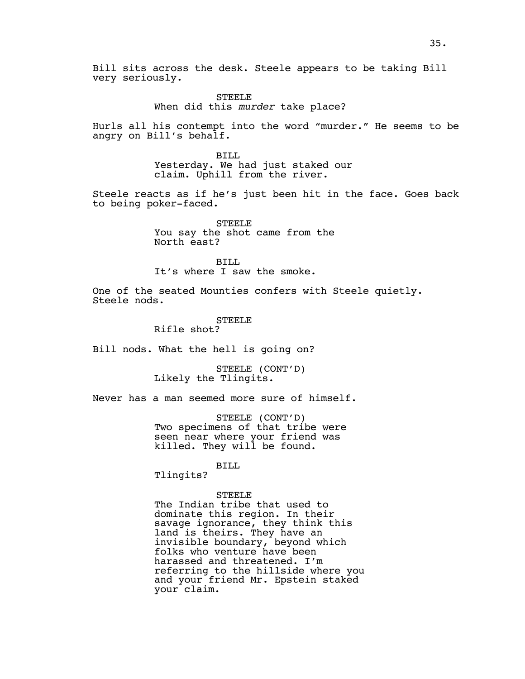Bill sits across the desk. Steele appears to be taking Bill very seriously.

> STEELE When did this *murder* take place?

Hurls all his contempt into the word "murder." He seems to be angry on Bill's behalf.

> BILL Yesterday. We had just staked our claim. Uphill from the river.

Steele reacts as if he's just been hit in the face. Goes back to being poker-faced.

> STEELE You say the shot came from the North east?

BILL It's where I saw the smoke.

One of the seated Mounties confers with Steele quietly. Steele nods.

# STEELE

Rifle shot?

Bill nods. What the hell is going on?

STEELE (CONT'D) Likely the Tlingits.

Never has a man seemed more sure of himself.

STEELE (CONT'D) Two specimens of that tribe were seen near where your friend was killed. They will be found.

BILL

Tlingits?

## STEELE

The Indian tribe that used to dominate this region. In their savage ignorance, they think this land is theirs. They have an invisible boundary, beyond which folks who venture have been harassed and threatened. I'm referring to the hillside where you and your friend Mr. Epstein staked your claim.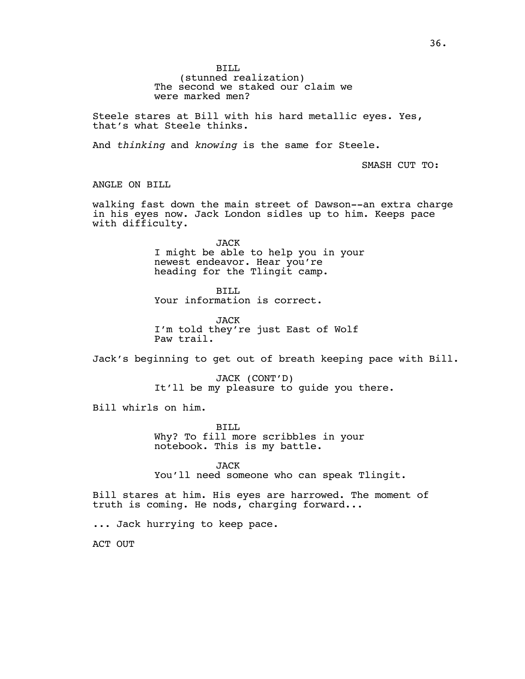BILL

(stunned realization) The second we staked our claim we were marked men?

Steele stares at Bill with his hard metallic eyes. Yes, that's what Steele thinks.

And *thinking* and *knowing* is the same for Steele.

SMASH CUT TO:

ANGLE ON BILL

walking fast down the main street of Dawson--an extra charge in his eyes now. Jack London sidles up to him. Keeps pace with difficulty.

> JACK I might be able to help you in your newest endeavor. Hear you're heading for the Tlingit camp.

BILL. Your information is correct.

JACK I'm told they're just East of Wolf Paw trail.

Jack's beginning to get out of breath keeping pace with Bill.

JACK (CONT'D) It'll be my pleasure to guide you there.

Bill whirls on him.

BILL Why? To fill more scribbles in your notebook. This is my battle.

JACK

You'll need someone who can speak Tlingit.

Bill stares at him. His eyes are harrowed. The moment of truth is coming. He nods, charging forward...

... Jack hurrying to keep pace.

ACT OUT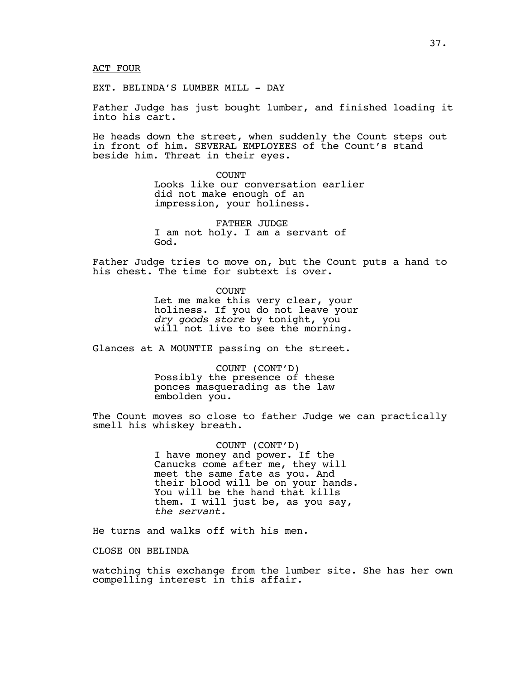ACT FOUR

EXT. BELINDA'S LUMBER MILL - DAY

Father Judge has just bought lumber, and finished loading it into his cart.

He heads down the street, when suddenly the Count steps out in front of him. SEVERAL EMPLOYEES of the Count's stand beside him. Threat in their eyes.

> **COUNT** Looks like our conversation earlier did not make enough of an impression, your holiness.

FATHER JUDGE I am not holy. I am a servant of God.

Father Judge tries to move on, but the Count puts a hand to his chest. The time for subtext is over.

> **COUNT** Let me make this very clear, your holiness. If you do not leave your *dry goods store* by tonight, you will not live to see the morning.

Glances at A MOUNTIE passing on the street.

COUNT (CONT'D) Possibly the presence of these ponces masquerading as the law embolden you.

The Count moves so close to father Judge we can practically smell his whiskey breath.

> COUNT (CONT'D) I have money and power. If the Canucks come after me, they will meet the same fate as you. And their blood will be on your hands. You will be the hand that kills them. I will just be, as you say, *the servant.*

He turns and walks off with his men.

CLOSE ON BELINDA

watching this exchange from the lumber site. She has her own compelling interest in this affair.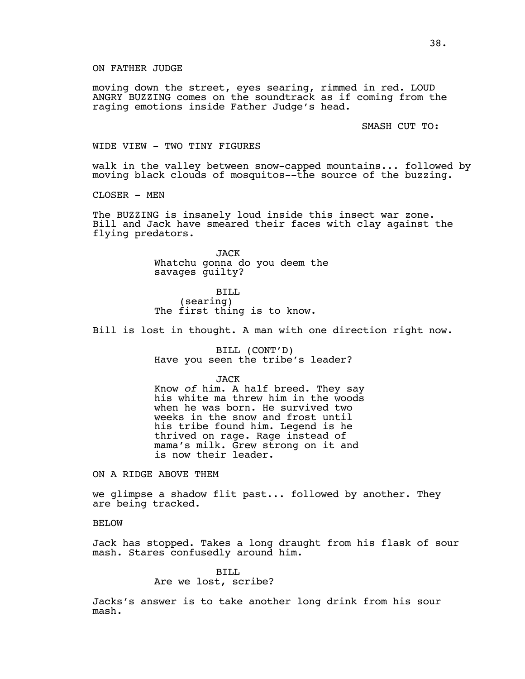ON FATHER JUDGE

moving down the street, eyes searing, rimmed in red. LOUD ANGRY BUZZING comes on the soundtrack as if coming from the raging emotions inside Father Judge's head.

SMASH CUT TO:

WIDE VIEW - TWO TINY FIGURES

walk in the valley between snow-capped mountains... followed by moving black clouds of mosquitos--the source of the buzzing.

CLOSER - MEN

The BUZZING is insanely loud inside this insect war zone. Bill and Jack have smeared their faces with clay against the flying predators.

> JACK Whatchu gonna do you deem the savages guilty?

BILL (searing) The first thing is to know.

Bill is lost in thought. A man with one direction right now.

BILL (CONT'D) Have you seen the tribe's leader?

JACK

Know *of* him. A half breed. They say his white ma threw him in the woods when he was born. He survived two weeks in the snow and frost until his tribe found him. Legend is he thrived on rage. Rage instead of mama's milk. Grew strong on it and is now their leader.

ON A RIDGE ABOVE THEM

we glimpse a shadow flit past... followed by another. They are being tracked.

# BELOW

Jack has stopped. Takes a long draught from his flask of sour mash. Stares confusedly around him.

> BILL Are we lost, scribe?

Jacks's answer is to take another long drink from his sour mash.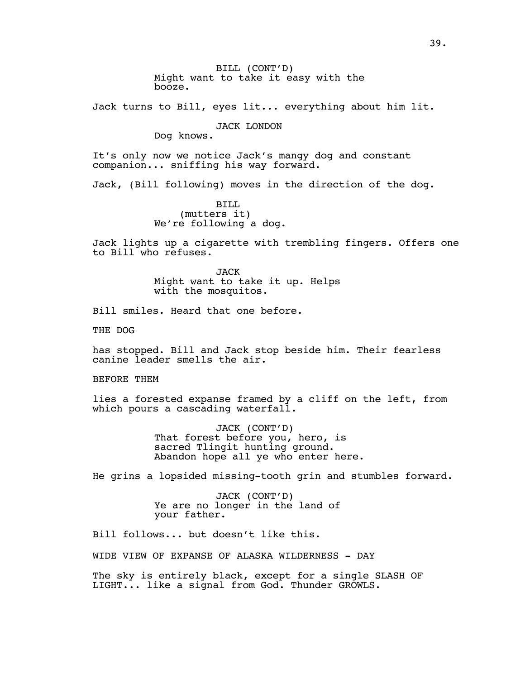BILL (CONT'D) Might want to take it easy with the booze.

Jack turns to Bill, eyes lit... everything about him lit.

JACK LONDON

Dog knows.

It's only now we notice Jack's mangy dog and constant companion... sniffing his way forward.

Jack, (Bill following) moves in the direction of the dog.

BILL (mutters it) We're following a dog.

Jack lights up a cigarette with trembling fingers. Offers one to Bill who refuses.

> JACK Might want to take it up. Helps with the mosquitos.

Bill smiles. Heard that one before.

THE DOG

has stopped. Bill and Jack stop beside him. Their fearless canine leader smells the air.

BEFORE THEM

lies a forested expanse framed by a cliff on the left, from which pours a cascading waterfall.

> JACK (CONT'D) That forest before you, hero, is sacred Tlingit hunting ground. Abandon hope all ye who enter here.

He grins a lopsided missing-tooth grin and stumbles forward.

JACK (CONT'D) Ye are no longer in the land of your father.

Bill follows... but doesn't like this.

WIDE VIEW OF EXPANSE OF ALASKA WILDERNESS - DAY

The sky is entirely black, except for a single SLASH OF LIGHT... like a signal from God. Thunder GROWLS.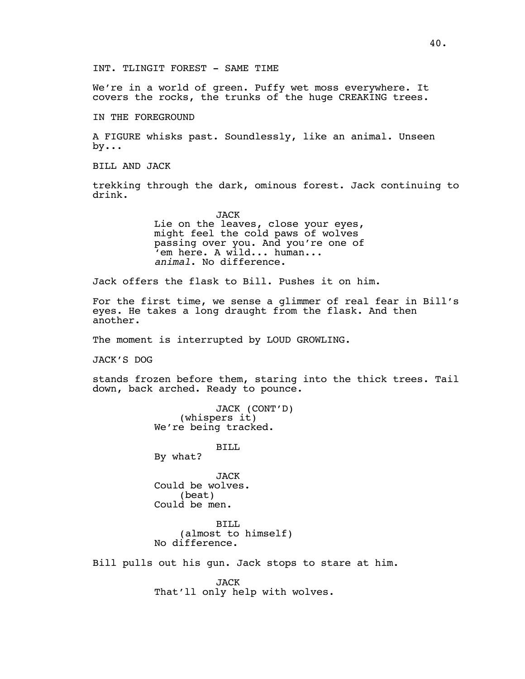INT. TLINGIT FOREST - SAME TIME

We're in a world of green. Puffy wet moss everywhere. It covers the rocks, the trunks of the huge CREAKING trees.

IN THE FOREGROUND

A FIGURE whisks past. Soundlessly, like an animal. Unseen  $by...$ 

BILL AND JACK

trekking through the dark, ominous forest. Jack continuing to drink.

> JACK Lie on the leaves, close your eyes, might feel the cold paws of wolves passing over you. And you're one of 'em here. A wild... human... *animal*. No difference.

Jack offers the flask to Bill. Pushes it on him.

For the first time, we sense a glimmer of real fear in Bill's eyes. He takes a long draught from the flask. And then another.

The moment is interrupted by LOUD GROWLING.

JACK'S DOG

stands frozen before them, staring into the thick trees. Tail down, back arched. Ready to pounce.

> JACK (CONT'D) (whispers it) We're being tracked.

> > BILL

By what?

JACK Could be wolves. (beat) Could be men.

BILL (almost to himself) No difference.

Bill pulls out his gun. Jack stops to stare at him.

JACK That'll only help with wolves.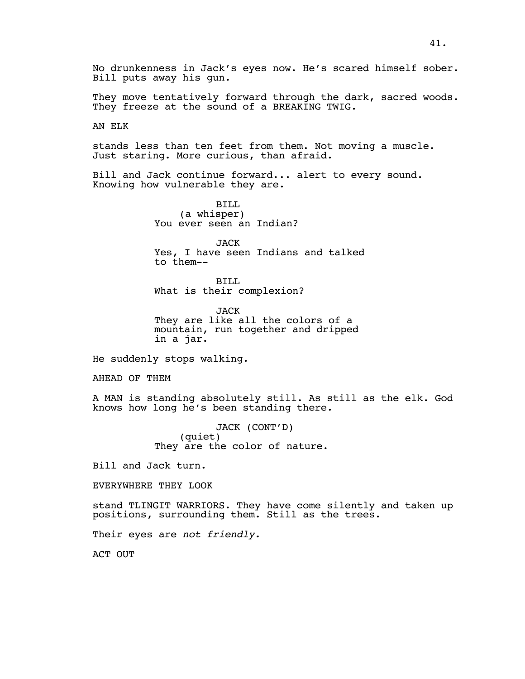No drunkenness in Jack's eyes now. He's scared himself sober. Bill puts away his gun.

They move tentatively forward through the dark, sacred woods. They freeze at the sound of a BREAKING TWIG.

AN ELK

stands less than ten feet from them. Not moving a muscle. Just staring. More curious, than afraid.

Bill and Jack continue forward... alert to every sound. Knowing how vulnerable they are.

> BILL (a whisper) You ever seen an Indian?

JACK Yes, I have seen Indians and talked to them--

BILL What is their complexion?

JACK They are like all the colors of a mountain, run together and dripped in a jar.

He suddenly stops walking.

AHEAD OF THEM

A MAN is standing absolutely still. As still as the elk. God knows how long he's been standing there.

> JACK (CONT'D) (quiet) They are the color of nature.

Bill and Jack turn.

EVERYWHERE THEY LOOK

stand TLINGIT WARRIORS. They have come silently and taken up positions, surrounding them. Still as the trees.

Their eyes are *not friendly.*

ACT OUT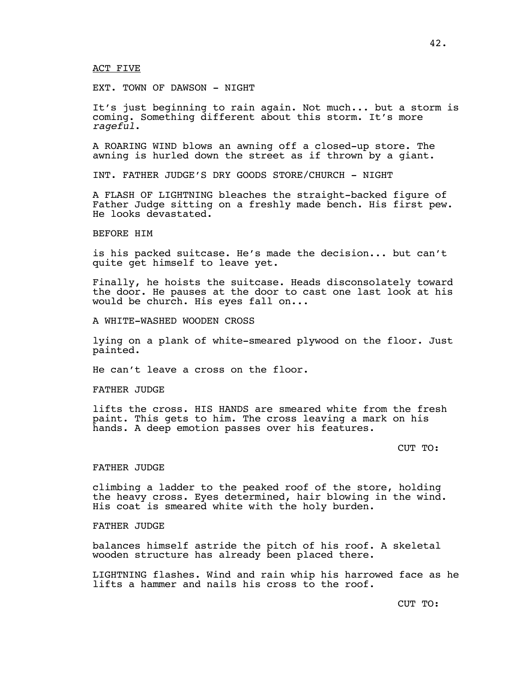ACT FIVE

EXT. TOWN OF DAWSON - NIGHT

It's just beginning to rain again. Not much... but a storm is coming. Something different about this storm. It's more *rageful*.

A ROARING WIND blows an awning off a closed-up store. The awning is hurled down the street as if thrown by a giant.

INT. FATHER JUDGE'S DRY GOODS STORE/CHURCH - NIGHT

A FLASH OF LIGHTNING bleaches the straight-backed figure of Father Judge sitting on a freshly made bench. His first pew. He looks devastated.

## BEFORE HIM

is his packed suitcase. He's made the decision... but can't quite get himself to leave yet.

Finally, he hoists the suitcase. Heads disconsolately toward the door. He pauses at the door to cast one last look at his would be church. His eyes fall on...

A WHITE-WASHED WOODEN CROSS

lying on a plank of white-smeared plywood on the floor. Just painted.

He can't leave a cross on the floor.

FATHER JUDGE

lifts the cross. HIS HANDS are smeared white from the fresh paint. This gets to him. The cross leaving a mark on his hands. A deep emotion passes over his features.

CUT TO:

# FATHER JUDGE

climbing a ladder to the peaked roof of the store, holding the heavy cross. Eyes determined, hair blowing in the wind. His coat is smeared white with the holy burden.

## FATHER JUDGE

balances himself astride the pitch of his roof. A skeletal wooden structure has already been placed there.

LIGHTNING flashes. Wind and rain whip his harrowed face as he lifts a hammer and nails his cross to the roof.

CUT TO: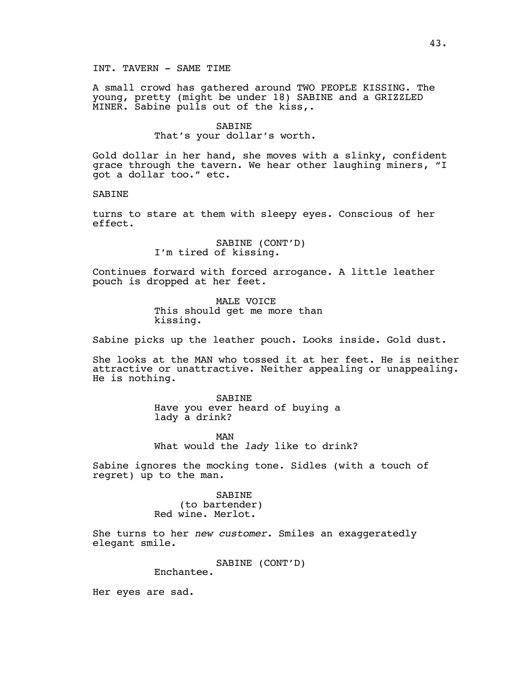A small crowd has gathered around TWO PEOPLE KISSING. The young, pretty (might be under 18) SABINE and a GRIZZLED MINER. Sabine pulls out of the kiss,.

# SABINE That's your dollar's worth.

Gold dollar in her hand, she moves with a slinky, confident grace through the tavern. We hear other laughing miners, "I got a dollar too." etc.

#### SABINE

turns to stare at them with sleepy eyes. Conscious of her effect.

# SABINE (CONT'D) I'm tired of kissing.

Continues forward with forced arrogance. A little leather pouch is dropped at her feet.

> MALE VOICE This should get me more than kissing.

Sabine picks up the leather pouch. Looks inside. Gold dust.

She looks at the MAN who tossed it at her feet. He is neither attractive or unattractive. Neither appealing or unappealing. He is nothing.

> SABINE Have you ever heard of buying a lady a drink?

MAN What would the *lady* like to drink?

Sabine ignores the mocking tone. Sidles (with a touch of regret) up to the man.

> SABINE (to bartender) Red wine. Merlot.

She turns to her *new customer.* Smiles an exaggeratedly elegant smile.

SABINE (CONT'D)

Enchantee.

Her eyes are sad.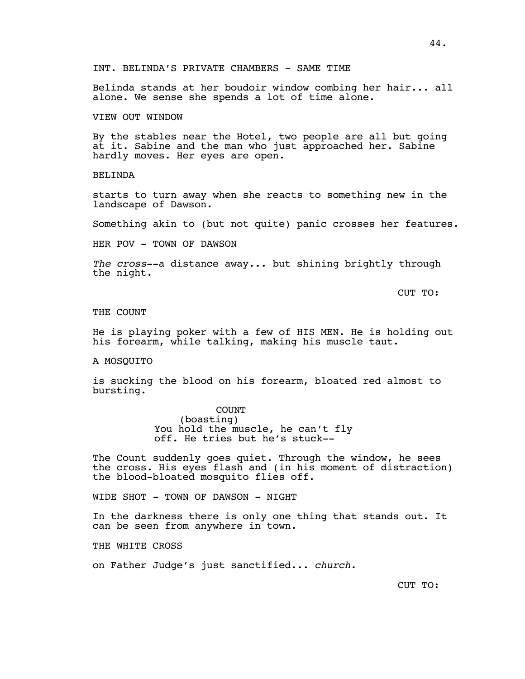Belinda stands at her boudoir window combing her hair... all alone. We sense she spends a lot of time alone.

VIEW OUT WINDOW

By the stables near the Hotel, two people are all but going at it. Sabine and the man who just approached her. Sabine hardly moves. Her eyes are open.

BELINDA

starts to turn away when she reacts to something new in the landscape of Dawson.

Something akin to (but not quite) panic crosses her features.

HER POV - TOWN OF DAWSON

*The cross*--a distance away... but shining brightly through the night.

CUT TO:

THE COUNT

He is playing poker with a few of HIS MEN. He is holding out his forearm, while talking, making his muscle taut.

A MOSQUITO

is sucking the blood on his forearm, bloated red almost to bursting.

> **COUNT** (boasting) You hold the muscle, he can't fly off. He tries but he's stuck--

The Count suddenly goes quiet. Through the window, he sees the cross. His eyes flash and (in his moment of distraction) the blood-bloated mosquito flies off.

WIDE SHOT - TOWN OF DAWSON - NIGHT

In the darkness there is only one thing that stands out. It can be seen from anywhere in town.

THE WHITE CROSS

on Father Judge's just sanctified... *church.*

CUT TO: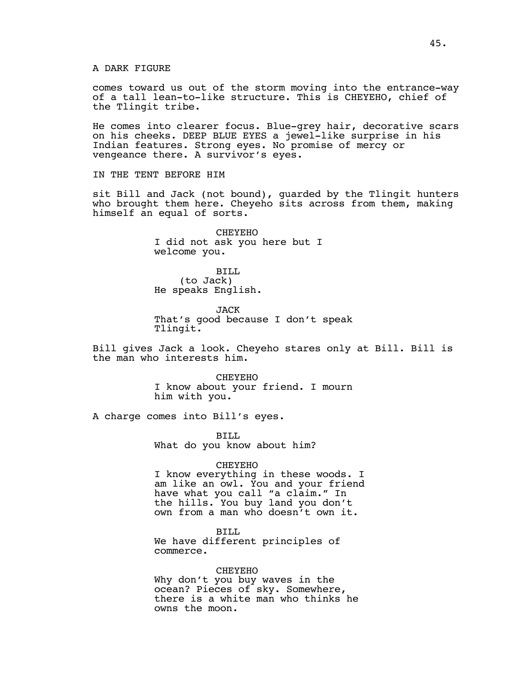A DARK FIGURE

comes toward us out of the storm moving into the entrance-way of a tall lean-to-like structure. This is CHEYEHO, chief of the Tlingit tribe.

He comes into clearer focus. Blue-grey hair, decorative scars on his cheeks. DEEP BLUE EYES a jewel-like surprise in his Indian features. Strong eyes. No promise of mercy or vengeance there. A survivor's eyes.

IN THE TENT BEFORE HIM

sit Bill and Jack (not bound), guarded by the Tlingit hunters who brought them here. Cheyeho sits across from them, making himself an equal of sorts.

> CHEYEHO I did not ask you here but I welcome you.

BILL (to Jack) He speaks English.

JACK That's good because I don't speak Tlingit.

Bill gives Jack a look. Cheyeho stares only at Bill. Bill is the man who interests him.

> CHEYEHO I know about your friend. I mourn him with you.

A charge comes into Bill's eyes.

BILL What do you know about him?

#### CHEYEHO

I know everything in these woods. I am like an owl. You and your friend have what you call "a claim." In the hills. You buy land you don't own from a man who doesn't own it.

BILL We have different principles of commerce.

#### CHEYEHO

Why don't you buy waves in the ocean? Pieces of sky. Somewhere, there is a white man who thinks he owns the moon.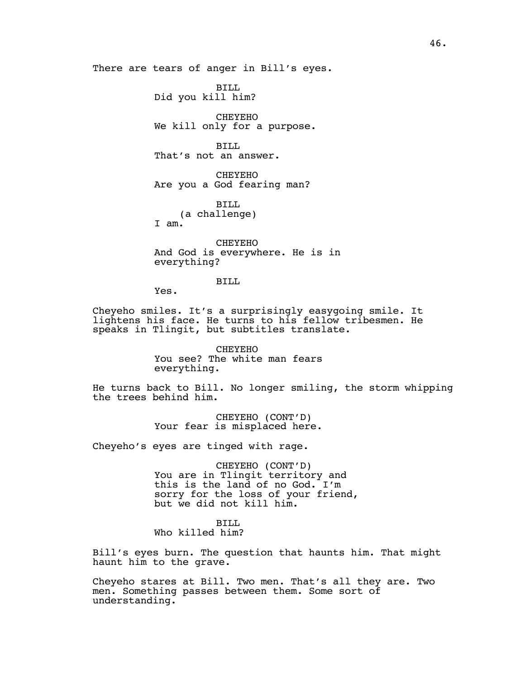There are tears of anger in Bill's eyes.

BILL Did you kill him?

CHEYEHO We kill only for a purpose.

BILL That's not an answer.

CHEYEHO Are you a God fearing man?

BILL

BILL (a challenge) I am.

CHEYEHO And God is everywhere. He is in everything?

Yes.

Cheyeho smiles. It's a surprisingly easygoing smile. It lightens his face. He turns to his fellow tribesmen. He speaks in Tlingit, but subtitles translate.

> CHEYEHO You see? The white man fears everything.

He turns back to Bill. No longer smiling, the storm whipping the trees behind him.

> CHEYEHO (CONT'D) Your fear is misplaced here.

Cheyeho's eyes are tinged with rage.

CHEYEHO (CONT'D) You are in Tlingit territory and this is the land of no God. I'm sorry for the loss of your friend, but we did not kill him.

BILL Who killed him?

Bill's eyes burn. The question that haunts him. That might haunt him to the grave.

Cheyeho stares at Bill. Two men. That's all they are. Two men. Something passes between them. Some sort of understanding.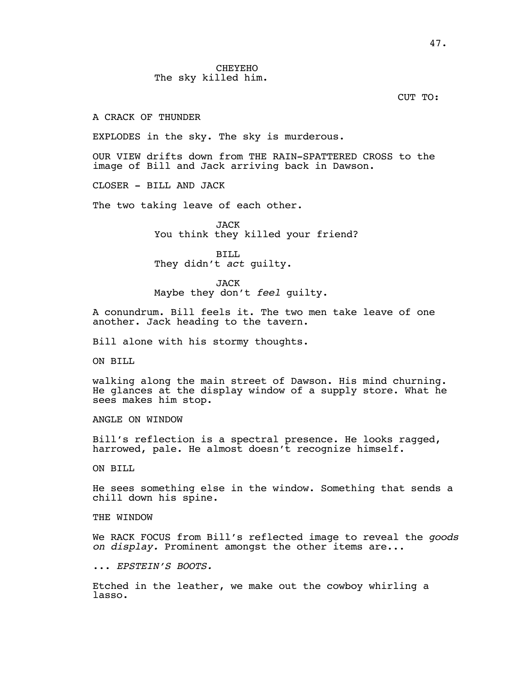#### CUT TO:

#### A CRACK OF THUNDER

EXPLODES in the sky. The sky is murderous.

OUR VIEW drifts down from THE RAIN-SPATTERED CROSS to the image of Bill and Jack arriving back in Dawson.

CLOSER - BILL AND JACK

The two taking leave of each other.

JACK You think they killed your friend?

BILL They didn't *act* guilty.

JACK Maybe they don't *feel* guilty.

A conundrum. Bill feels it. The two men take leave of one another. Jack heading to the tavern.

Bill alone with his stormy thoughts.

ON BILL

walking along the main street of Dawson. His mind churning. He glances at the display window of a supply store. What he sees makes him stop.

ANGLE ON WINDOW

Bill's reflection is a spectral presence. He looks ragged, harrowed, pale. He almost doesn't recognize himself.

ON BILL

He sees something else in the window. Something that sends a chill down his spine.

THE WINDOW

We RACK FOCUS from Bill's reflected image to reveal the *goods on display.* Prominent amongst the other items are...

... *EPSTEIN'S BOOTS.* 

Etched in the leather, we make out the cowboy whirling a lasso.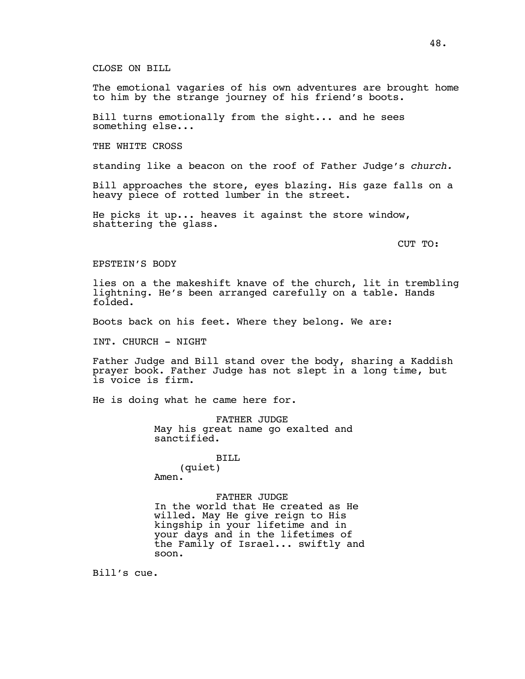CLOSE ON BILL

The emotional vagaries of his own adventures are brought home to him by the strange journey of his friend's boots.

Bill turns emotionally from the sight... and he sees something else...

THE WHITE CROSS

standing like a beacon on the roof of Father Judge's *church.*

Bill approaches the store, eyes blazing. His gaze falls on a heavy piece of rotted lumber in the street.

He picks it up... heaves it against the store window, shattering the glass.

CUT TO:

# EPSTEIN'S BODY

lies on a the makeshift knave of the church, lit in trembling lightning. He's been arranged carefully on a table. Hands folded.

Boots back on his feet. Where they belong. We are:

INT. CHURCH - NIGHT

Father Judge and Bill stand over the body, sharing a Kaddish prayer book. Father Judge has not slept in a long time, but is voice is firm.

He is doing what he came here for.

FATHER JUDGE May his great name go exalted and sanctified.

# BILL

(quiet) Amen.

FATHER JUDGE

In the world that He created as He willed. May He give reign to His kingship in your lifetime and in your days and in the lifetimes of the Family of Israel... swiftly and soon.

Bill's cue.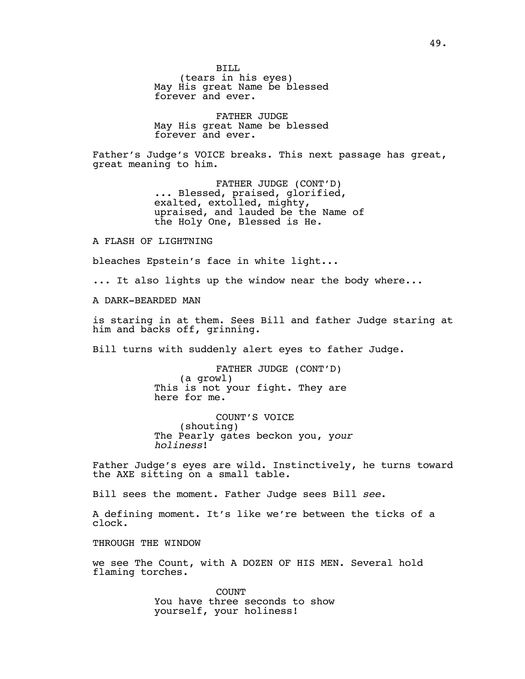BILL (tears in his eyes) May His great Name be blessed forever and ever.

FATHER JUDGE May His great Name be blessed forever and ever.

Father's Judge's VOICE breaks. This next passage has great, great meaning to him.

> FATHER JUDGE (CONT'D) ... Blessed, praised, glorified, exalted, extolled, mighty, upraised, and lauded be the Name of the Holy One, Blessed is He.

A FLASH OF LIGHTNING

bleaches Epstein's face in white light...

... It also lights up the window near the body where...

A DARK-BEARDED MAN

is staring in at them. Sees Bill and father Judge staring at him and backs off, grinning.

Bill turns with suddenly alert eyes to father Judge.

FATHER JUDGE (CONT'D) (a growl) This is not your fight. They are here for me.

COUNT'S VOICE (shouting) The Pearly gates beckon you, y*our holiness*!

Father Judge's eyes are wild. Instinctively, he turns toward the AXE sitting on a small table.

Bill sees the moment. Father Judge sees Bill *see*.

A defining moment. It's like we're between the ticks of a clock.

THROUGH THE WINDOW

we see The Count, with A DOZEN OF HIS MEN. Several hold flaming torches.

> **COUNT** You have three seconds to show yourself, your holiness!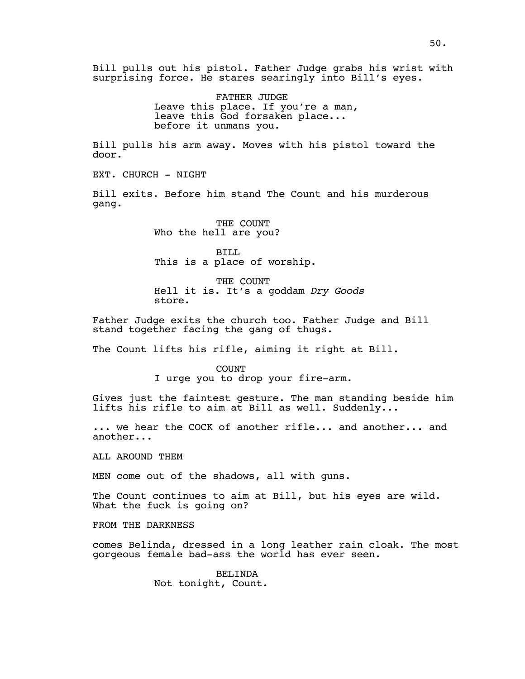Bill pulls out his pistol. Father Judge grabs his wrist with surprising force. He stares searingly into Bill's eyes.

> FATHER JUDGE Leave this place. If you're a man, leave this God forsaken place... before it unmans you.

Bill pulls his arm away. Moves with his pistol toward the door.

EXT. CHURCH - NIGHT

Bill exits. Before him stand The Count and his murderous gang.

> THE COUNT Who the hell are you?

BILL. This is a place of worship.

THE COUNT Hell it is. It's a goddam *Dry Goods*  store.

Father Judge exits the church too. Father Judge and Bill stand together facing the gang of thugs.

The Count lifts his rifle, aiming it right at Bill.

**COUNT** I urge you to drop your fire-arm.

Gives just the faintest gesture. The man standing beside him lifts his rifle to aim at Bill as well. Suddenly...

... we hear the COCK of another rifle... and another... and another...

ALL AROUND THEM

MEN come out of the shadows, all with guns.

The Count continues to aim at Bill, but his eyes are wild. What the fuck is going on?

FROM THE DARKNESS

comes Belinda, dressed in a long leather rain cloak. The most gorgeous female bad-ass the world has ever seen.

> BELINDA Not tonight, Count.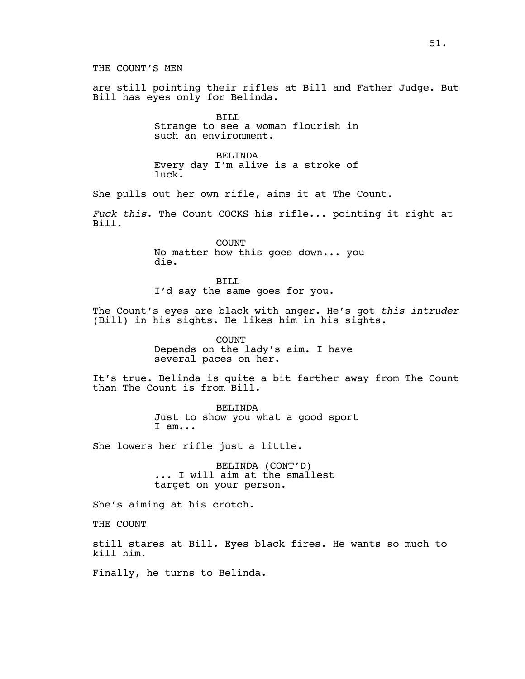THE COUNT'S MEN

are still pointing their rifles at Bill and Father Judge. But Bill has eyes only for Belinda.

> BILL Strange to see a woman flourish in such an environment.

> BELINDA Every day I'm alive is a stroke of luck.

She pulls out her own rifle, aims it at The Count.

*Fuck this*. The Count COCKS his rifle... pointing it right at Bill.

> COUNT No matter how this goes down... you die.

BILL I'd say the same goes for you.

The Count's eyes are black with anger. He's got *this intruder*  (Bill) in his sights. He likes him in his sights.

> **COUNT** Depends on the lady's aim. I have several paces on her.

It's true. Belinda is quite a bit farther away from The Count than The Count is from Bill.

> BELINDA Just to show you what a good sport I am...

She lowers her rifle just a little.

BELINDA (CONT'D) ... I will aim at the smallest target on your person.

She's aiming at his crotch.

THE COUNT

still stares at Bill. Eyes black fires. He wants so much to kill him.

Finally, he turns to Belinda.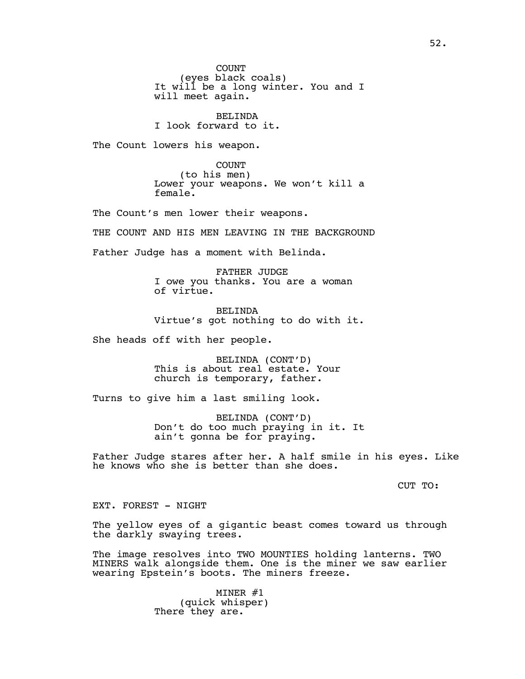**COUNT** (eyes black coals) It will be a long winter. You and I will meet again.

BELINDA I look forward to it.

The Count lowers his weapon.

**COUNT** (to his men) Lower your weapons. We won't kill a female.

The Count's men lower their weapons.

THE COUNT AND HIS MEN LEAVING IN THE BACKGROUND

Father Judge has a moment with Belinda.

FATHER JUDGE I owe you thanks. You are a woman of virtue.

BELINDA Virtue's got nothing to do with it.

She heads off with her people.

BELINDA (CONT'D) This is about real estate. Your church is temporary, father.

Turns to give him a last smiling look.

BELINDA (CONT'D) Don't do too much praying in it. It ain't gonna be for praying.

Father Judge stares after her. A half smile in his eyes. Like he knows who she is better than she does.

CUT TO:

EXT. FOREST - NIGHT

The yellow eyes of a gigantic beast comes toward us through the darkly swaying trees.

The image resolves into TWO MOUNTIES holding lanterns. TWO MINERS walk alongside them. One is the miner we saw earlier wearing Epstein's boots. The miners freeze.

> MINER #1 (quick whisper) There they are.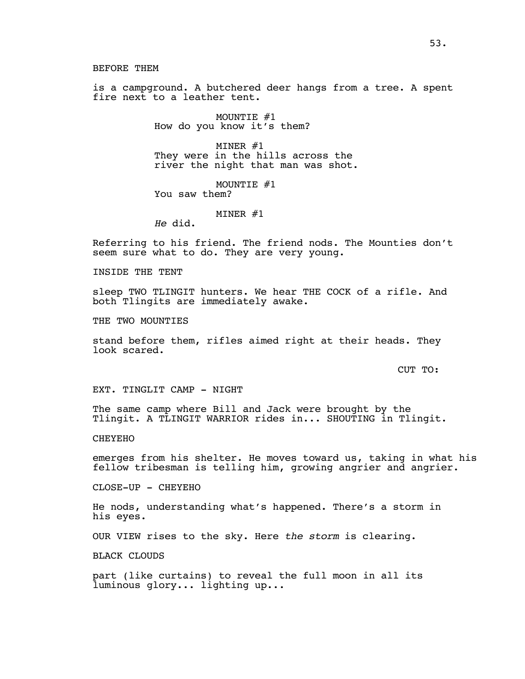is a campground. A butchered deer hangs from a tree. A spent fire next to a leather tent.

> MOUNTIE #1 How do you know it's them?

MINER #1 They were in the hills across the river the night that man was shot.

MOUNTIE #1 You saw them?

MINER #1

*He* did.

Referring to his friend. The friend nods. The Mounties don't seem sure what to do. They are very young.

INSIDE THE TENT

sleep TWO TLINGIT hunters. We hear THE COCK of a rifle. And both Tlingits are immediately awake.

THE TWO MOUNTIES

stand before them, rifles aimed right at their heads. They look scared.

CUT TO:

EXT. TINGLIT CAMP - NIGHT

The same camp where Bill and Jack were brought by the Tlingit. A TLINGIT WARRIOR rides in... SHOUTING in Tlingit.

CHEYEHO

emerges from his shelter. He moves toward us, taking in what his fellow tribesman is telling him, growing angrier and angrier.

CLOSE-UP - CHEYEHO

He nods, understanding what's happened. There's a storm in his eyes.

OUR VIEW rises to the sky. Here *the storm* is clearing.

BLACK CLOUDS

part (like curtains) to reveal the full moon in all its luminous glory... lighting up...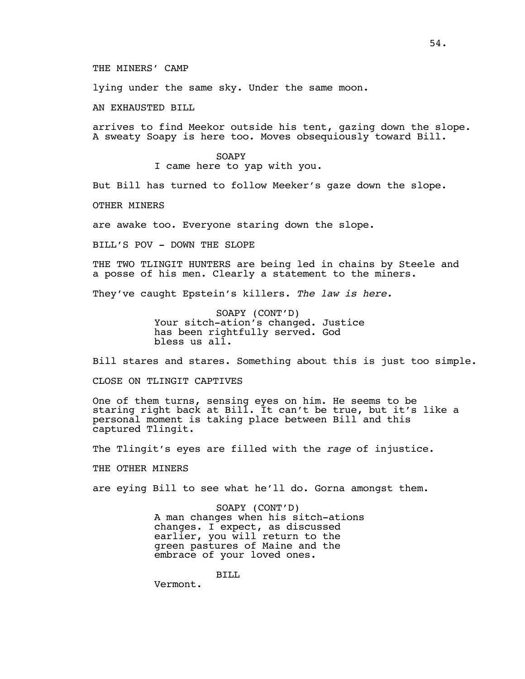lying under the same sky. Under the same moon.

AN EXHAUSTED BILL

arrives to find Meekor outside his tent, gazing down the slope. A sweaty Soapy is here too. Moves obsequiously toward Bill.

> SOAPY I came here to yap with you.

But Bill has turned to follow Meeker's gaze down the slope.

OTHER MINERS

are awake too. Everyone staring down the slope.

BILL'S POV - DOWN THE SLOPE

THE TWO TLINGIT HUNTERS are being led in chains by Steele and a posse of his men. Clearly a statement to the miners.

They've caught Epstein's killers. *The law is here.*

SOAPY (CONT'D) Your sitch-ation's changed. Justice has been rightfully served. God bless us all.

Bill stares and stares. Something about this is just too simple.

CLOSE ON TLINGIT CAPTIVES

One of them turns, sensing eyes on him. He seems to be staring right back at Bill. It can't be true, but it's like a personal moment is taking place between Bill and this captured Tlingit.

The Tlingit's eyes are filled with the *rage* of injustice.

THE OTHER MINERS

are eying Bill to see what he'll do. Gorna amongst them.

SOAPY (CONT'D) A man changes when his sitch-ations changes. I expect, as discussed earlier, you will return to the green pastures of Maine and the embrace of your loved ones.

BILL

Vermont.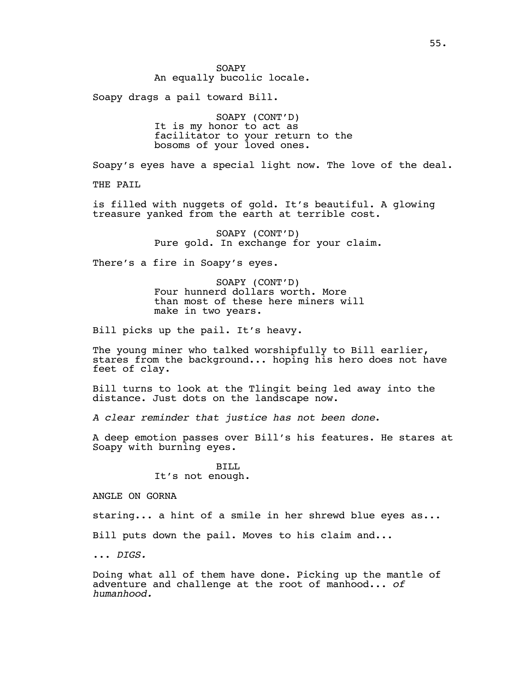Soapy drags a pail toward Bill.

SOAPY (CONT'D) It is my honor to act as facilitator to your return to the bosoms of your loved ones.

Soapy's eyes have a special light now. The love of the deal.

THE PAIL

is filled with nuggets of gold. It's beautiful. A glowing treasure yanked from the earth at terrible cost.

> SOAPY (CONT'D) Pure gold. In exchange for your claim.

There's a fire in Soapy's eyes.

SOAPY (CONT'D) Four hunnerd dollars worth. More than most of these here miners will make in two years.

Bill picks up the pail. It's heavy.

The young miner who talked worshipfully to Bill earlier, stares from the background... hoping his hero does not have feet of clay.

Bill turns to look at the Tlingit being led away into the distance. Just dots on the landscape now.

*A clear reminder that justice has not been done*.

A deep emotion passes over Bill's his features. He stares at Soapy with burning eyes.

> BILL It's not enough.

ANGLE ON GORNA

staring... a hint of a smile in her shrewd blue eyes as...

Bill puts down the pail. Moves to his claim and...

... *DIGS.*

Doing what all of them have done. Picking up the mantle of adventure and challenge at the root of manhood... *of humanhood.*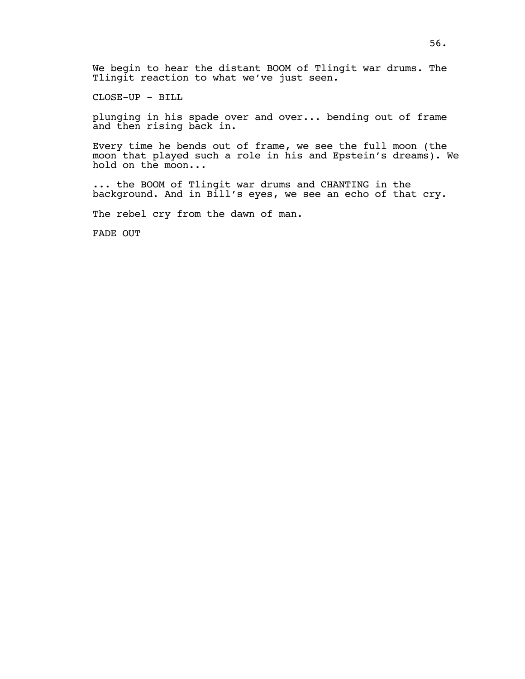We begin to hear the distant BOOM of Tlingit war drums. The Tlingit reaction to what we've just seen.

CLOSE-UP - BILL

plunging in his spade over and over... bending out of frame and then rising back in.

Every time he bends out of frame, we see the full moon (the moon that played such a role in his and Epstein's dreams). We hold on the moon...

... the BOOM of Tlingit war drums and CHANTING in the background. And in Bill's eyes, we see an echo of that cry.

The rebel cry from the dawn of man.

FADE OUT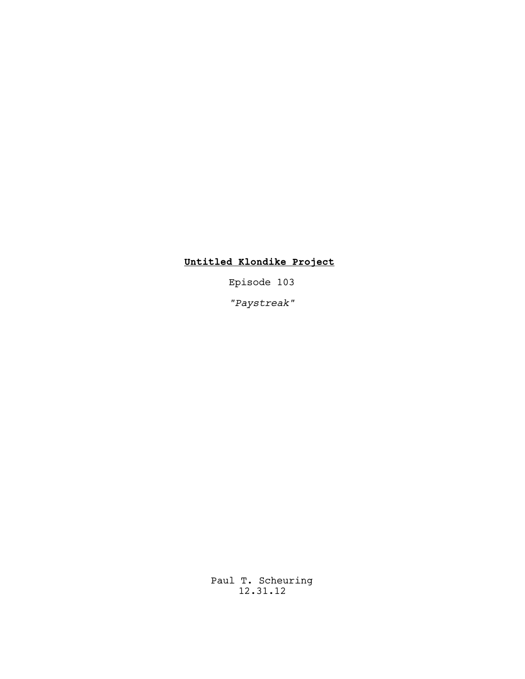# **Untitled Klondike Project**

Episode 103

*"Paystreak"*

Paul T. Scheuring 12.31.12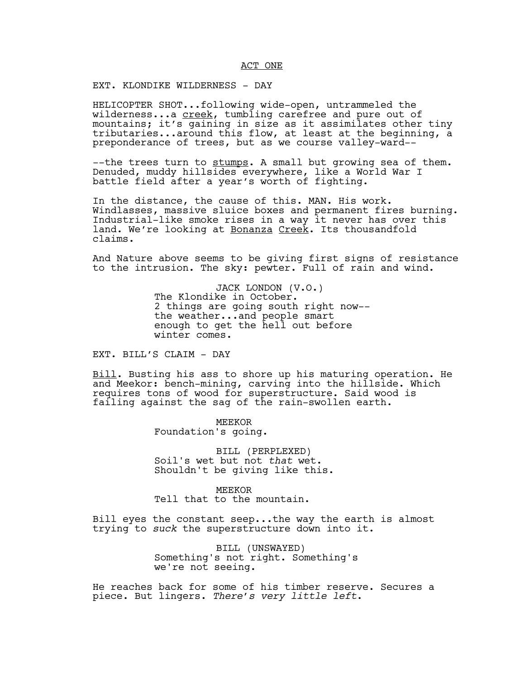#### ACT ONE

EXT. KLONDIKE WILDERNESS - DAY

HELICOPTER SHOT...following wide-open, untrammeled the wilderness...a creek, tumbling carefree and pure out of mountains; it's gaining in size as it assimilates other tiny tributaries...around this flow, at least at the beginning, a preponderance of trees, but as we course valley-ward--

--the trees turn to stumps. A small but growing sea of them. Denuded, muddy hillsides everywhere, like a World War I battle field after a year's worth of fighting.

In the distance, the cause of this. MAN. His work. Windlasses, massive sluice boxes and permanent fires burning. Industrial-like smoke rises in a way it never has over this land. We're looking at Bonanza Creek. Its thousandfold claims.

And Nature above seems to be giving first signs of resistance to the intrusion. The sky: pewter. Full of rain and wind.

> JACK LONDON (V.O.) The Klondike in October. 2 things are going south right now- the weather...and people smart enough to get the hell out before winter comes.

EXT. BILL'S CLAIM - DAY

Bill. Busting his ass to shore up his maturing operation. He and Meekor: bench-mining, carving into the hillside. Which requires tons of wood for superstructure. Said wood is failing against the sag of the rain-swollen earth.

> MEEKOR Foundation's going.

BILL (PERPLEXED) Soil's wet but not *that* wet. Shouldn't be giving like this.

MEEKOR Tell that to the mountain.

Bill eyes the constant seep...the way the earth is almost trying to *suck* the superstructure down into it.

> BILL (UNSWAYED) Something's not right. Something's we're not seeing.

He reaches back for some of his timber reserve. Secures a piece. But lingers. *There's very little left*.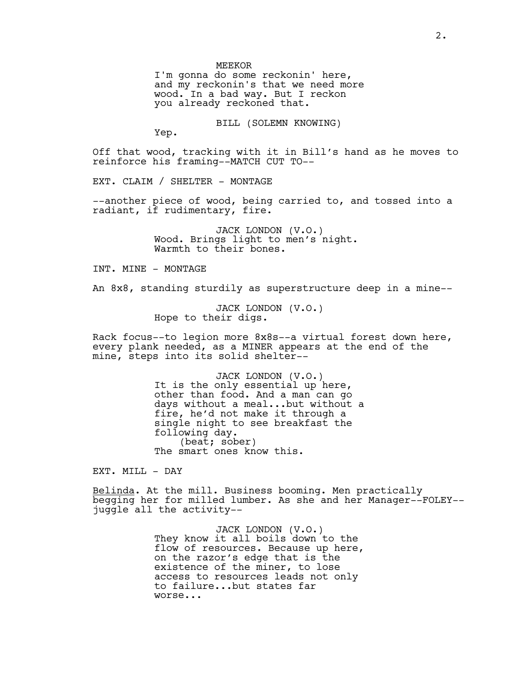I'm gonna do some reckonin' here, and my reckonin's that we need more wood. In a bad way. But I reckon you already reckoned that.

## BILL (SOLEMN KNOWING)

Yep.

Off that wood, tracking with it in Bill's hand as he moves to reinforce his framing--MATCH CUT TO--

EXT. CLAIM / SHELTER - MONTAGE

--another piece of wood, being carried to, and tossed into a radiant, if rudimentary, fire.

> JACK LONDON (V.O.) Wood. Brings light to men's night. Warmth to their bones.

INT. MINE - MONTAGE

An 8x8, standing sturdily as superstructure deep in a mine--

JACK LONDON (V.O.) Hope to their digs.

Rack focus--to legion more 8x8s--a virtual forest down here, every plank needed, as a MINER appears at the end of the mine, steps into its solid shelter--

> JACK LONDON (V.O.) It is the only essential up here, other than food. And a man can go days without a meal...but without a fire, he'd not make it through a single night to see breakfast the following day. (beat; sober) The smart ones know this.

EXT. MILL - DAY

Belinda. At the mill. Business booming. Men practically begging her for milled lumber. As she and her Manager--FOLEY- juggle all the activity--

> JACK LONDON (V.O.) They know it all boils down to the flow of resources. Because up here, on the razor's edge that is the existence of the miner, to lose access to resources leads not only to failure...but states far worse...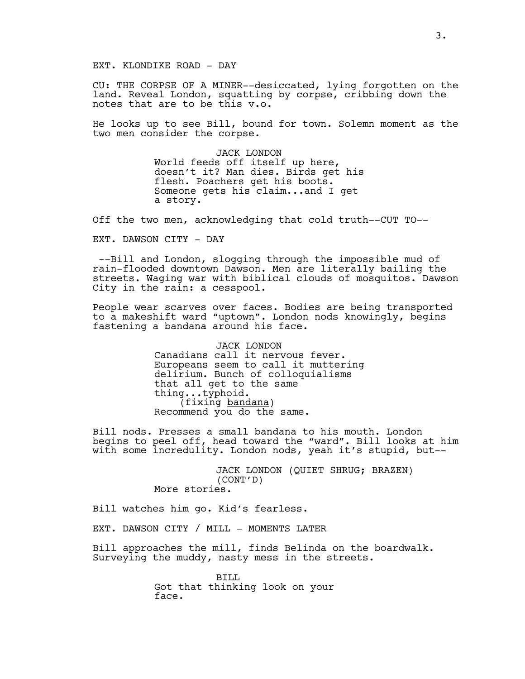## EXT. KLONDIKE ROAD - DAY

CU: THE CORPSE OF A MINER--desiccated, lying forgotten on the land. Reveal London, squatting by corpse, cribbing down the notes that are to be this v.o.

He looks up to see Bill, bound for town. Solemn moment as the two men consider the corpse.

> JACK LONDON World feeds off itself up here, doesn't it? Man dies. Birds get his flesh. Poachers get his boots. Someone gets his claim...and I get a story.

Off the two men, acknowledging that cold truth--CUT TO--

EXT. DAWSON CITY - DAY

 --Bill and London, slogging through the impossible mud of rain-flooded downtown Dawson. Men are literally bailing the streets. Waging war with biblical clouds of mosquitos. Dawson City in the rain: a cesspool.

People wear scarves over faces. Bodies are being transported to a makeshift ward "uptown". London nods knowingly, begins fastening a bandana around his face.

> JACK LONDON Canadians call it nervous fever. Europeans seem to call it muttering delirium. Bunch of colloquialisms that all get to the same thing...typhoid. (fixing bandana) Recommend you do the same.

Bill nods. Presses a small bandana to his mouth. London begins to peel off, head toward the "ward". Bill looks at him with some incredulity. London nods, yeah it's stupid, but--

> JACK LONDON (QUIET SHRUG; BRAZEN) (CONT'D) More stories.

Bill watches him go. Kid's fearless.

EXT. DAWSON CITY / MILL - MOMENTS LATER

Bill approaches the mill, finds Belinda on the boardwalk. Surveying the muddy, nasty mess in the streets.

> BILL Got that thinking look on your face.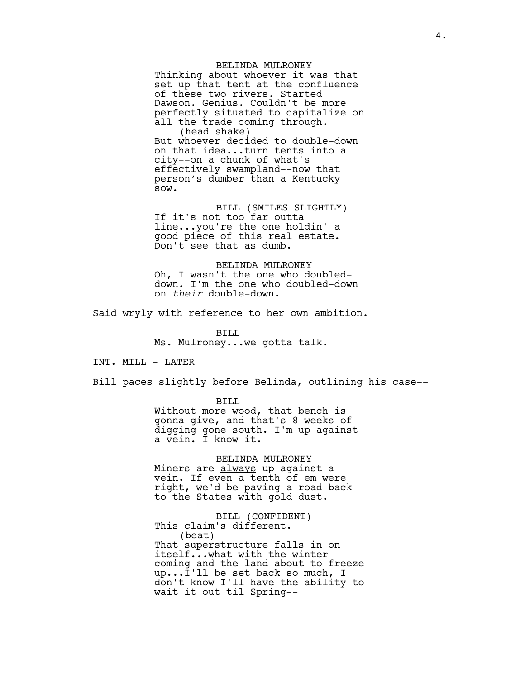BELINDA MULRONEY Thinking about whoever it was that set up that tent at the confluence of these two rivers. Started Dawson. Genius. Couldn't be more perfectly situated to capitalize on all the trade coming through. (head shake)

But whoever decided to double-down on that idea...turn tents into a city--on a chunk of what's effectively swampland--now that person's dumber than a Kentucky sow.

BILL (SMILES SLIGHTLY) If it's not too far outta line...you're the one holdin' a good piece of this real estate. Don't see that as dumb.

BELINDA MULRONEY Oh, I wasn't the one who doubleddown. I'm the one who doubled-down on *their* double-down.

Said wryly with reference to her own ambition.

BILL Ms. Mulroney...we gotta talk.

INT. MILL - LATER

Bill paces slightly before Belinda, outlining his case--

BILL

Without more wood, that bench is gonna give, and that's 8 weeks of digging gone south. I'm up against a vein. I know it.

BELINDA MULRONEY Miners are always up against a vein. If even a tenth of em were right, we'd be paving a road back to the States with gold dust.

BILL (CONFIDENT) This claim's different. (beat) That superstructure falls in on itself...what with the winter coming and the land about to freeze up...I'll be set back so much, I don't know I'll have the ability to wait it out til Spring--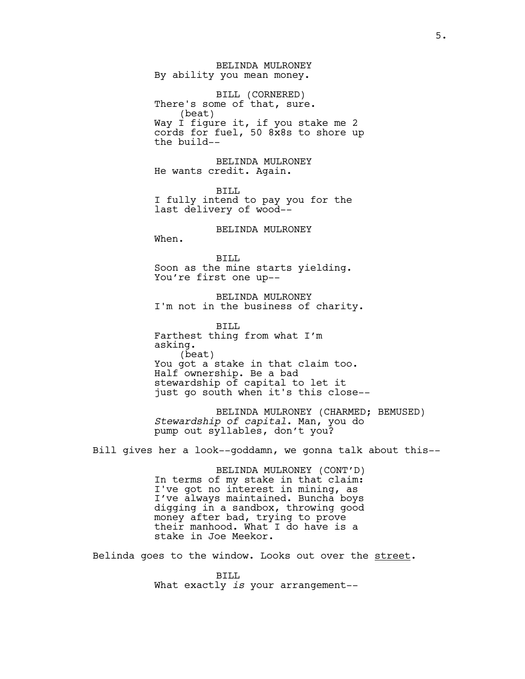BELINDA MULRONEY By ability you mean money.

BILL (CORNERED) There's some of that, sure. (beat) Way I figure it, if you stake me 2 cords for fuel, 50 8x8s to shore up the build--

BELINDA MULRONEY He wants credit. Again.

BILL. I fully intend to pay you for the last delivery of wood--

BELINDA MULRONEY

When.

BILL Soon as the mine starts yielding. You're first one up--

BELINDA MULRONEY I'm not in the business of charity.

BILL Farthest thing from what I'm asking. (beat) You got a stake in that claim too. Half ownership. Be a bad stewardship of capital to let it just go south when it's this close--

BELINDA MULRONEY (CHARMED; BEMUSED) *Stewardship of capital*. Man, you do pump out syllables, don't you?

Bill gives her a look--goddamn, we gonna talk about this--

BELINDA MULRONEY (CONT'D) In terms of my stake in that claim: I've got no interest in mining, as I've always maintained. Buncha boys digging in a sandbox, throwing good money after bad, trying to prove their manhood. What I do have is a stake in Joe Meekor.

Belinda goes to the window. Looks out over the street.

BILL What exactly *is* your arrangement--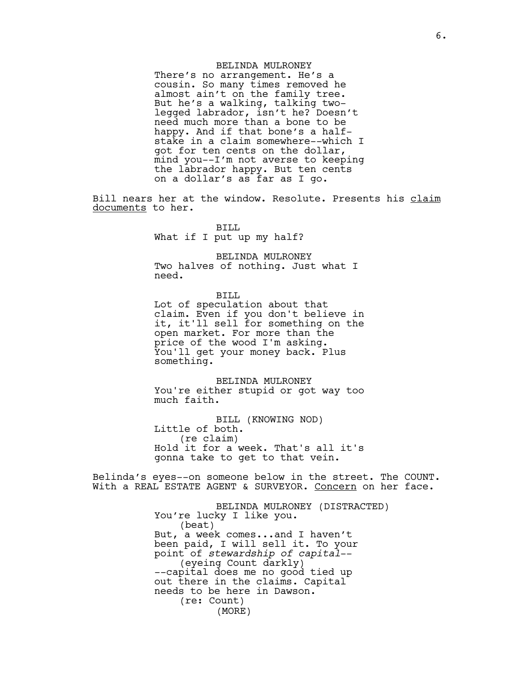# BELINDA MULRONEY

There's no arrangement. He's a cousin. So many times removed he almost ain't on the family tree. But he's a walking, talking twolegged labrador, isn't he? Doesn't need much more than a bone to be happy. And if that bone's a halfstake in a claim somewhere--which I got for ten cents on the dollar, mind you--I'm not averse to keeping the labrador happy. But ten cents on a dollar's as far as I go.

Bill nears her at the window. Resolute. Presents his claim documents to her.

> BILL What if I put up my half?

BELINDA MULRONEY Two halves of nothing. Just what I need.

BILL Lot of speculation about that claim. Even if you don't believe in it, it'll sell for something on the open market. For more than the price of the wood I'm asking. You'll get your money back. Plus something.

BELINDA MULRONEY You're either stupid or got way too much faith.

BILL (KNOWING NOD) Little of both. (re claim) Hold it for a week. That's all it's gonna take to get to that vein.

Belinda's eyes--on someone below in the street. The COUNT. With a REAL ESTATE AGENT & SURVEYOR. Concern on her face.

> BELINDA MULRONEY (DISTRACTED) You're lucky I like you. (beat) But, a week comes...and I haven't been paid, I will sell it. To your point of *stewardship of capital*-- (eyeing Count darkly) --capital does me no good tied up out there in the claims. Capital needs to be here in Dawson. (re: Count) (MORE)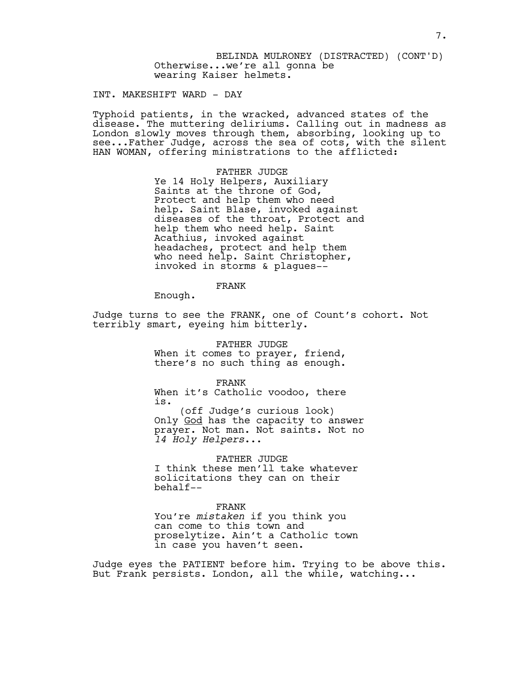Otherwise...we're all gonna be wearing Kaiser helmets. BELINDA MULRONEY (DISTRACTED) (CONT'D)

INT. MAKESHIFT WARD - DAY

Typhoid patients, in the wracked, advanced states of the disease. The muttering deliriums. Calling out in madness as London slowly moves through them, absorbing, looking up to see...Father Judge, across the sea of cots, with the silent HAN WOMAN, offering ministrations to the afflicted:

> FATHER JUDGE Ye 14 Holy Helpers, Auxiliary Saints at the throne of God, Protect and help them who need help. Saint Blase, invoked against diseases of the throat, Protect and help them who need help. Saint Acathius, invoked against headaches, protect and help them who need help. Saint Christopher, invoked in storms & plagues--

> > FRANK

Enough.

Judge turns to see the FRANK, one of Count's cohort. Not terribly smart, eyeing him bitterly.

> FATHER JUDGE When it comes to prayer, friend, there's no such thing as enough.

FRANK When it's Catholic voodoo, there is. (off Judge's curious look)

Only God has the capacity to answer prayer. Not man. Not saints. Not no *14 Holy Helpers*...

FATHER JUDGE I think these men'll take whatever solicitations they can on their behalf--

FRANK You're *mistaken* if you think you can come to this town and proselytize. Ain't a Catholic town in case you haven't seen.

Judge eyes the PATIENT before him. Trying to be above this. But Frank persists. London, all the while, watching...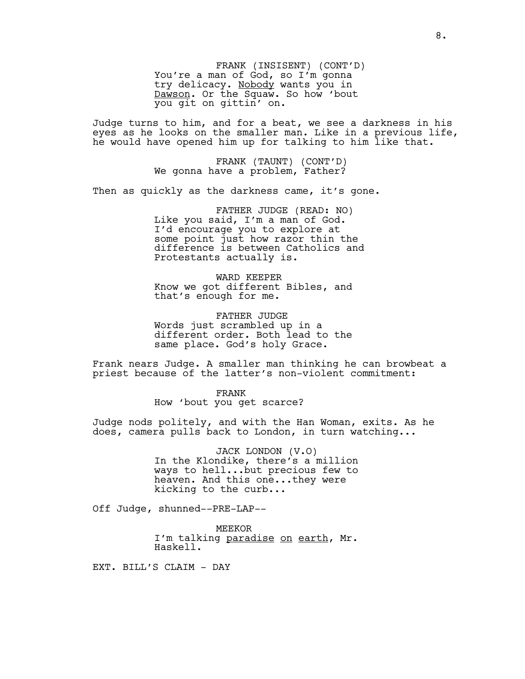FRANK (INSISENT) (CONT'D) You're a man of God, so I'm gonna try delicacy. Nobody wants you in Dawson. Or the Squaw. So how 'bout you git on gittin' on.

Judge turns to him, and for a beat, we see a darkness in his eyes as he looks on the smaller man. Like in a previous life, he would have opened him up for talking to him like that.

> FRANK (TAUNT) (CONT'D) We gonna have a problem, Father?

Then as quickly as the darkness came, it's gone.

FATHER JUDGE (READ: NO) Like you said, I'm a man of God. I'd encourage you to explore at some point just how razor thin the difference is between Catholics and Protestants actually is.

WARD KEEPER Know we got different Bibles, and that's enough for me.

FATHER JUDGE Words just scrambled up in a different order. Both lead to the same place. God's holy Grace.

Frank nears Judge. A smaller man thinking he can browbeat a priest because of the latter's non-violent commitment:

> FRANK How 'bout you get scarce?

Judge nods politely, and with the Han Woman, exits. As he does, camera pulls back to London, in turn watching...

> JACK LONDON (V.O) In the Klondike, there's a million ways to hell...but precious few to heaven. And this one...they were kicking to the curb...

Off Judge, shunned--PRE-LAP--

MEEKOR I'm talking paradise on earth, Mr. Haskell.

EXT. BILL'S CLAIM - DAY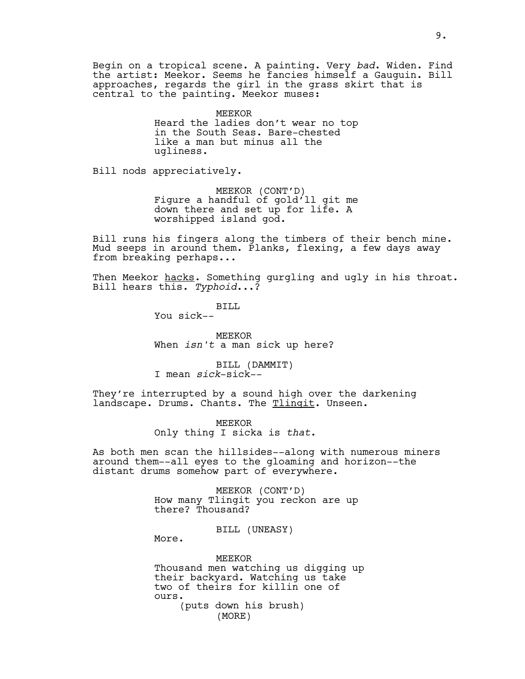Begin on a tropical scene. A painting. Very *bad*. Widen. Find the artist: Meekor. Seems he fancies himself a Gauguin. Bill approaches, regards the girl in the grass skirt that is central to the painting. Meekor muses:

> MEEKOR Heard the ladies don't wear no top in the South Seas. Bare-chested like a man but minus all the ugliness.

Bill nods appreciatively.

MEEKOR (CONT'D) Figure a handful of gold'll git me down there and set up for life. A worshipped island god.

Bill runs his fingers along the timbers of their bench mine. Mud seeps in around them. Planks, flexing, a few days away from breaking perhaps...

Then Meekor hacks. Something gurgling and ugly in his throat. Bill hears this. *Typhoid*...?

BILL

You sick--

MEEKOR When *isn't* a man sick up here?

BILL (DAMMIT) I mean *sick*-sick--

They're interrupted by a sound high over the darkening landscape. Drums. Chants. The Tlingit. Unseen.

> MEEKOR Only thing I sicka is *that*.

As both men scan the hillsides--along with numerous miners around them--all eyes to the gloaming and horizon--the distant drums somehow part of everywhere.

> MEEKOR (CONT'D) How many Tlingit you reckon are up there? Thousand?

> > BILL (UNEASY)

More.

MEEKOR Thousand men watching us digging up their backyard. Watching us take two of theirs for killin one of ours. (puts down his brush) (MORE)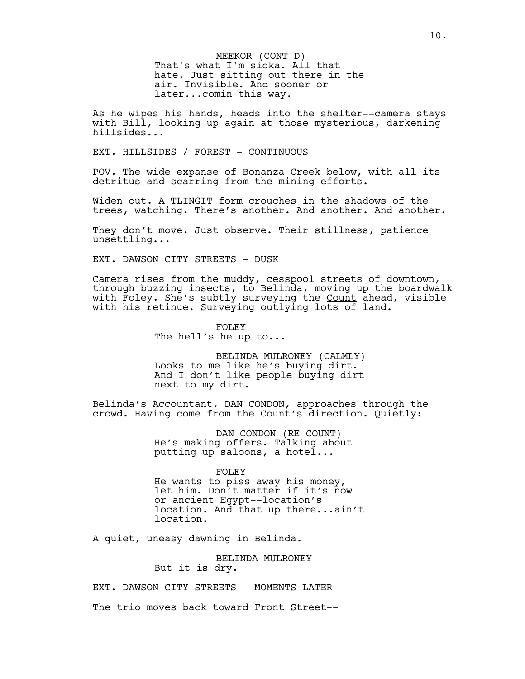That's what I'm sicka. All that hate. Just sitting out there in the air. Invisible. And sooner or later...comin this way. MEEKOR (CONT'D)

As he wipes his hands, heads into the shelter--camera stays with Bill, looking up again at those mysterious, darkening hillsides...

EXT. HILLSIDES / FOREST - CONTINUOUS

POV. The wide expanse of Bonanza Creek below, with all its detritus and scarring from the mining efforts.

Widen out. A TLINGIT form crouches in the shadows of the trees, watching. There's another. And another. And another.

They don't move. Just observe. Their stillness, patience unsettling...

EXT. DAWSON CITY STREETS - DUSK

Camera rises from the muddy, cesspool streets of downtown, through buzzing insects, to Belinda, moving up the boardwalk with Foley. She's subtly surveying the <u>Count</u> ahead, visible with his retinue. Surveying outlying lots of land.

> FOLEY The hell's he up to...

BELINDA MULRONEY (CALMLY) Looks to me like he's buying dirt. And I don't like people buying dirt next to my dirt.

Belinda's Accountant, DAN CONDON, approaches through the crowd. Having come from the Count's direction. Quietly:

> DAN CONDON (RE COUNT) He's making offers. Talking about putting up saloons, a hotel...

FOLEY He wants to piss away his money, let him. Don't matter if it's now or ancient Egypt--location's location. And that up there...ain't location.

A quiet, uneasy dawning in Belinda.

BELINDA MULRONEY But it is dry.

EXT. DAWSON CITY STREETS - MOMENTS LATER

The trio moves back toward Front Street--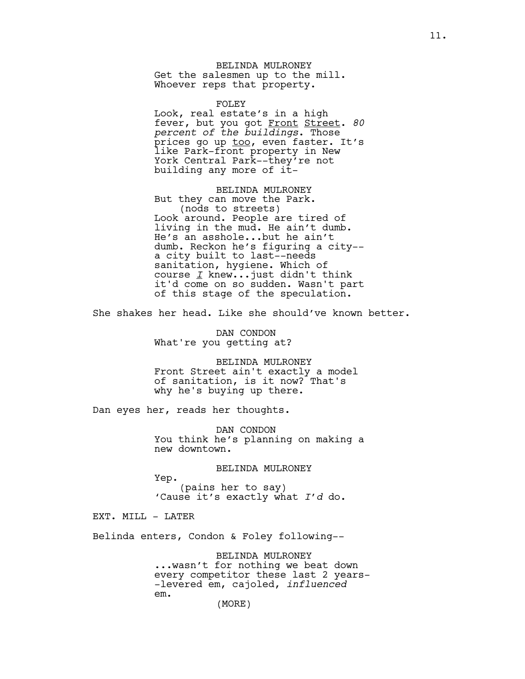BELINDA MULRONEY Get the salesmen up to the mill. Whoever reps that property.

FOLEY Look, real estate's in a high fever, but you got Front Street. *80 percent of the buildings*. Those prices go up too, even faster. It's like Park-front property in New York Central Park--they're not building any more of it-

BELINDA MULRONEY But they can move the Park. (nods to streets) Look around. People are tired of living in the mud. He ain't dumb. He's an asshole...but he ain't dumb. Reckon he's figuring a city- a city built to last--needs sanitation, hygiene. Which of course *I* knew...just didn't think it'd come on so sudden. Wasn't part of this stage of the speculation.

She shakes her head. Like she should've known better.

DAN CONDON What're you getting at?

BELINDA MULRONEY Front Street ain't exactly a model of sanitation, is it now? That's why he's buying up there.

Dan eyes her, reads her thoughts.

DAN CONDON You think he's planning on making a new downtown.

BELINDA MULRONEY

Yep. (pains her to say) 'Cause it's exactly what *I'd* do.

EXT. MILL - LATER

Belinda enters, Condon & Foley following--

BELINDA MULRONEY ...wasn't for nothing we beat down every competitor these last 2 years- -levered em, cajoled, *influenced* em. (MORE)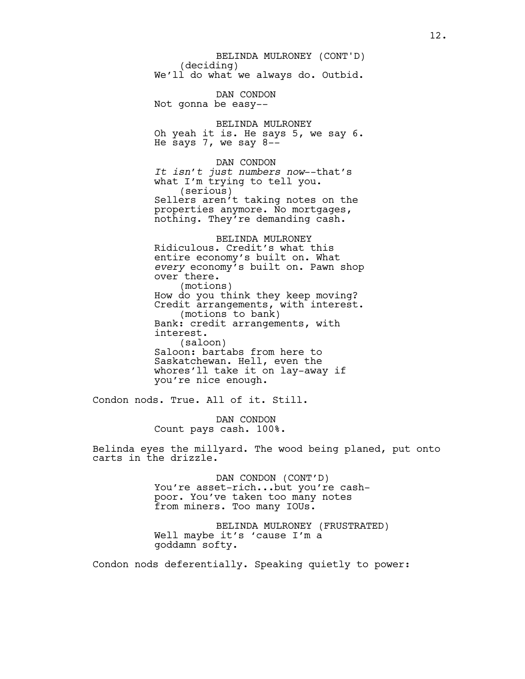(deciding) We'll do what we always do. Outbid. BELINDA MULRONEY (CONT'D)

DAN CONDON Not gonna be easy--

BELINDA MULRONEY Oh yeah it is. He says 5, we say 6. He says  $7$ , we say  $8--$ 

DAN CONDON *It isn't just numbers now*--that's what I'm trying to tell you. (serious) Sellers aren't taking notes on the properties anymore. No mortgages, nothing. They're demanding cash.

BELINDA MULRONEY Ridiculous. Credit's what this entire economy's built on. What *every* economy's built on. Pawn shop over there. (motions) How do you think they keep moving? Credit arrangements, with interest. (motions to bank) Bank: credit arrangements, with interest. (saloon) Saloon: bartabs from here to Saskatchewan. Hell, even the whores'll take it on lay-away if you're nice enough.

Condon nods. True. All of it. Still.

DAN CONDON Count pays cash. 100%.

Belinda eyes the millyard. The wood being planed, put onto carts in the drizzle.

> DAN CONDON (CONT'D) You're asset-rich...but you're cashpoor. You've taken too many notes from miners. Too many IOUs.

BELINDA MULRONEY (FRUSTRATED) Well maybe it's 'cause I'm a goddamn softy.

Condon nods deferentially. Speaking quietly to power: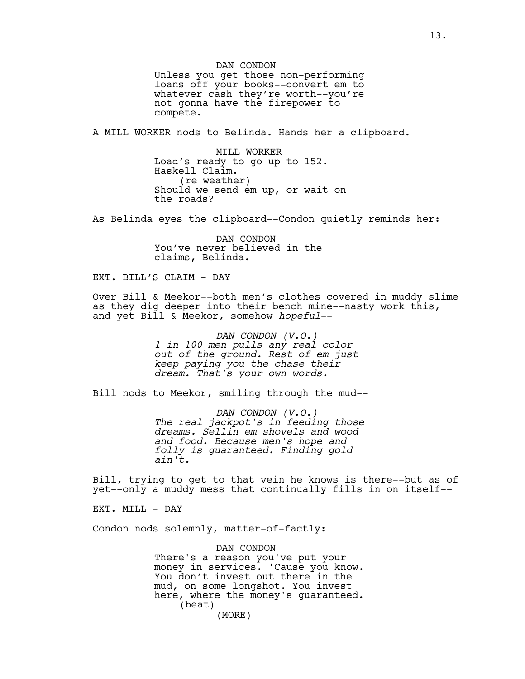DAN CONDON Unless you get those non-performing loans off your books--convert em to whatever cash they're worth--you're not gonna have the firepower to compete.

A MILL WORKER nods to Belinda. Hands her a clipboard.

MILL WORKER Load's ready to go up to 152. Haskell Claim. (re weather) Should we send em up, or wait on the roads?

As Belinda eyes the clipboard--Condon quietly reminds her:

DAN CONDON You've never believed in the claims, Belinda.

EXT. BILL'S CLAIM - DAY

Over Bill & Meekor--both men's clothes covered in muddy slime as they dig deeper into their bench mine--nasty work this, and yet Bill & Meekor, somehow *hopeful*--

> *DAN CONDON (V.O.) 1 in 100 men pulls any real color out of the ground. Rest of em just keep paying you the chase their dream. That's your own words.*

Bill nods to Meekor, smiling through the mud--

*DAN CONDON (V.O.) The real jackpot's in feeding those dreams. Sellin em shovels and wood and food. Because men's hope and folly is guaranteed. Finding gold ain't.*

Bill, trying to get to that vein he knows is there--but as of yet--only a muddy mess that continually fills in on itself--

EXT. MILL - DAY

Condon nods solemnly, matter-of-factly:

DAN CONDON There's a reason you've put your money in services. 'Cause you **know.**<br>You don't invest out there in the mud, on some longshot. You invest here, where the money's guaranteed. (beat) (MORE)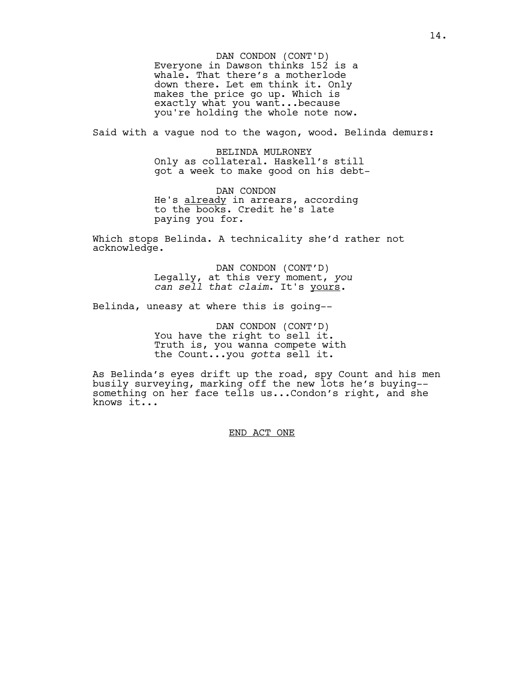Everyone in Dawson thinks 152 is a whale. That there's a motherlode down there. Let em think it. Only makes the price go up. Which is exactly what you want...because you're holding the whole note now. DAN CONDON (CONT'D)

Said with a vague nod to the wagon, wood. Belinda demurs:

BELINDA MULRONEY Only as collateral. Haskell's still got a week to make good on his debt-

DAN CONDON He's already in arrears, according to the books. Credit he's late paying you for.

Which stops Belinda. A technicality she'd rather not acknowledge.

> DAN CONDON (CONT'D) Legally, at this very moment, *you can sell that claim*. It's yours.

Belinda, uneasy at where this is going--

DAN CONDON (CONT'D) You have the right to sell it. Truth is, you wanna compete with the Count...you *gotta* sell it.

As Belinda's eyes drift up the road, spy Count and his men busily surveying, marking off the new lots he's buying- something on her face tells us...Condon's right, and she knows it...

END ACT ONE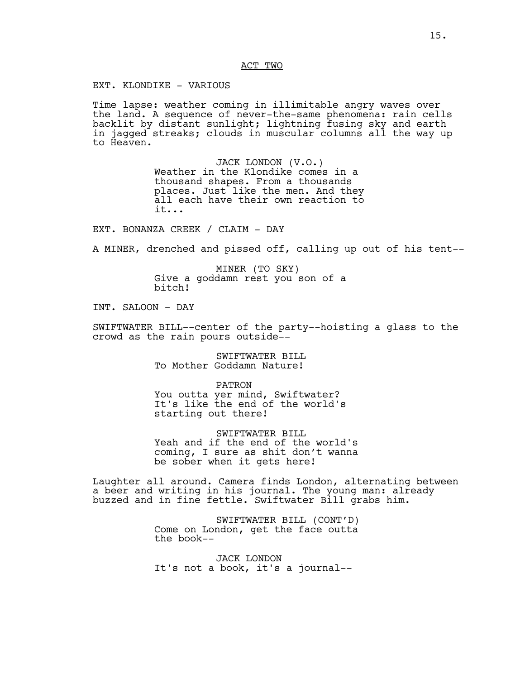#### ACT TWO

EXT. KLONDIKE - VARIOUS

Time lapse: weather coming in illimitable angry waves over the land. A sequence of never-the-same phenomena: rain cells backlit by distant sunlight; lightning fusing sky and earth in jagged streaks; clouds in muscular columns all the way up to Heaven.

> JACK LONDON (V.O.) Weather in the Klondike comes in a thousand shapes. From a thousands places. Just like the men. And they all each have their own reaction to it...

EXT. BONANZA CREEK / CLAIM - DAY

A MINER, drenched and pissed off, calling up out of his tent--

MINER (TO SKY) Give a goddamn rest you son of a bitch!

INT. SALOON - DAY

SWIFTWATER BILL--center of the party--hoisting a glass to the crowd as the rain pours outside--

> SWIFTWATER BILL To Mother Goddamn Nature!

PATRON You outta yer mind, Swiftwater? It's like the end of the world's

starting out there!

SWIFTWATER BILL Yeah and if the end of the world's coming, I sure as shit don't wanna be sober when it gets here!

Laughter all around. Camera finds London, alternating between a beer and writing in his journal. The young man: already buzzed and in fine fettle. Swiftwater Bill grabs him.

> SWIFTWATER BILL (CONT'D) Come on London, get the face outta the book--

JACK LONDON It's not a book, it's a journal--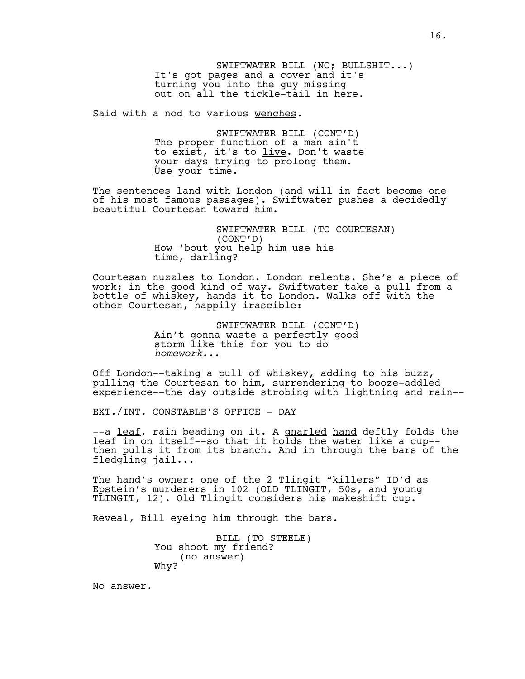SWIFTWATER BILL (NO; BULLSHIT...) It's got pages and a cover and it's turning you into the guy missing out on all the tickle-tail in here.

Said with a nod to various wenches.

SWIFTWATER BILL (CONT'D) The proper function of a man ain't to exist, it's to live. Don't waste your days trying to prolong them. Use your time.

The sentences land with London (and will in fact become one of his most famous passages). Swiftwater pushes a decidedly beautiful Courtesan toward him.

> SWIFTWATER BILL (TO COURTESAN) (CONT'D) How 'bout you help him use his time, darling?

Courtesan nuzzles to London. London relents. She's a piece of work; in the good kind of way. Swiftwater take a pull from a bottle of whiskey, hands it to London. Walks off with the other Courtesan, happily irascible:

> SWIFTWATER BILL (CONT'D) Ain't gonna waste a perfectly good storm like this for you to do *homework*...

Off London--taking a pull of whiskey, adding to his buzz, pulling the Courtesan to him, surrendering to booze-addled experience--the day outside strobing with lightning and rain--

EXT./INT. CONSTABLE'S OFFICE - DAY

--a leaf, rain beading on it. A gnarled hand deftly folds the leaf in on itself--so that it holds the water like a cup- then pulls it from its branch. And in through the bars of the fledgling jail...

The hand's owner: one of the 2 Tlingit "killers" ID'd as Epstein's murderers in 102 (OLD TLINGIT, 50s, and young TLINGIT, 12). Old Tlingit considers his makeshift cup.

Reveal, Bill eyeing him through the bars.

BILL (TO STEELE) You shoot my friend? (no answer) Why?

No answer.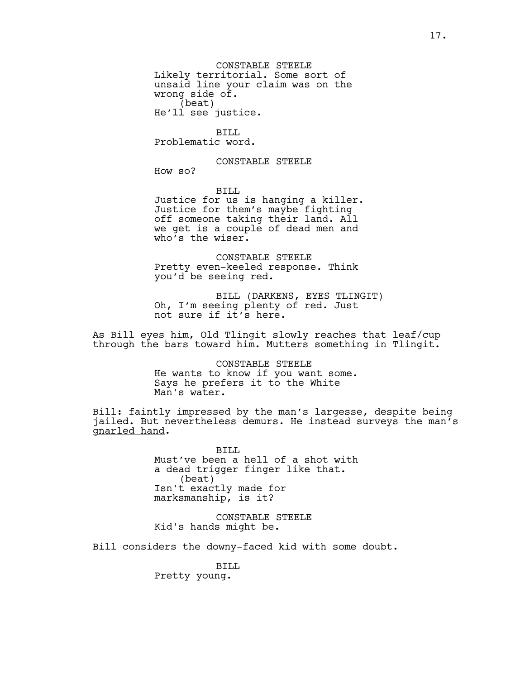BILL Problematic word.

CONSTABLE STEELE

How so?

BILL. Justice for us is hanging a killer. Justice for them's maybe fighting off someone taking their land. All we get is a couple of dead men and who's the wiser.

CONSTABLE STEELE Pretty even-keeled response. Think you'd be seeing red.

BILL (DARKENS, EYES TLINGIT) Oh, I'm seeing plenty of red. Just not sure if it's here.

As Bill eyes him, Old Tlingit slowly reaches that leaf/cup through the bars toward him. Mutters something in Tlingit.

> CONSTABLE STEELE He wants to know if you want some. Says he prefers it to the White Man's water.

Bill: faintly impressed by the man's largesse, despite being jailed. But nevertheless demurs. He instead surveys the man's gnarled hand.

> BTLL Must've been a hell of a shot with a dead trigger finger like that. (beat) Isn't exactly made for marksmanship, is it?

CONSTABLE STEELE Kid's hands might be.

Bill considers the downy-faced kid with some doubt.

BILL Pretty young.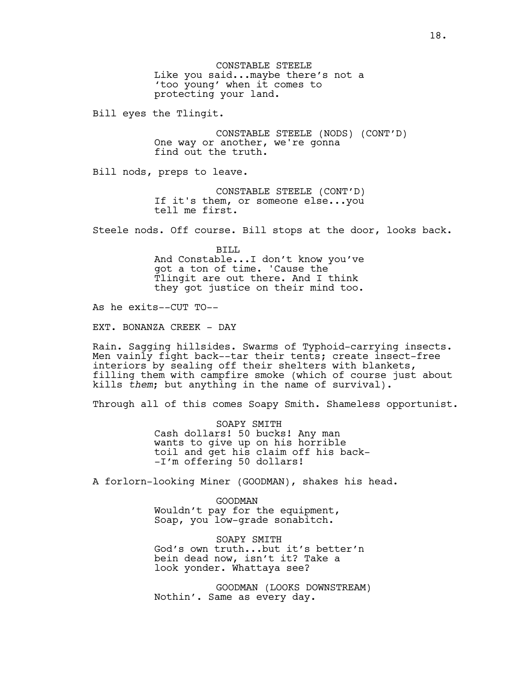CONSTABLE STEELE Like you said...maybe there's not a 'too young' when it comes to protecting your land.

Bill eyes the Tlingit.

CONSTABLE STEELE (NODS) (CONT'D) One way or another, we're gonna find out the truth.

Bill nods, preps to leave.

CONSTABLE STEELE (CONT'D) If it's them, or someone else...you tell me first.

Steele nods. Off course. Bill stops at the door, looks back.

BILL And Constable...I don't know you've got a ton of time. 'Cause the Tlingit are out there. And I think they got justice on their mind too.

As he exits--CUT TO--

EXT. BONANZA CREEK - DAY

Rain. Sagging hillsides. Swarms of Typhoid-carrying insects. Men vainly fight back--tar their tents; create insect-free interiors by sealing off their shelters with blankets, filling them with campfire smoke (which of course just about kills *them*; but anything in the name of survival).

Through all of this comes Soapy Smith. Shameless opportunist.

SOAPY SMITH Cash dollars! 50 bucks! Any man wants to give up on his horrible toil and get his claim off his back- -I'm offering 50 dollars!

A forlorn-looking Miner (GOODMAN), shakes his head.

GOODMAN Wouldn't pay for the equipment, Soap, you low-grade sonabitch.

SOAPY SMITH God's own truth...but it's better'n bein dead now, isn't it? Take a look yonder. Whattaya see?

GOODMAN (LOOKS DOWNSTREAM) Nothin'. Same as every day.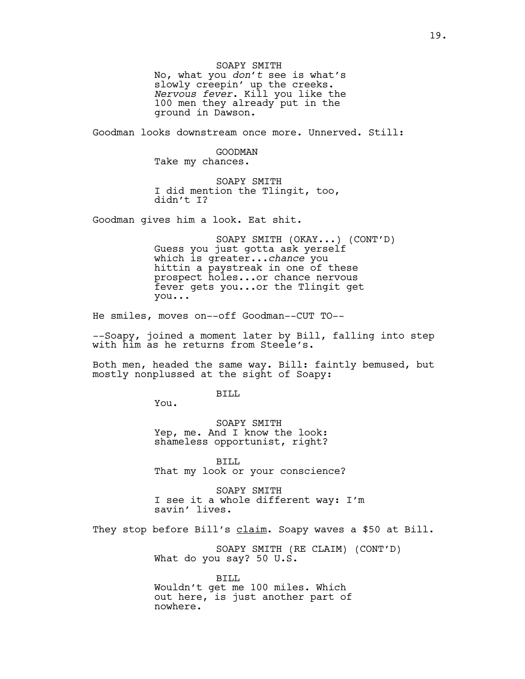SOAPY SMITH No, what you *don't* see is what's slowly creepin' up the creeks. *Nervous fever*. Kill you like the 100 men they already put in the ground in Dawson.

Goodman looks downstream once more. Unnerved. Still:

GOODMAN Take my chances.

SOAPY SMITH I did mention the Tlingit, too, didn't I?

Goodman gives him a look. Eat shit.

SOAPY SMITH (OKAY...) (CONT'D) Guess you just gotta ask yerself which is greater...*chance* you hittin a paystreak in one of these prospect holes...or chance nervous fever gets you...or the Tlingit get you...

He smiles, moves on--off Goodman--CUT TO--

--Soapy, joined a moment later by Bill, falling into step with him as he returns from Steele's.

Both men, headed the same way. Bill: faintly bemused, but mostly nonplussed at the sight of Soapy:

BILL

You.

SOAPY SMITH Yep, me. And I know the look: shameless opportunist, right?

BILL That my look or your conscience?

SOAPY SMITH I see it a whole different way: I'm savin' lives.

They stop before Bill's claim. Soapy waves a \$50 at Bill.

SOAPY SMITH (RE CLAIM) (CONT'D) What do you say? 50 U.S.

BILL Wouldn't get me 100 miles. Which out here, is just another part of nowhere.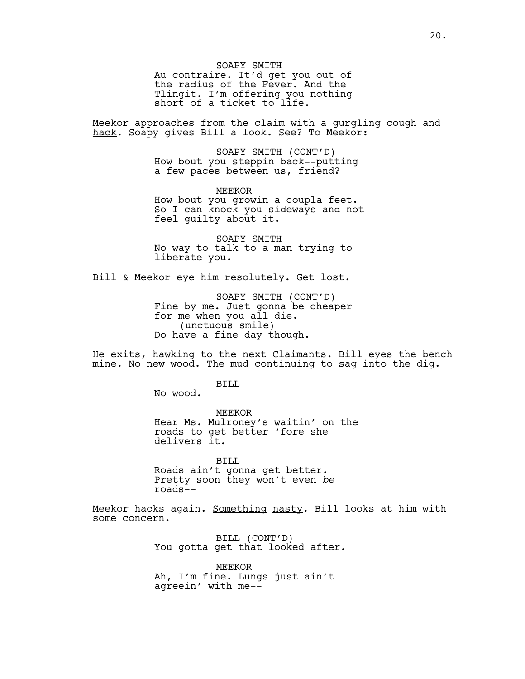Au contraire. It'd get you out of the radius of the Fever. And the Tlingit. I'm offering you nothing short of a ticket to life.

Meekor approaches from the claim with a gurgling cough and hack. Soapy gives Bill a look. See? To Meekor:

> SOAPY SMITH (CONT'D) How bout you steppin back--putting a few paces between us, friend?

MEEKOR How bout you growin a coupla feet. So I can knock you sideways and not feel guilty about it.

SOAPY SMITH No way to talk to a man trying to liberate you.

Bill & Meekor eye him resolutely. Get lost.

SOAPY SMITH (CONT'D) Fine by me. Just gonna be cheaper for me when you all die. (unctuous smile) Do have a fine day though.

He exits, hawking to the next Claimants. Bill eyes the bench mine. No new wood. The mud continuing to sag into the dig.

BILL

No wood.

MEEKOR Hear Ms. Mulroney's waitin' on the roads to get better 'fore she delivers it.

BILL Roads ain't gonna get better. Pretty soon they won't even *be* roads--

Meekor hacks again. Something nasty. Bill looks at him with some concern.

> BILL (CONT'D) You gotta get that looked after.

MEEKOR Ah, I'm fine. Lungs just ain't agreein' with me--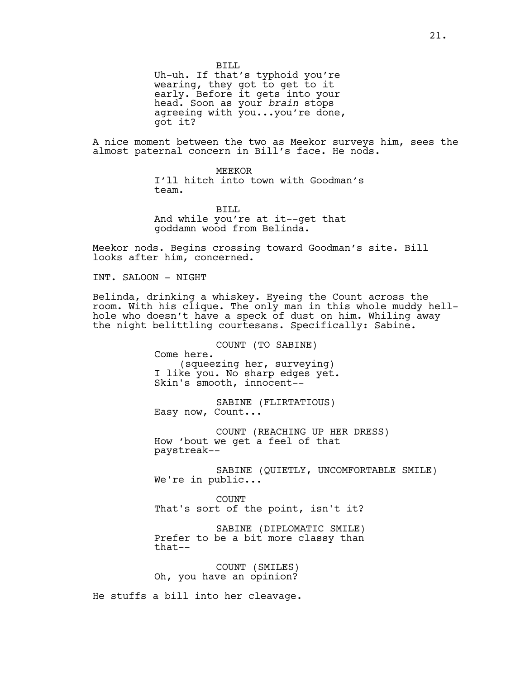BILL

Uh-uh. If that's typhoid you're wearing, they got to get to it early. Before it gets into your head. Soon as your *brain* stops agreeing with you...you're done, got it?

A nice moment between the two as Meekor surveys him, sees the almost paternal concern in Bill's face. He nods.

> MEEKOR I'll hitch into town with Goodman's team.

BILL And while you're at it--get that goddamn wood from Belinda.

Meekor nods. Begins crossing toward Goodman's site. Bill looks after him, concerned.

INT. SALOON - NIGHT

Belinda, drinking a whiskey. Eyeing the Count across the room. With his clique. The only man in this whole muddy hellhole who doesn't have a speck of dust on him. Whiling away the night belittling courtesans. Specifically: Sabine.

> COUNT (TO SABINE) Come here. (squeezing her, surveying) I like you. No sharp edges yet. Skin's smooth, innocent--

SABINE (FLIRTATIOUS) Easy now, Count...

COUNT (REACHING UP HER DRESS) How 'bout we get a feel of that paystreak--

SABINE (QUIETLY, UNCOMFORTABLE SMILE) We're in public...

COUNT That's sort of the point, isn't it?

SABINE (DIPLOMATIC SMILE) Prefer to be a bit more classy than that--

COUNT (SMILES) Oh, you have an opinion?

He stuffs a bill into her cleavage.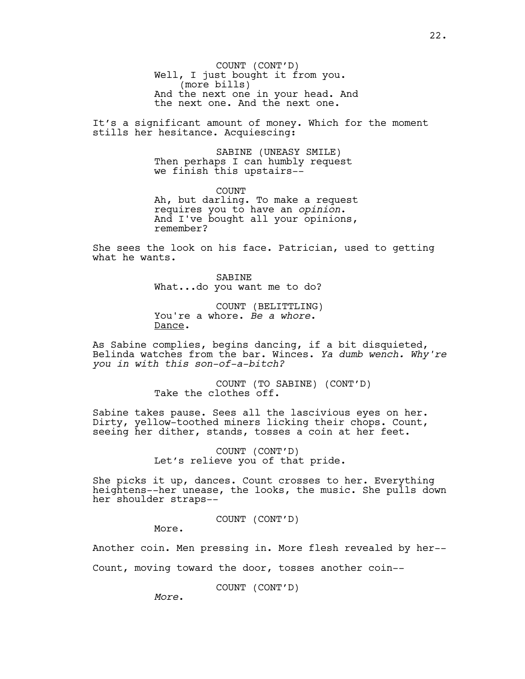COUNT (CONT'D) Well, I just bought it from you. (more bills) And the next one in your head. And the next one. And the next one.

It's a significant amount of money. Which for the moment stills her hesitance. Acquiescing:

> SABINE (UNEASY SMILE) Then perhaps I can humbly request we finish this upstairs--

**COUNT** Ah, but darling. To make a request<br>requires you to have an opinion. And I've bought all your opinions, remember?

She sees the look on his face. Patrician, used to getting what he wants.

> SABINE What...do you want me to do?

> COUNT (BELITTLING) You're a whore. *Be a whore*. Dance.

As Sabine complies, begins dancing, if a bit disquieted, Belinda watches from the bar. Winces. *Ya dumb wench. Why're you in with this son-of-a-bitch?*

> COUNT (TO SABINE) (CONT'D) Take the clothes off.

Sabine takes pause. Sees all the lascivious eyes on her. Dirty, yellow-toothed miners licking their chops. Count, seeing her dither, stands, tosses a coin at her feet.

> COUNT (CONT'D) Let's relieve you of that pride.

She picks it up, dances. Count crosses to her. Everything heightens--her unease, the looks, the music. She pulls down her shoulder straps--

COUNT (CONT'D)

More.

Another coin. Men pressing in. More flesh revealed by her--

Count, moving toward the door, tosses another coin--

COUNT (CONT'D)

*More*.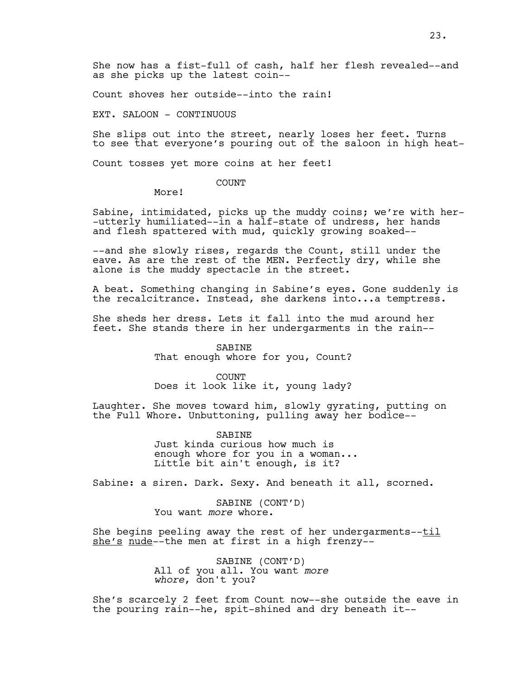She now has a fist-full of cash, half her flesh revealed--and as she picks up the latest coin--

Count shoves her outside--into the rain!

EXT. SALOON - CONTINUOUS

She slips out into the street, nearly loses her feet. Turns to see that everyone's pouring out of the saloon in high heat-

Count tosses yet more coins at her feet!

COUNT

More!

Sabine, intimidated, picks up the muddy coins; we're with her- -utterly humiliated--in a half-state of undress, her hands and flesh spattered with mud, quickly growing soaked--

--and she slowly rises, regards the Count, still under the eave. As are the rest of the MEN. Perfectly dry, while she alone is the muddy spectacle in the street.

A beat. Something changing in Sabine's eyes. Gone suddenly is the recalcitrance. Instead, she darkens into...a temptress.

She sheds her dress. Lets it fall into the mud around her feet. She stands there in her undergarments in the rain--

SABINE

That enough whore for you, Count?

COUNT

Does it look like it, young lady?

Laughter. She moves toward him, slowly gyrating, putting on the Full Whore. Unbuttoning, pulling away her bodice--

> SABINE Just kinda curious how much is enough whore for you in a woman... Little bit ain't enough, is it?

Sabine: a siren. Dark. Sexy. And beneath it all, scorned.

SABINE (CONT'D) You want *more* whore.

She begins peeling away the rest of her undergarments--til she's nude--the men at first in a high frenzy--

> SABINE (CONT'D) All of you all. You want *more whore*, don't you?

She's scarcely 2 feet from Count now--she outside the eave in the pouring rain--he, spit-shined and dry beneath it--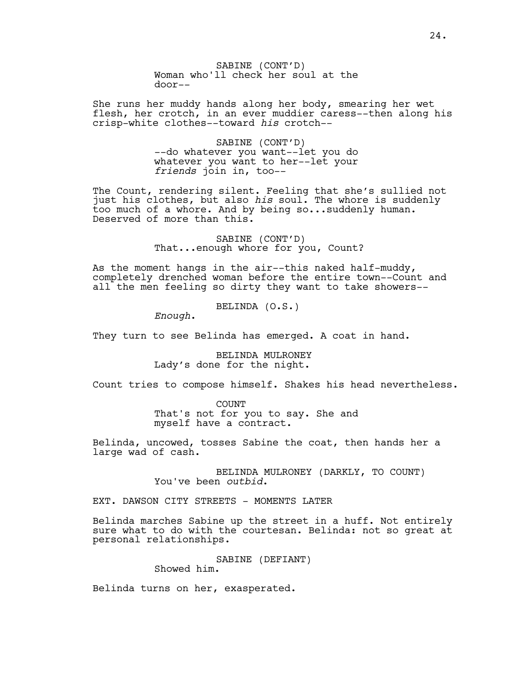SABINE (CONT'D) Woman who'll check her soul at the door--

She runs her muddy hands along her body, smearing her wet flesh, her crotch, in an ever muddier caress--then along his crisp-white clothes--toward *his* crotch--

> SABINE (CONT'D) --do whatever you want--let you do whatever you want to her--let your *friends* join in, too--

The Count, rendering silent. Feeling that she's sullied not just his clothes, but also *his* soul. The whore is suddenly too much of a whore. And by being so...suddenly human. Deserved of more than this.

> SABINE (CONT'D) That...enough whore for you, Count?

As the moment hangs in the air--this naked half-muddy, completely drenched woman before the entire town--Count and all the men feeling so dirty they want to take showers--

BELINDA (O.S.)

*Enough*.

They turn to see Belinda has emerged. A coat in hand.

BELINDA MULRONEY Lady's done for the night.

Count tries to compose himself. Shakes his head nevertheless.

**COUNT** That's not for you to say. She and myself have a contract.

Belinda, uncowed, tosses Sabine the coat, then hands her a large wad of cash.

> BELINDA MULRONEY (DARKLY, TO COUNT) You've been *outbid*.

EXT. DAWSON CITY STREETS - MOMENTS LATER

Belinda marches Sabine up the street in a huff. Not entirely sure what to do with the courtesan. Belinda: not so great at personal relationships.

> SABINE (DEFIANT) Showed him.

Belinda turns on her, exasperated.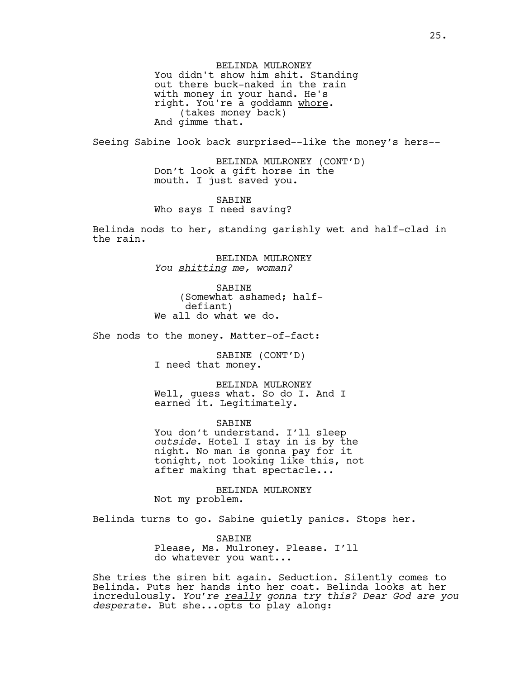BELINDA MULRONEY You didn't show him shit. Standing out there buck-naked in the rain with money in your hand. He's right. You're a goddamn <u>whore</u>.<br>(takes money back) (takes money back)<br>And gimme that.

Seeing Sabine look back surprised--like the money's hers--

BELINDA MULRONEY (CONT'D) Don't look a gift horse in the mouth. I just saved you.

SABINE Who says I need saving?

Belinda nods to her, standing garishly wet and half-clad in the rain.

> BELINDA MULRONEY *You shitting me, woman?*

SABINE (Somewhat ashamed; halfdefiant) We all do what we do.

She nods to the money. Matter-of-fact:

SABINE (CONT'D) I need that money.

BELINDA MULRONEY Well, guess what. So do I. And I earned it. Legitimately.

SABINE

You don't understand. I'll sleep *outside*. Hotel I stay in is by the night. No man is gonna pay for it tonight, not looking like this, not after making that spectacle...

BELINDA MULRONEY Not my problem.

Belinda turns to go. Sabine quietly panics. Stops her.

SABINE Please, Ms. Mulroney. Please. I'll do whatever you want...

She tries the siren bit again. Seduction. Silently comes to Belinda. Puts her hands into her coat. Belinda looks at her incredulously. *You're really gonna try this? Dear God are you desperate*. But she...opts to play along: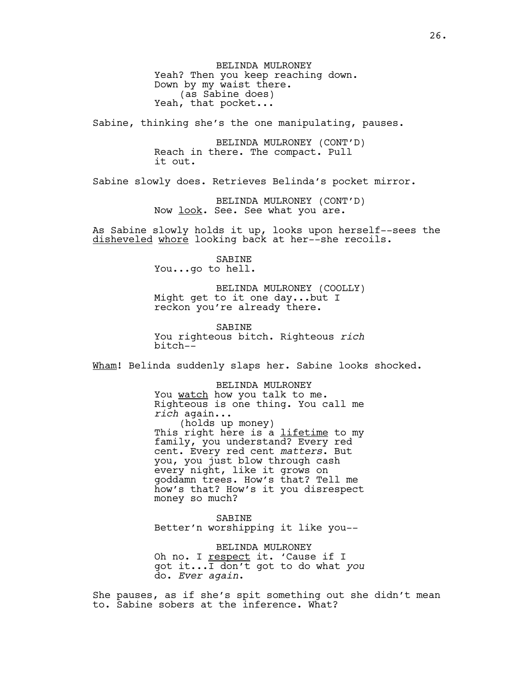BELINDA MULRONEY Yeah? Then you keep reaching down. Down by my waist there. (as Sabine does) Yeah, that pocket...

Sabine, thinking she's the one manipulating, pauses.

BELINDA MULRONEY (CONT'D) Reach in there. The compact. Pull it out.

Sabine slowly does. Retrieves Belinda's pocket mirror.

BELINDA MULRONEY (CONT'D) Now look. See. See what you are.

As Sabine slowly holds it up, looks upon herself--sees the disheveled whore looking back at her--she recoils.

> SABINE You...go to hell.

BELINDA MULRONEY (COOLLY) Might get to it one day...but I reckon you're already there.

SABINE You righteous bitch. Righteous *rich* bitch--

Wham! Belinda suddenly slaps her. Sabine looks shocked.

BELINDA MULRONEY You watch how you talk to me. Righteous is one thing. You call me *rich* again... (holds up money) This right here is a lifetime to my family, you understand? Every red cent. Every red cent *matters*. But you, you just blow through cash every night, like it grows on goddamn trees. How's that? Tell me how's that? How's it you disrespect money so much?

SABINE Better'n worshipping it like you--

BELINDA MULRONEY Oh no. I <u>respect</u> it. 'Cause if I got it...I don't got to do what *you* do. *Ever again*.

She pauses, as if she's spit something out she didn't mean to. Sabine sobers at the inference. What?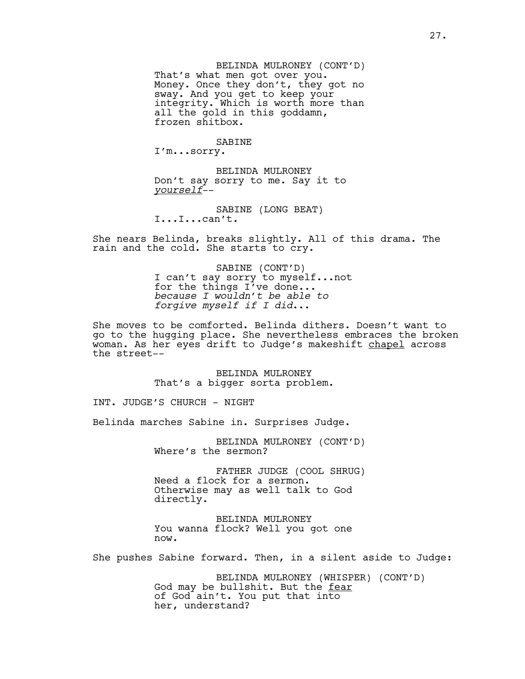BELINDA MULRONEY (CONT'D) That's what men got over you. Money. Once they don't, they got no sway. And you get to keep your integrity. Which is worth more than all the gold in this goddamn, frozen shitbox.

SABINE I'm...sorry.

BELINDA MULRONEY Don't say sorry to me. Say it to *yourself*--

SABINE (LONG BEAT) I...I...can't*.*

She nears Belinda, breaks slightly. All of this drama. The rain and the cold. She starts to cry.

> SABINE (CONT'D) I can't say sorry to myself...not for the things I've done... *because I wouldn't be able to forgive myself if I did*...

She moves to be comforted. Belinda dithers. Doesn't want to go to the hugging place. She nevertheless embraces the broken woman. As her eyes drift to Judge's makeshift chapel across the street--

> BELINDA MULRONEY That's a bigger sorta problem.

INT. JUDGE'S CHURCH - NIGHT

Belinda marches Sabine in. Surprises Judge.

BELINDA MULRONEY (CONT'D) Where's the sermon?

FATHER JUDGE (COOL SHRUG) Need a flock for a sermon. Otherwise may as well talk to God directly.

BELINDA MULRONEY You wanna flock? Well you got one now.

She pushes Sabine forward. Then, in a silent aside to Judge:

BELINDA MULRONEY (WHISPER) (CONT'D) God may be bullshit. But the fear of God ain't. You put that into her, understand?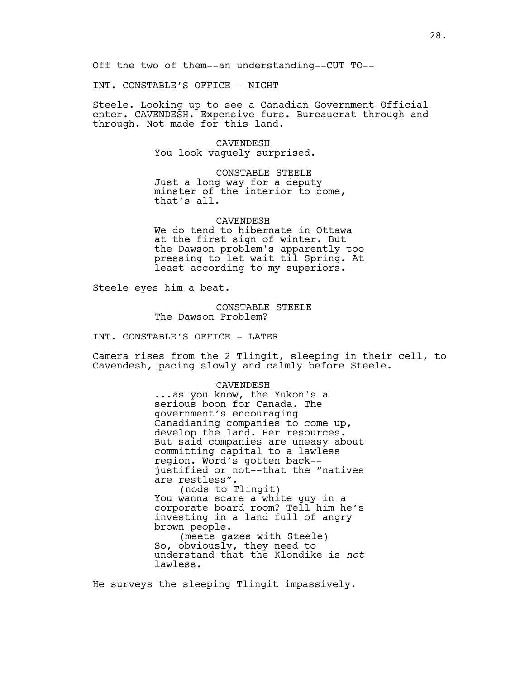INT. CONSTABLE'S OFFICE - NIGHT

Steele. Looking up to see a Canadian Government Official enter. CAVENDESH. Expensive furs. Bureaucrat through and through. Not made for this land.

> CAVENDESH You look vaguely surprised.

CONSTABLE STEELE Just a long way for a deputy minster of the interior to come, that's all.

CAVENDESH We do tend to hibernate in Ottawa at the first sign of winter. But the Dawson problem's apparently too pressing to let wait til Spring. At least according to my superiors.

Steele eyes him a beat.

CONSTABLE STEELE The Dawson Problem?

INT. CONSTABLE'S OFFICE - LATER

Camera rises from the 2 Tlingit, sleeping in their cell, to Cavendesh, pacing slowly and calmly before Steele.

# CAVENDESH

...as you know, the Yukon's a serious boon for Canada. The government's encouraging Canadianing companies to come up, develop the land. Her resources. But said companies are uneasy about committing capital to a lawless region. Word's gotten back- justified or not--that the "natives are restless". (nods to Tlingit)

You wanna scare a white guy in a corporate board room? Tell him he's investing in a land full of angry brown people.

(meets gazes with Steele) So, obviously, they need to understand that the Klondike is *not* lawless.

He surveys the sleeping Tlingit impassively.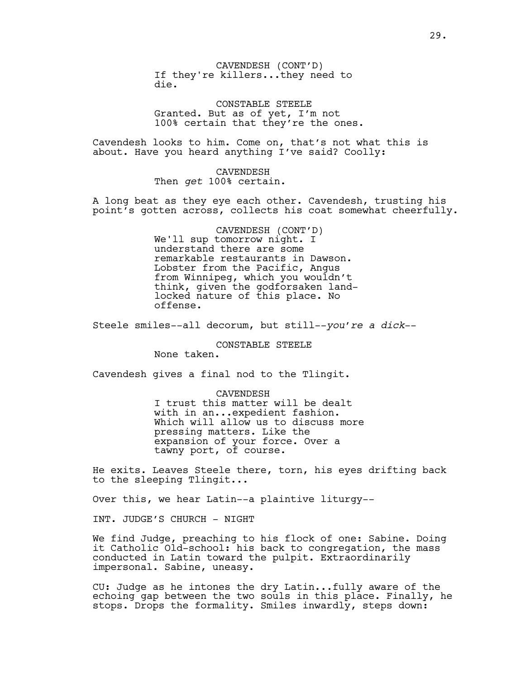CAVENDESH (CONT'D) If they're killers...they need to die.

CONSTABLE STEELE Granted. But as of yet, I'm not 100% certain that they're the ones.

Cavendesh looks to him. Come on, that's not what this is about. Have you heard anything I've said? Coolly:

> CAVENDESH Then *get* 100% certain.

A long beat as they eye each other. Cavendesh, trusting his point's gotten across, collects his coat somewhat cheerfully.

> CAVENDESH (CONT'D) We'll sup tomorrow night. I understand there are some remarkable restaurants in Dawson. Lobster from the Pacific, Angus from Winnipeg, which you wouldn't think, given the godforsaken landlocked nature of this place. No offense.

Steele smiles--all decorum, but still--*you're a dick*--

CONSTABLE STEELE

None taken.

Cavendesh gives a final nod to the Tlingit.

CAVENDESH

I trust this matter will be dealt with in an...expedient fashion. Which will allow us to discuss more pressing matters. Like the expansion of your force. Over a tawny port, of course.

He exits. Leaves Steele there, torn, his eyes drifting back to the sleeping Tlingit...

Over this, we hear Latin--a plaintive liturgy--

INT. JUDGE'S CHURCH - NIGHT

We find Judge, preaching to his flock of one: Sabine. Doing it Catholic Old-school: his back to congregation, the mass conducted in Latin toward the pulpit. Extraordinarily impersonal. Sabine, uneasy.

CU: Judge as he intones the dry Latin...fully aware of the echoing gap between the two souls in this place. Finally, he stops. Drops the formality. Smiles inwardly, steps down: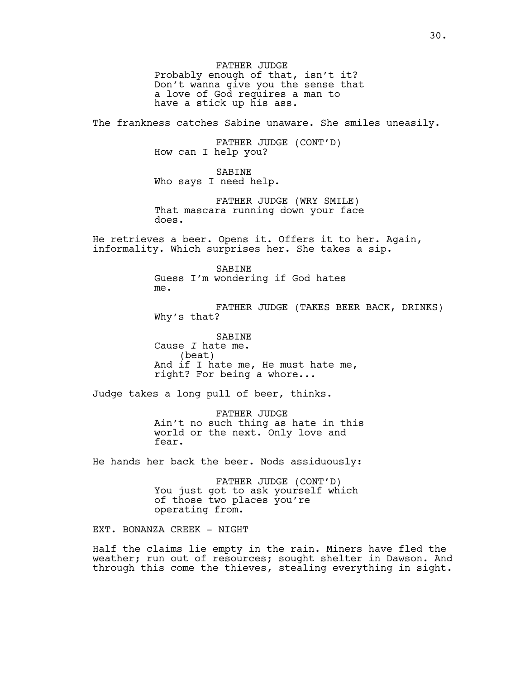FATHER JUDGE Probably enough of that, isn't it? Don't wanna give you the sense that a love of God requires a man to have a stick up his ass.

The frankness catches Sabine unaware. She smiles uneasily.

FATHER JUDGE (CONT'D) How can I help you?

SABINE Who says I need help.

FATHER JUDGE (WRY SMILE) That mascara running down your face does.

He retrieves a beer. Opens it. Offers it to her. Again, informality. Which surprises her. She takes a sip.

> SABINE Guess I'm wondering if God hates me.

FATHER JUDGE (TAKES BEER BACK, DRINKS) Why's that?

SABINE Cause *I* hate me. (beat) And if I hate me, He must hate me, right? For being a whore...

Judge takes a long pull of beer, thinks.

FATHER JUDGE Ain't no such thing as hate in this world or the next. Only love and fear.

He hands her back the beer. Nods assiduously:

FATHER JUDGE (CONT'D) You just got to ask yourself which of those two places you're operating from.

EXT. BONANZA CREEK - NIGHT

Half the claims lie empty in the rain. Miners have fled the weather; run out of resources; sought shelter in Dawson. And through this come the thieves, stealing everything in sight.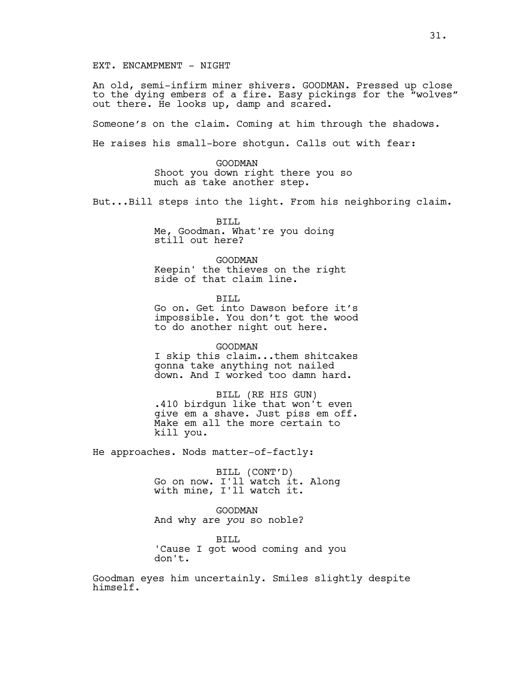# EXT. ENCAMPMENT - NIGHT

An old, semi-infirm miner shivers. GOODMAN. Pressed up close to the dying embers of a fire. Easy pickings for the "wolves" out there. He looks up, damp and scared.

Someone's on the claim. Coming at him through the shadows.

He raises his small-bore shotgun. Calls out with fear:

GOODMAN Shoot you down right there you so much as take another step.

But...Bill steps into the light. From his neighboring claim.

BILL Me, Goodman. What're you doing still out here?

GOODMAN Keepin' the thieves on the right side of that claim line.

BILL

Go on. Get into Dawson before it's impossible. You don't got the wood to do another night out here.

GOODMAN I skip this claim...them shitcakes gonna take anything not nailed down. And I worked too damn hard.

BILL (RE HIS GUN) .410 birdgun like that won't even give em a shave. Just piss em off. Make em all the more certain to kill you.

He approaches. Nods matter-of-factly:

BILL (CONT'D) Go on now. I'll watch it. Along with mine, I'll watch it.

GOODMAN And why are *you* so noble?

BILL 'Cause I got wood coming and you don't.

Goodman eyes him uncertainly. Smiles slightly despite himself.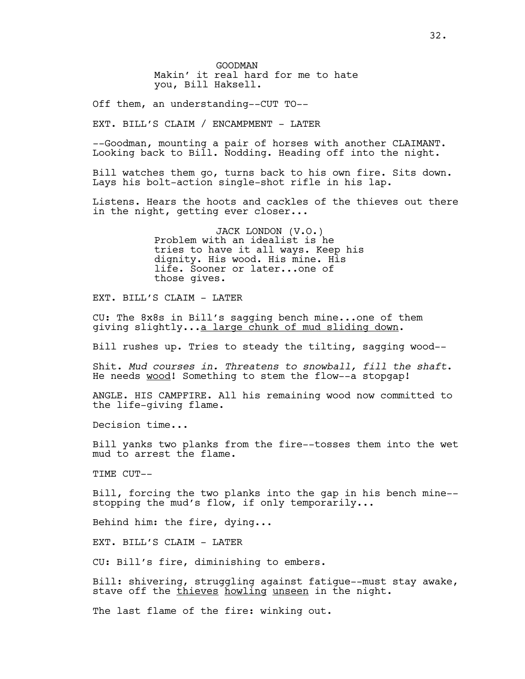GOODMAN Makin' it real hard for me to hate you, Bill Haksell.

Off them, an understanding--CUT TO--

EXT. BILL'S CLAIM / ENCAMPMENT - LATER

--Goodman, mounting a pair of horses with another CLAIMANT. Looking back to Bill. Nodding. Heading off into the night.

Bill watches them go, turns back to his own fire. Sits down. Lays his bolt-action single-shot rifle in his lap.

Listens. Hears the hoots and cackles of the thieves out there in the night, getting ever closer...

> JACK LONDON (V.O.) Problem with an idealist is he tries to have it all ways. Keep his dignity. His wood. His mine. His life. Sooner or later...one of those gives.

EXT. BILL'S CLAIM - LATER

CU: The 8x8s in Bill's sagging bench mine...one of them giving slightly... a large chunk of mud sliding down.

Bill rushes up. Tries to steady the tilting, sagging wood--

Shit. *Mud courses in. Threatens to snowball, fill the shaft*. He needs wood! Something to stem the flow--a stopgap!

ANGLE. HIS CAMPFIRE. All his remaining wood now committed to the life-giving flame.

Decision time...

Bill yanks two planks from the fire--tosses them into the wet mud to arrest the flame.

TIME CUT--

Bill, forcing the two planks into the gap in his bench mine- stopping the mud's flow, if only temporarily...

Behind him: the fire, dying...

EXT. BILL'S CLAIM - LATER

CU: Bill's fire, diminishing to embers.

Bill: shivering, struggling against fatigue--must stay awake, stave off the thieves howling unseen in the night.

The last flame of the fire: winking out.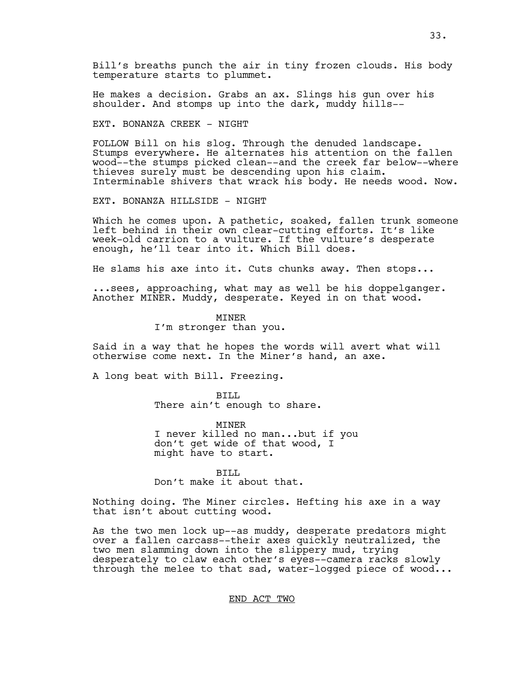He makes a decision. Grabs an ax. Slings his gun over his shoulder. And stomps up into the dark, muddy hills--

EXT. BONANZA CREEK - NIGHT

FOLLOW Bill on his slog. Through the denuded landscape. Stumps everywhere. He alternates his attention on the fallen wood--the stumps picked clean--and the creek far below--where thieves surely must be descending upon his claim. Interminable shivers that wrack his body. He needs wood. Now.

EXT. BONANZA HILLSIDE - NIGHT

Which he comes upon. A pathetic, soaked, fallen trunk someone left behind in their own clear-cutting efforts. It's like week-old carrion to a vulture. If the vulture's desperate enough, he'll tear into it. Which Bill does.

He slams his axe into it. Cuts chunks away. Then stops...

...sees, approaching, what may as well be his doppelganger. Another MINER. Muddy, desperate. Keyed in on that wood.

> MINER I'm stronger than you.

Said in a way that he hopes the words will avert what will otherwise come next. In the Miner's hand, an axe.

A long beat with Bill. Freezing.

BILL There ain't enough to share.

MINER I never killed no man...but if you don't get wide of that wood, I might have to start.

BILL Don't make it about that.

Nothing doing. The Miner circles. Hefting his axe in a way that isn't about cutting wood.

As the two men lock up--as muddy, desperate predators might over a fallen carcass--their axes quickly neutralized, the two men slamming down into the slippery mud, trying desperately to claw each other's eyes--camera racks slowly through the melee to that sad, water-logged piece of wood...

END ACT TWO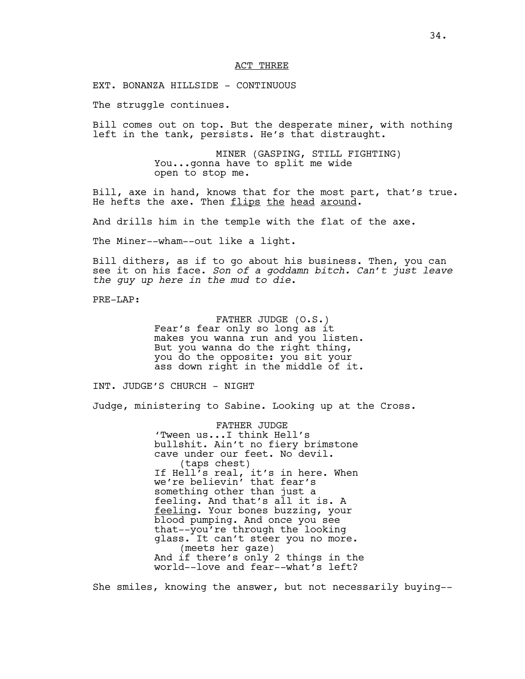#### ACT THREE

EXT. BONANZA HILLSIDE - CONTINUOUS

The struggle continues.

Bill comes out on top. But the desperate miner, with nothing left in the tank, persists. He's that distraught.

> MINER (GASPING, STILL FIGHTING) You...gonna have to split me wide open to stop me.

Bill, axe in hand, knows that for the most part, that's true. He hefts the axe. Then flips the head around.

And drills him in the temple with the flat of the axe.

The Miner--wham--out like a light.

Bill dithers, as if to go about his business. Then, you can see it on his face. *Son of a goddamn bitch. Can't just leave the guy up here in the mud to die*.

PRE-LAP:

FATHER JUDGE (O.S.) Fear's fear only so long as it makes you wanna run and you listen. But you wanna do the right thing, you do the opposite: you sit your ass down right in the middle of it.

INT. JUDGE'S CHURCH - NIGHT

Judge, ministering to Sabine. Looking up at the Cross.

FATHER JUDGE 'Tween us...I think Hell's bullshit. Ain't no fiery brimstone cave under our feet. No devil. (taps chest) If Hell's real, it's in here. When we're believin' that fear's something other than just a feeling. And that's all it is. A feeling. Your bones buzzing, your blood pumping. And once you see that--you're through the looking glass. It can't steer you no more. (meets her gaze) And if there's only 2 things in the world--love and fear--what's left?

She smiles, knowing the answer, but not necessarily buying--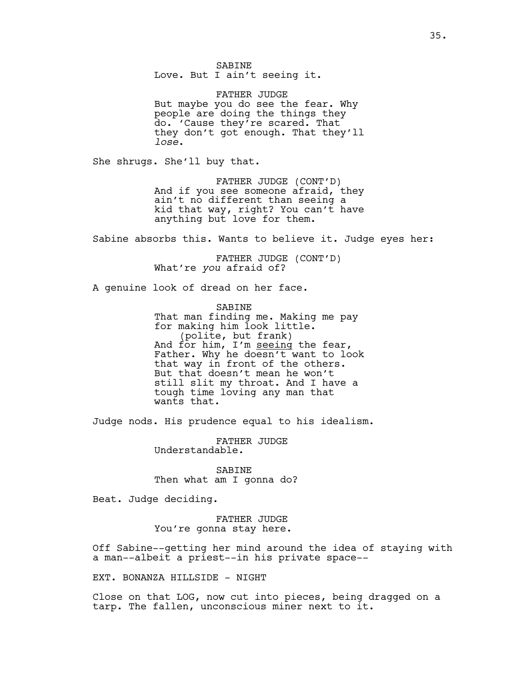SABINE Love. But I ain't seeing it.

FATHER JUDGE But maybe you do see the fear. Why people are doing the things they do. 'Cause they're scared. That they don't got enough. That they'll *lose*.

She shrugs. She'll buy that.

FATHER JUDGE (CONT'D) And if you see someone afraid, they ain't no different than seeing a kid that way, right? You can't have anything but love for them.

Sabine absorbs this. Wants to believe it. Judge eyes her:

FATHER JUDGE (CONT'D) What're *you* afraid of?

A genuine look of dread on her face.

SABINE That man finding me. Making me pay for making him look little. (polite, but frank) And for him, I'm <u>seeing</u> the fear, Father. Why he doesn't want to look that way in front of the others. But that doesn't mean he won't still slit my throat. And I have a tough time loving any man that wants that.

Judge nods. His prudence equal to his idealism.

FATHER JUDGE Understandable.

SABINE Then what am I gonna do?

Beat. Judge deciding.

FATHER JUDGE You're gonna stay here.

Off Sabine--getting her mind around the idea of staying with a man--albeit a priest--in his private space--

EXT. BONANZA HILLSIDE - NIGHT

Close on that LOG, now cut into pieces, being dragged on a tarp. The fallen, unconscious miner next to it.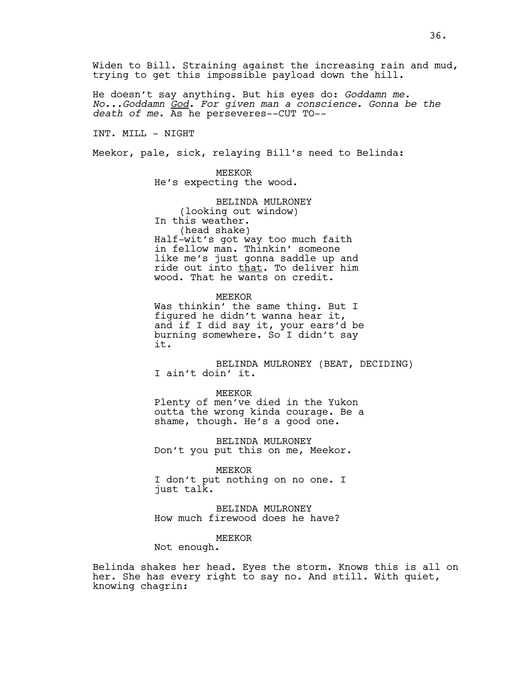Widen to Bill. Straining against the increasing rain and mud, trying to get this impossible payload down the hill.

He doesn't say anything. But his eyes do: *Goddamn me. No...Goddamn God. For given man a conscience. Gonna be the death of me*. As he perseveres--CUT TO--

# INT. MILL - NIGHT

Meekor, pale, sick, relaying Bill's need to Belinda:

MEEKOR He's expecting the wood.

BELINDA MULRONEY (looking out window) In this weather. (head shake) Half-wit's got way too much faith in fellow man. Thinkin' someone like me's just gonna saddle up and ride out into <u>that</u>. To deliver him wood. That he wants on credit.

MEEKOR

Was thinkin' the same thing. But I figured he didn't wanna hear it, and if I did say it, your ears'd be burning somewhere. So I didn't say it.

BELINDA MULRONEY (BEAT, DECIDING) I ain't doin' it.

#### MEEKOR

Plenty of men've died in the Yukon outta the wrong kinda courage. Be a shame, though. He's a good one.

BELINDA MULRONEY Don't you put this on me, Meekor.

MEEKOR I don't put nothing on no one. I just talk.

BELINDA MULRONEY How much firewood does he have?

#### MEEKOR

Not enough.

Belinda shakes her head. Eyes the storm. Knows this is all on her. She has every right to say no. And still. With quiet, knowing chagrin: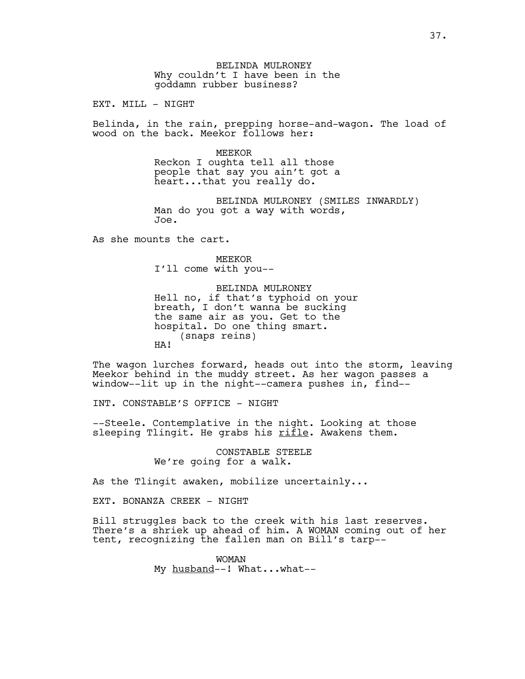BELINDA MULRONEY Why couldn't I have been in the goddamn rubber business?

EXT. MILL - NIGHT

Belinda, in the rain, prepping horse-and-wagon. The load of wood on the back. Meekor follows her:

> MEEKOR Reckon I oughta tell all those people that say you ain't got a heart...that you really do.

BELINDA MULRONEY (SMILES INWARDLY) Man do you got a way with words, Joe.

As she mounts the cart.

MEEKOR I'll come with you--

BELINDA MULRONEY Hell no, if that's typhoid on your breath, I don't wanna be sucking the same air as you. Get to the hospital. Do one thing smart. (snaps reins) HA!

The wagon lurches forward, heads out into the storm, leaving Meekor behind in the muddy street. As her wagon passes a window--lit up in the night--camera pushes in, find--

INT. CONSTABLE'S OFFICE - NIGHT

--Steele. Contemplative in the night. Looking at those sleeping Tlingit. He grabs his rifle. Awakens them.

> CONSTABLE STEELE We're going for a walk.

As the Tlingit awaken, mobilize uncertainly...

EXT. BONANZA CREEK - NIGHT

Bill struggles back to the creek with his last reserves. There's a shriek up ahead of him. A WOMAN coming out of her tent, recognizing the fallen man on Bill's tarp--

> WOMAN My husband--! What...what--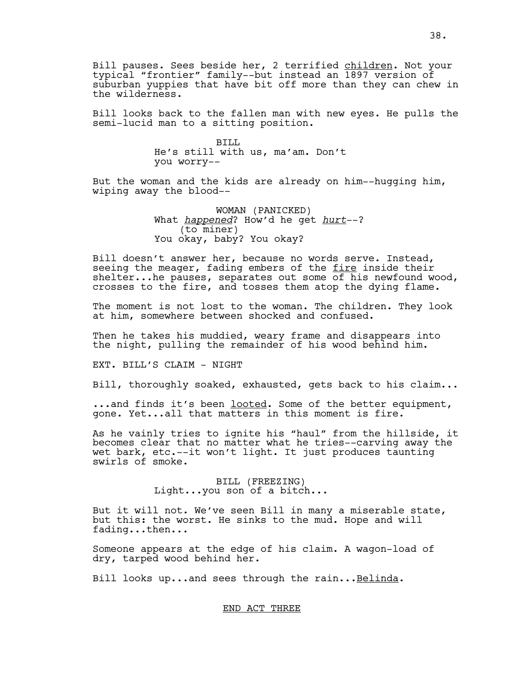Bill pauses. Sees beside her, 2 terrified <u>children</u>. Not your typical "frontier" family--but instead an 1897 version of suburban yuppies that have bit off more than they can chew in the wilderness.

Bill looks back to the fallen man with new eyes. He pulls the semi-lucid man to a sitting position.

> BILL He's still with us, ma'am. Don't you worry--

But the woman and the kids are already on him--hugging him, wiping away the blood--

> WOMAN (PANICKED) What *happened*? How'd he get *hurt*--? (to miner) You okay, baby? You okay?

Bill doesn't answer her, because no words serve. Instead, seeing the meager, fading embers of the fire inside their shelter...he pauses, separates out some of his newfound wood, crosses to the fire, and tosses them atop the dying flame.

The moment is not lost to the woman. The children. They look at him, somewhere between shocked and confused.

Then he takes his muddied, weary frame and disappears into the night, pulling the remainder of his wood behind him.

EXT. BILL'S CLAIM - NIGHT

Bill, thoroughly soaked, exhausted, gets back to his claim...

...and finds it's been looted. Some of the better equipment, gone. Yet...all that matters in this moment is fire.

As he vainly tries to ignite his "haul" from the hillside, it becomes clear that no matter what he tries--carving away the wet bark, etc.--it won't light. It just produces taunting swirls of smoke.

> BILL (FREEZING) Light...you son of a bitch...

But it will not. We've seen Bill in many a miserable state, but this: the worst. He sinks to the mud. Hope and will fading...then...

Someone appears at the edge of his claim. A wagon-load of dry, tarped wood behind her.

Bill looks up...and sees through the rain... Belinda.

# END ACT THREE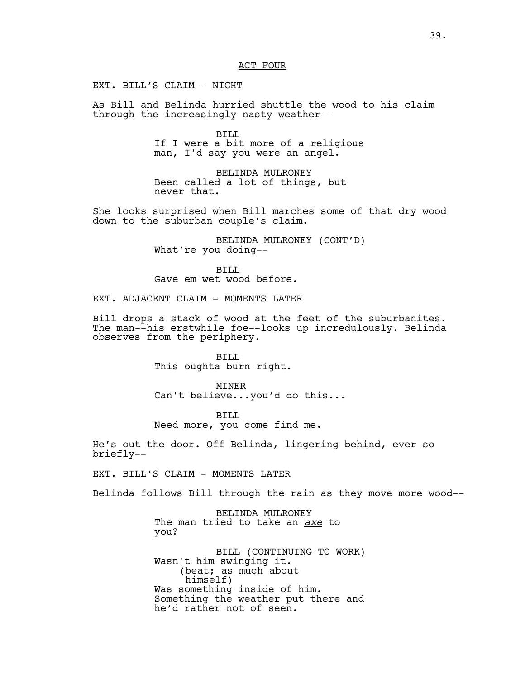## ACT FOUR

EXT. BILL'S CLAIM - NIGHT

As Bill and Belinda hurried shuttle the wood to his claim through the increasingly nasty weather--

> BILL If I were a bit more of a religious man, I'd say you were an angel.

BELINDA MULRONEY Been called a lot of things, but never that.

She looks surprised when Bill marches some of that dry wood down to the suburban couple's claim.

> BELINDA MULRONEY (CONT'D) What're you doing--

BILL Gave em wet wood before.

EXT. ADJACENT CLAIM - MOMENTS LATER

Bill drops a stack of wood at the feet of the suburbanites. The man--his erstwhile foe--looks up incredulously. Belinda observes from the periphery.

> BILL This oughta burn right.

MINER Can't believe...you'd do this...

BILL Need more, you come find me.

He's out the door. Off Belinda, lingering behind, ever so briefly--

EXT. BILL'S CLAIM - MOMENTS LATER

Belinda follows Bill through the rain as they move more wood--

BELINDA MULRONEY The man tried to take an *axe* to you?

BILL (CONTINUING TO WORK) Wasn't him swinging it. (beat; as much about himself) Was something inside of him. Something the weather put there and he'd rather not of seen.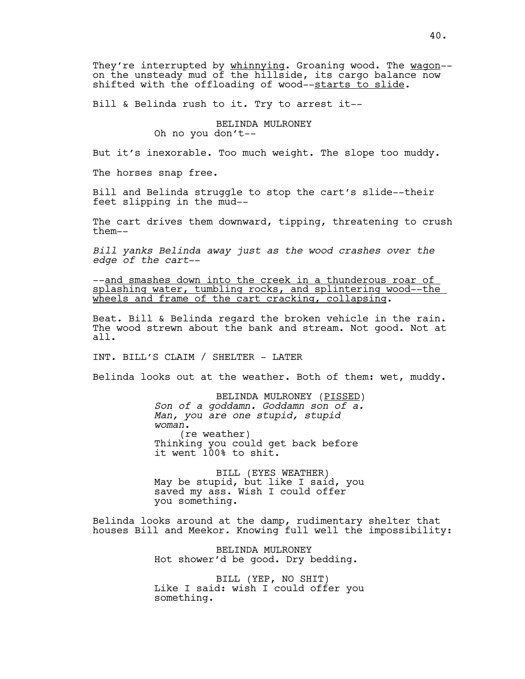They're interrupted by whinnying. Groaning wood. The wagon--<br>on the unsteady mud of the hillside, its cargo balance now shifted with the offloading of wood--starts to slide.

Bill & Belinda rush to it. Try to arrest it--

# BELINDA MULRONEY Oh no you don't--

But it's inexorable. Too much weight. The slope too muddy.

The horses snap free.

Bill and Belinda struggle to stop the cart's slide--their feet slipping in the mud--

The cart drives them downward, tipping, threatening to crush them--

*Bill yanks Belinda away just as the wood crashes over the edge of the cart*--

--and smashes down into the creek in a thunderous roar of splashing water, tumbling rocks, and splintering wood--the wheels and frame of the cart cracking, collapsing.

Beat. Bill & Belinda regard the broken vehicle in the rain. The wood strewn about the bank and stream. Not good. Not at all.

INT. BILL'S CLAIM / SHELTER - LATER

Belinda looks out at the weather. Both of them: wet, muddy.

BELINDA MULRONEY (PISSED) *Son of a goddamn. Goddamn son of a. Man, you are one stupid, stupid woman.*  (re weather) Thinking you could get back before it went 100% to shit.

BILL (EYES WEATHER) May be stupid, but like I said, you saved my ass. Wish I could offer you something.

Belinda looks around at the damp, rudimentary shelter that houses Bill and Meekor. Knowing full well the impossibility:

> BELINDA MULRONEY Hot shower'd be good. Dry bedding.

BILL (YEP, NO SHIT) Like I said: wish I could offer you something.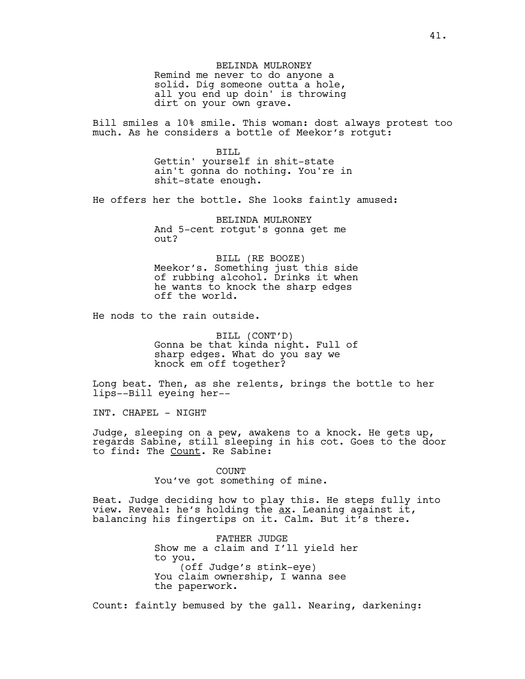BELINDA MULRONEY Remind me never to do anyone a solid. Dig someone outta a hole, all you end up doin' is throwing dirt on your own grave.

Bill smiles a 10% smile. This woman: dost always protest too much. As he considers a bottle of Meekor's rotgut:

> BILL Gettin' yourself in shit-state ain't gonna do nothing. You're in shit-state enough.

He offers her the bottle. She looks faintly amused:

BELINDA MULRONEY And 5-cent rotgut's gonna get me out?

BILL (RE BOOZE) Meekor's. Something just this side of rubbing alcohol. Drinks it when he wants to knock the sharp edges off the world.

He nods to the rain outside.

BILL (CONT'D) Gonna be that kinda night. Full of sharp edges. What do you say we knock em off together?

Long beat. Then, as she relents, brings the bottle to her lips--Bill eyeing her--

INT. CHAPEL - NIGHT

Judge, sleeping on a pew, awakens to a knock. He gets up, regards Sabine, still sleeping in his cot. Goes to the door to find: The Count. Re Sabine:

> COUNT You've got something of mine.

Beat. Judge deciding how to play this. He steps fully into view. Reveal: he's holding the  $ax$ . Leaning against it, balancing his fingertips on it. Calm. But it's there.

> FATHER JUDGE Show me a claim and I'll yield her to you. (off Judge's stink-eye) You claim ownership, I wanna see the paperwork.

Count: faintly bemused by the gall. Nearing, darkening: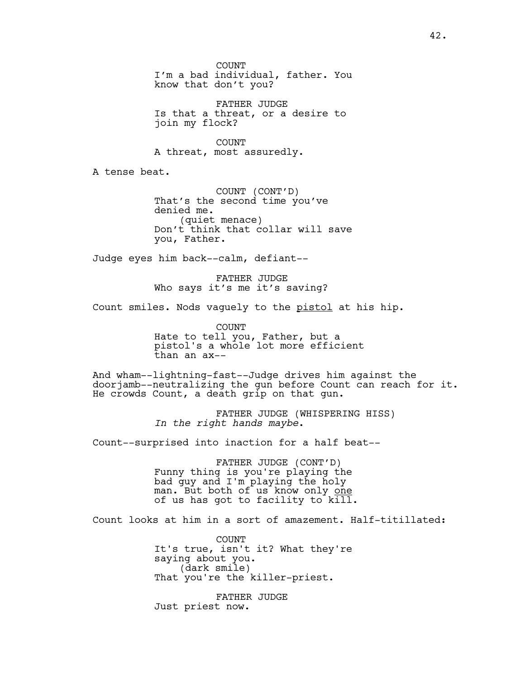COUNT I'm a bad individual, father. You know that don't you?

FATHER JUDGE Is that a threat, or a desire to join my flock?

COUNT A threat, most assuredly.

A tense beat.

COUNT (CONT'D) That's the second time you've denied me. (quiet menace) Don't think that collar will save you, Father.

Judge eyes him back--calm, defiant--

FATHER JUDGE Who says it's me it's saving?

Count smiles. Nods vaguely to the pistol at his hip.

COUNT Hate to tell you, Father, but a pistol's a whole lot more efficient than an ax--

And wham--lightning-fast--Judge drives him against the doorjamb--neutralizing the gun before Count can reach for it. He crowds Count, a death grip on that gun.

> FATHER JUDGE (WHISPERING HISS) *In the right hands maybe*.

Count--surprised into inaction for a half beat--

FATHER JUDGE (CONT'D) Funny thing is you're playing the bad guy and I'm playing the holy man. But both of us know only one of us has got to facility to kill.

Count looks at him in a sort of amazement. Half-titillated:

COUNT It's true, isn't it? What they're saying about you. (dark smile) That you're the killer-priest.

FATHER JUDGE Just priest now.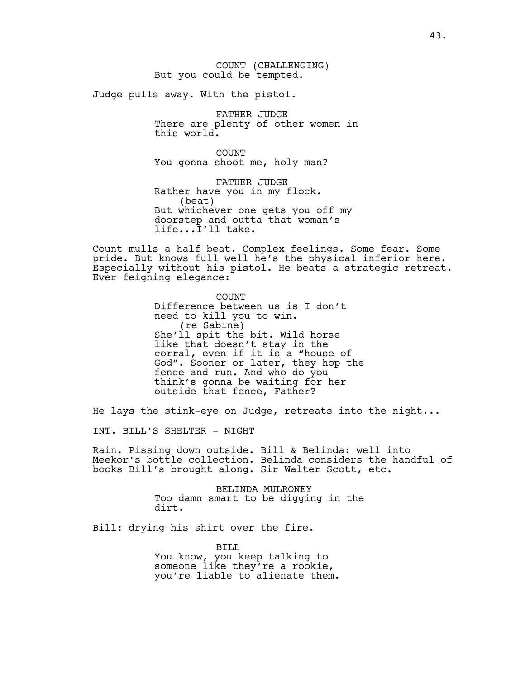Judge pulls away. With the pistol.

FATHER JUDGE There are plenty of other women in this world.

COUNT You gonna shoot me, holy man?

FATHER JUDGE Rather have you in my flock. (beat) But whichever one gets you off my doorstep and outta that woman's life...I'll take.

Count mulls a half beat. Complex feelings. Some fear. Some pride. But knows full well he's the physical inferior here. Especially without his pistol. He beats a strategic retreat. Ever feigning elegance:

> COUNT Difference between us is I don't need to kill you to win. (re Sabine) She'll spit the bit. Wild horse like that doesn't stay in the corral, even if it is a "house of God". Sooner or later, they hop the fence and run. And who do you think's gonna be waiting for her outside that fence, Father?

He lays the stink-eye on Judge, retreats into the night...

INT. BILL'S SHELTER - NIGHT

Rain. Pissing down outside. Bill & Belinda: well into Meekor's bottle collection. Belinda considers the handful of books Bill's brought along. Sir Walter Scott, etc.

> BELINDA MULRONEY Too damn smart to be digging in the dirt.

Bill: drying his shirt over the fire.

BILL You know, you keep talking to someone like they're a rookie, you're liable to alienate them.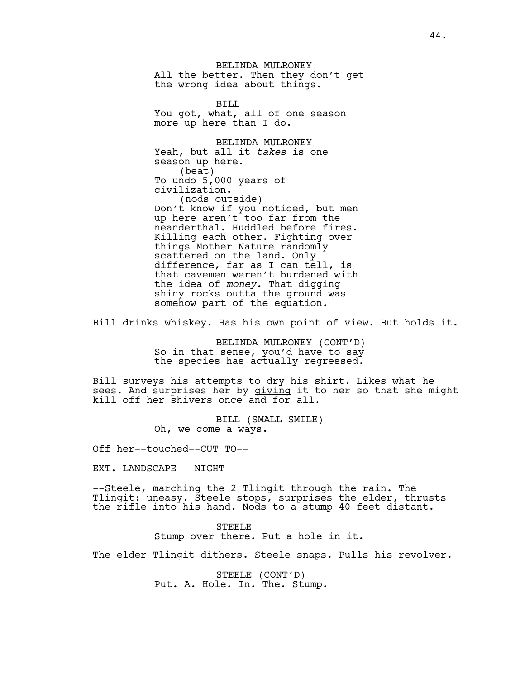BELINDA MULRONEY All the better. Then they don't get the wrong idea about things.

BILL You got, what, all of one season more up here than I do.

BELINDA MULRONEY Yeah, but all it *takes* is one season up here. (beat) To undo 5,000 years of civilization. (nods outside) Don't know if you noticed, but men up here aren't too far from the neanderthal. Huddled before fires.

Killing each other. Fighting over things Mother Nature randomly scattered on the land. Only difference, far as I can tell, is that cavemen weren't burdened with the idea of *money*. That digging shiny rocks outta the ground was somehow part of the equation.

Bill drinks whiskey. Has his own point of view. But holds it.

BELINDA MULRONEY (CONT'D) So in that sense, you'd have to say the species has actually regressed.

Bill surveys his attempts to dry his shirt. Likes what he sees. And surprises her by giving it to her so that she might kill off her shivers once and for all.

> BILL (SMALL SMILE) Oh, we come a ways.

Off her--touched--CUT TO--

EXT. LANDSCAPE - NIGHT

--Steele, marching the 2 Tlingit through the rain. The Tlingit: uneasy. Steele stops, surprises the elder, thrusts the rifle into his hand. Nods to a stump 40 feet distant.

> STEELE Stump over there. Put a hole in it.

The elder Tlingit dithers. Steele snaps. Pulls his <u>revolver</u>.

STEELE (CONT'D) Put. A. Hole. In. The. Stump.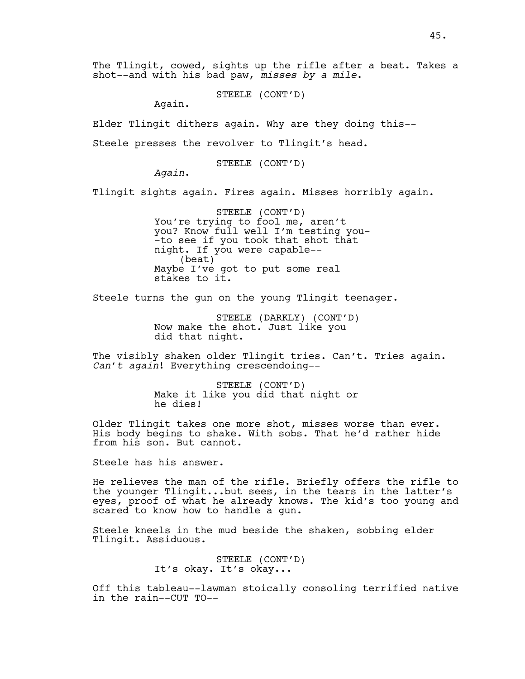The Tlingit, cowed, sights up the rifle after a beat. Takes a shot--and with his bad paw, *misses by a mile*.

STEELE (CONT'D)

Again.

Elder Tlingit dithers again. Why are they doing this-- Steele presses the revolver to Tlingit's head.

STEELE (CONT'D)

*Again*.

Tlingit sights again. Fires again. Misses horribly again.

STEELE (CONT'D) You're trying to fool me, aren't you? Know full well I'm testing you- -to see if you took that shot that night. If you were capable-- (beat) Maybe I've got to put some real stakes to it.

Steele turns the gun on the young Tlingit teenager.

STEELE (DARKLY) (CONT'D) Now make the shot. Just like you did that night.

The visibly shaken older Tlingit tries. Can't. Tries again. *Can't again*! Everything crescendoing--

> STEELE (CONT'D) Make it like you did that night or he dies!

Older Tlingit takes one more shot, misses worse than ever. His body begins to shake. With sobs. That he'd rather hide from his son. But cannot.

Steele has his answer.

He relieves the man of the rifle. Briefly offers the rifle to the younger Tlingit...but sees, in the tears in the latter's eyes, proof of what he already knows. The kid's too young and scared to know how to handle a gun.

Steele kneels in the mud beside the shaken, sobbing elder Tlingit. Assiduous.

> STEELE (CONT'D) It's okay. It's okay...

Off this tableau--lawman stoically consoling terrified native in the rain--CUT TO--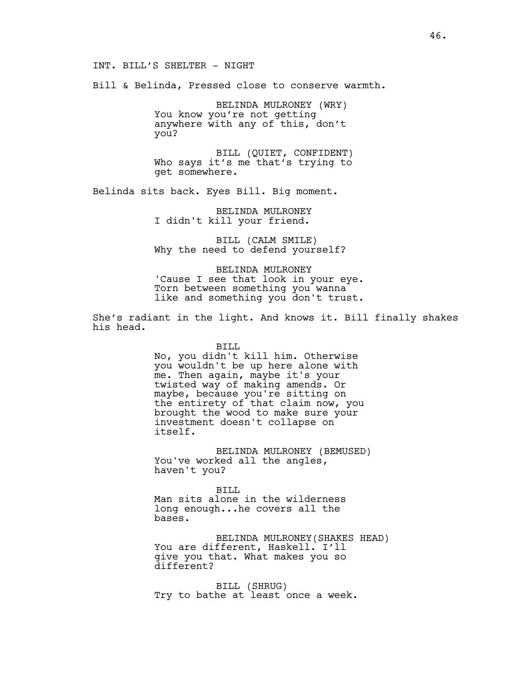## INT. BILL'S SHELTER - NIGHT

Bill & Belinda, Pressed close to conserve warmth.

BELINDA MULRONEY (WRY) You know you're not getting anywhere with any of this, don't you?

BILL (QUIET, CONFIDENT) Who says it's me that's trying to get somewhere.

Belinda sits back. Eyes Bill. Big moment.

BELINDA MULRONEY I didn't kill your friend.

BILL (CALM SMILE) Why the need to defend yourself?

BELINDA MULRONEY 'Cause I see that look in your eye. Torn between something you wanna like and something you don't trust.

She's radiant in the light. And knows it. Bill finally shakes his head.

#### BILL.

No, you didn't kill him. Otherwise you wouldn't be up here alone with me. Then again, maybe it's your twisted way of making amends. Or maybe, because you're sitting on the entirety of that claim now, you brought the wood to make sure your investment doesn't collapse on itself.

BELINDA MULRONEY (BEMUSED) You've worked all the angles, haven't you?

BILL Man sits alone in the wilderness long enough...he covers all the bases.

BELINDA MULRONEY(SHAKES HEAD) You are different, Haskell. I'll give you that. What makes you so different?

BILL (SHRUG) Try to bathe at least once a week.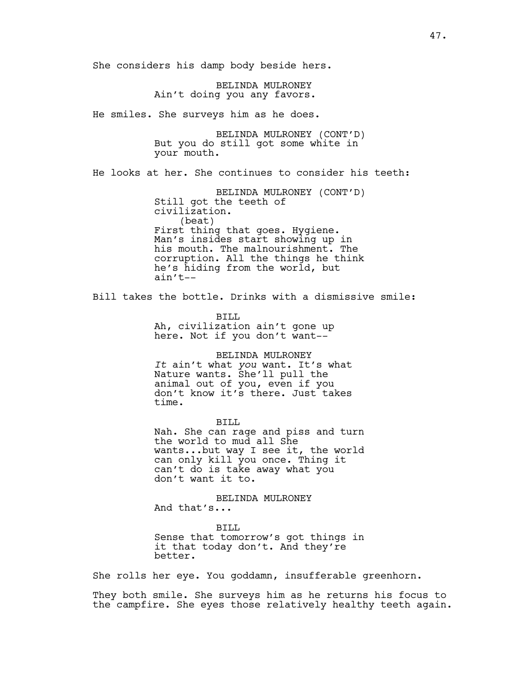She considers his damp body beside hers.

BELINDA MULRONEY Ain't doing you any favors.

He smiles. She surveys him as he does.

BELINDA MULRONEY (CONT'D) But you do still got some white in your mouth.

He looks at her. She continues to consider his teeth:

BELINDA MULRONEY (CONT'D) Still got the teeth of civilization. (beat) First thing that goes. Hygiene. Man's insides start showing up in his mouth. The malnourishment. The corruption. All the things he think he's hiding from the world, but ain't--

Bill takes the bottle. Drinks with a dismissive smile:

BILL Ah, civilization ain't gone up here. Not if you don't want--

BELINDA MULRONEY *It* ain't what *you* want. It's what Nature wants. She'll pull the animal out of you, even if you don't know it's there. Just takes time.

BILL. Nah. She can rage and piss and turn the world to mud all She wants...but way I see it, the world can only kill you once. Thing it can't do is take away what you don't want it to.

BELINDA MULRONEY And that's...

BILL Sense that tomorrow's got things in it that today don't. And they're better.

She rolls her eye. You goddamn, insufferable greenhorn.

They both smile. She surveys him as he returns his focus to the campfire. She eyes those relatively healthy teeth again.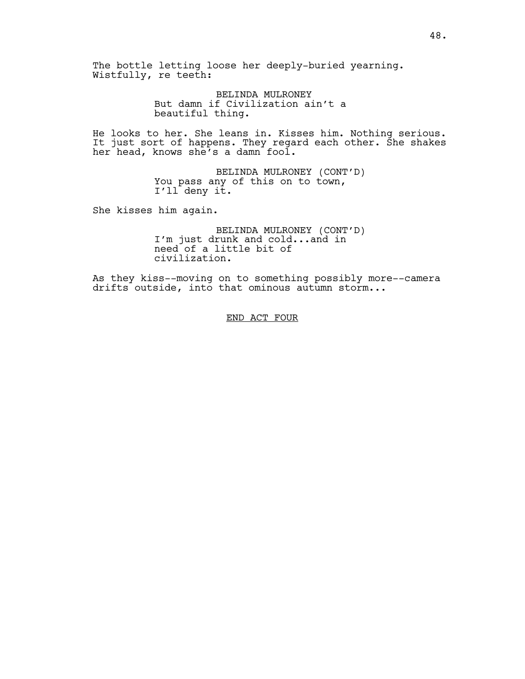The bottle letting loose her deeply-buried yearning. Wistfully, re teeth:

> BELINDA MULRONEY But damn if Civilization ain't a beautiful thing.

He looks to her. She leans in. Kisses him. Nothing serious. It just sort of happens. They regard each other. She shakes her head, knows she's a damn fool.

> BELINDA MULRONEY (CONT'D) You pass any of this on to town, I'll deny it.

She kisses him again.

BELINDA MULRONEY (CONT'D) I'm just drunk and cold...and in need of a little bit of civilization.

As they kiss--moving on to something possibly more--camera drifts outside, into that ominous autumn storm...

END ACT FOUR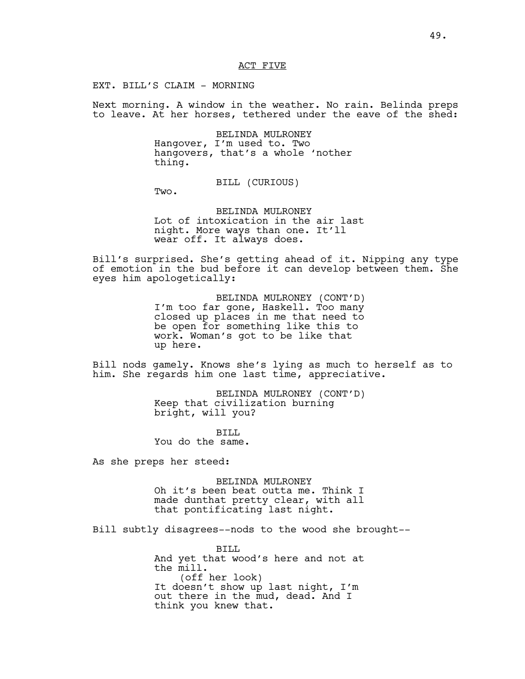49.

# ACT FIVE

EXT. BILL'S CLAIM - MORNING

Next morning. A window in the weather. No rain. Belinda preps to leave. At her horses, tethered under the eave of the shed:

> BELINDA MULRONEY Hangover, I'm used to. Two hangovers, that's a whole 'nother thing.

> > BILL (CURIOUS)

Two.

BELINDA MULRONEY Lot of intoxication in the air last night. More ways than one. It'll wear off. It always does.

Bill's surprised. She's getting ahead of it. Nipping any type of emotion in the bud before it can develop between them. She eyes him apologetically:

> BELINDA MULRONEY (CONT'D) I'm too far gone, Haskell. Too many closed up places in me that need to be open for something like this to work. Woman's got to be like that up here.

Bill nods gamely. Knows she's lying as much to herself as to him. She regards him one last time, appreciative.

> BELINDA MULRONEY (CONT'D) Keep that civilization burning bright, will you?

BILL You do the same.

As she preps her steed:

BELINDA MULRONEY Oh it's been beat outta me. Think I made dunthat pretty clear, with all that pontificating last night.

Bill subtly disagrees--nods to the wood she brought--

BILL And yet that wood's here and not at the mill. (off her look) It doesn't show up last night, I'm out there in the mud, dead. And I think you knew that.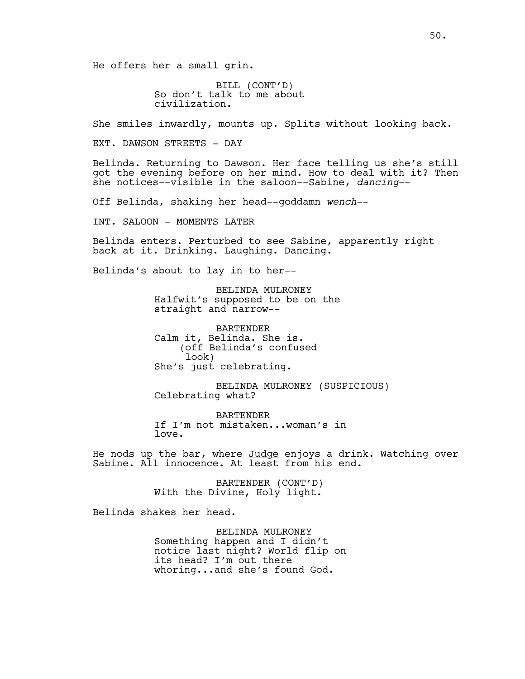He offers her a small grin.

BILL (CONT'D) So don't talk to me about civilization.

She smiles inwardly, mounts up. Splits without looking back.

EXT. DAWSON STREETS - DAY

Belinda. Returning to Dawson. Her face telling us she's still got the evening before on her mind. How to deal with it? Then she notices--visible in the saloon--Sabine, *dancing*--

Off Belinda, shaking her head--goddamn *wench*--

INT. SALOON - MOMENTS LATER

Belinda enters. Perturbed to see Sabine, apparently right back at it. Drinking. Laughing. Dancing.

Belinda's about to lay in to her--

BELINDA MULRONEY Halfwit's supposed to be on the straight and narrow--

BARTENDER Calm it, Belinda. She is. (off Belinda's confused look) She's just celebrating.

BELINDA MULRONEY (SUSPICIOUS) Celebrating what?

BARTENDER If I'm not mistaken...woman's in love.

He nods up the bar, where Judge enjoys a drink. Watching over Sabine. All innocence. At least from his end.

> BARTENDER (CONT'D) With the Divine, Holy light.

Belinda shakes her head.

BELINDA MULRONEY Something happen and I didn't notice last night? World flip on its head? I'm out there whoring...and she's found God.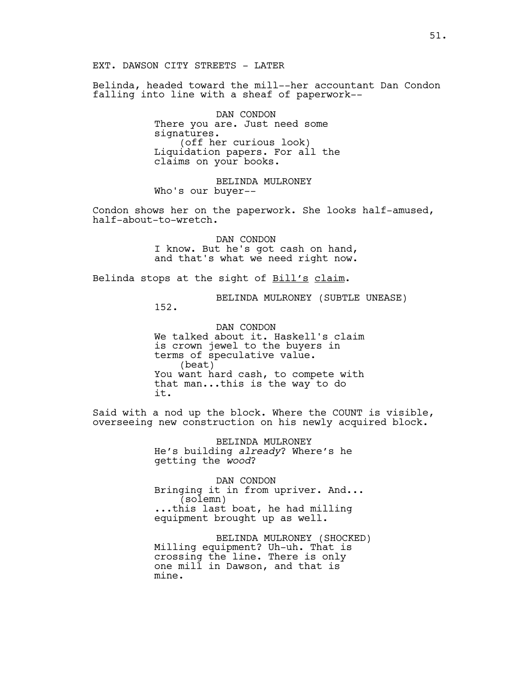# EXT. DAWSON CITY STREETS - LATER

Belinda, headed toward the mill--her accountant Dan Condon falling into line with a sheaf of paperwork--

> DAN CONDON There you are. Just need some signatures. (off her curious look) Liquidation papers. For all the claims on your books.

BELINDA MULRONEY Who's our buyer--

Condon shows her on the paperwork. She looks half-amused, half-about-to-wretch.

> DAN CONDON I know. But he's got cash on hand, and that's what we need right now.

Belinda stops at the sight of Bill's claim.

BELINDA MULRONEY (SUBTLE UNEASE)

152.

DAN CONDON We talked about it. Haskell's claim is crown jewel to the buyers in terms of speculative value. (beat) You want hard cash, to compete with that man...this is the way to do it.

Said with a nod up the block. Where the COUNT is visible, overseeing new construction on his newly acquired block.

> BELINDA MULRONEY He's building *already*? Where's he getting the *wood*?

DAN CONDON Bringing it in from upriver. And... (solemn) ...this last boat, he had milling equipment brought up as well.

BELINDA MULRONEY (SHOCKED) Milling equipment? Uh-uh. That is crossing the line. There is only one mill in Dawson, and that is mine.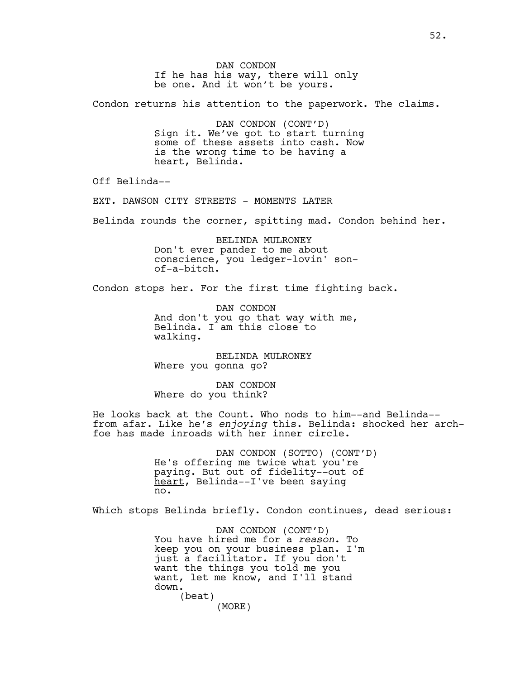DAN CONDON If he has his way, there will only be one. And it won't be yours.

Condon returns his attention to the paperwork. The claims.

DAN CONDON (CONT'D) Sign it. We've got to start turning some of these assets into cash. Now is the wrong time to be having a heart, Belinda.

Off Belinda--

EXT. DAWSON CITY STREETS - MOMENTS LATER

Belinda rounds the corner, spitting mad. Condon behind her.

BELINDA MULRONEY Don't ever pander to me about conscience, you ledger-lovin' sonof-a-bitch.

Condon stops her. For the first time fighting back.

DAN CONDON And don't you go that way with me, Belinda. I am this close to walking.

BELINDA MULRONEY Where you gonna go?

DAN CONDON Where do you think?

He looks back at the Count. Who nods to him--and Belinda- from afar. Like he's *enjoying* this. Belinda: shocked her archfoe has made inroads with her inner circle.

> DAN CONDON (SOTTO) (CONT'D) He's offering me twice what you're paying. But out of fidelity--out of heart, Belinda--I've been saying no.

Which stops Belinda briefly. Condon continues, dead serious:

DAN CONDON (CONT'D) You have hired me for a *reason*. To keep you on your business plan. I'm just a facilitator. If you don't want the things you told me you want, let me know, and I'll stand down. (beat) (MORE)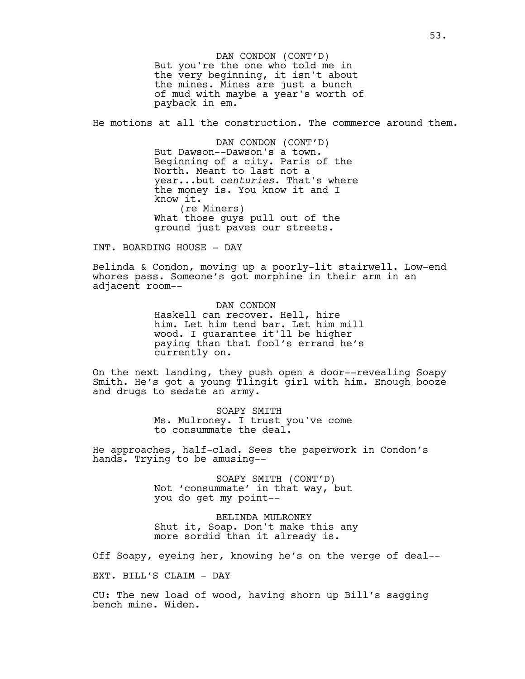But you're the one who told me in the very beginning, it isn't about the mines. Mines are just a bunch of mud with maybe a year's worth of payback in em. DAN CONDON (CONT'D)

He motions at all the construction. The commerce around them.

DAN CONDON (CONT'D) But Dawson--Dawson's a town. Beginning of a city. Paris of the North. Meant to last not a year...but *centuries*. That's where the money is. You know it and I know it. (re Miners) What those guys pull out of the ground just paves our streets.

INT. BOARDING HOUSE - DAY

Belinda & Condon, moving up a poorly-lit stairwell. Low-end whores pass. Someone's got morphine in their arm in an adjacent room--

> DAN CONDON Haskell can recover. Hell, hire him. Let him tend bar. Let him mill wood. I guarantee it'll be higher paying than that fool's errand he's currently on.

On the next landing, they push open a door--revealing Soapy Smith. He's got a young Tlingit girl with him. Enough booze and drugs to sedate an army.

> SOAPY SMITH Ms. Mulroney. I trust you've come to consummate the deal.

He approaches, half-clad. Sees the paperwork in Condon's hands. Trying to be amusing--

> SOAPY SMITH (CONT'D) Not 'consummate' in that way, but you do get my point--

BELINDA MULRONEY Shut it, Soap. Don't make this any more sordid than it already is.

Off Soapy, eyeing her, knowing he's on the verge of deal--

EXT. BILL'S CLAIM - DAY

CU: The new load of wood, having shorn up Bill's sagging bench mine. Widen.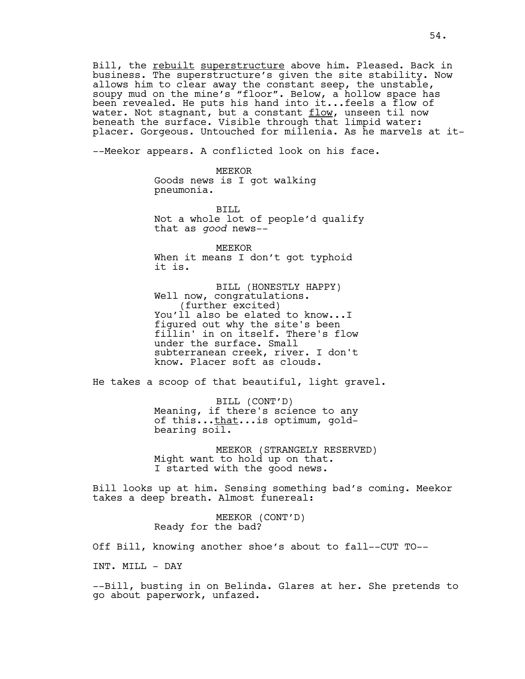Bill, the rebuilt superstructure above him. Pleased. Back in business. The superstructure's given the site stability. Now allows him to clear away the constant seep, the unstable, soupy mud on the mine's "floor". Below, a hollow space has been revealed. He puts his hand into it...feels a flow of water. Not stagnant, but a constant <u>flow</u>, unseen til now beneath the surface. Visible through that limpid water: placer. Gorgeous. Untouched for millenia. As he marvels at it-

--Meekor appears. A conflicted look on his face.

MEEKOR Goods news is I got walking pneumonia.

BILL Not a whole lot of people'd qualify that as *good* news--

MEEKOR When it means I don't got typhoid it is.

BILL (HONESTLY HAPPY) Well now, congratulations. (further excited) You'll also be elated to know...I figured out why the site's been fillin' in on itself. There's flow under the surface. Small subterranean creek, river. I don't know. Placer soft as clouds.

He takes a scoop of that beautiful, light gravel.

BILL (CONT'D) Meaning, if there's science to any of this...that...is optimum, goldbearing soil.

MEEKOR (STRANGELY RESERVED) Might want to hold up on that. I started with the good news.

Bill looks up at him. Sensing something bad's coming. Meekor takes a deep breath. Almost funereal:

> MEEKOR (CONT'D) Ready for the bad?

Off Bill, knowing another shoe's about to fall--CUT TO--

INT. MILL - DAY

--Bill, busting in on Belinda. Glares at her. She pretends to go about paperwork, unfazed.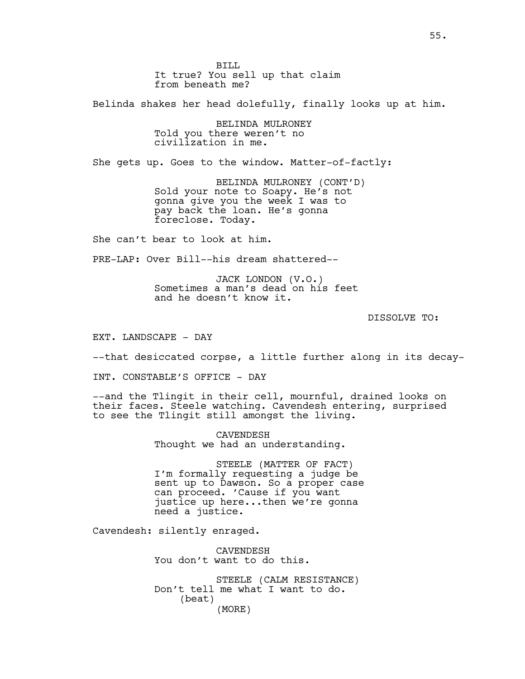BILL It true? You sell up that claim from beneath me?

Belinda shakes her head dolefully, finally looks up at him.

BELINDA MULRONEY Told you there weren't no civilization in me.

She gets up. Goes to the window. Matter-of-factly:

BELINDA MULRONEY (CONT'D) Sold your note to Soapy. He's not gonna give you the week I was to pay back the loan. He's gonna foreclose. Today.

She can't bear to look at him.

PRE-LAP: Over Bill--his dream shattered--

JACK LONDON (V.O.) Sometimes a man's dead on his feet and he doesn't know it.

DISSOLVE TO:

EXT. LANDSCAPE - DAY

--that desiccated corpse, a little further along in its decay-

INT. CONSTABLE'S OFFICE - DAY

--and the Tlingit in their cell, mournful, drained looks on their faces. Steele watching. Cavendesh entering, surprised to see the Tlingit still amongst the living.

> CAVENDESH Thought we had an understanding.

STEELE (MATTER OF FACT) I'm formally requesting a judge be sent up to Dawson. So a proper case can proceed. 'Cause if you want justice up here...then we're gonna need a justice.

Cavendesh: silently enraged.

CAVENDESH You don't want to do this.

STEELE (CALM RESISTANCE) Don't tell me what I want to do. (beat) (MORE)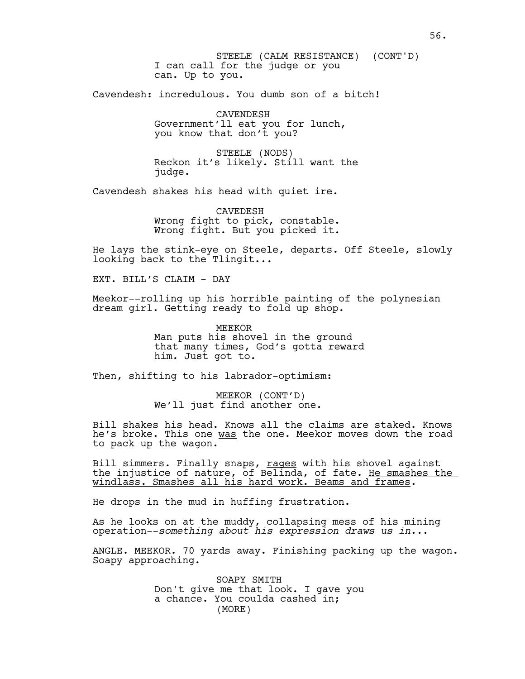I can call for the judge or you can. Up to you. STEELE (CALM RESISTANCE) (CONT'D)

Cavendesh: incredulous. You dumb son of a bitch!

CAVENDESH Government'll eat you for lunch, you know that don't you?

STEELE (NODS) Reckon it's likely. Still want the judge.

Cavendesh shakes his head with quiet ire.

CAVEDESH Wrong fight to pick, constable. Wrong fight. But you picked it.

He lays the stink-eye on Steele, departs. Off Steele, slowly looking back to the Tlingit...

EXT. BILL'S CLAIM - DAY

Meekor--rolling up his horrible painting of the polynesian dream girl. Getting ready to fold up shop.

> MEEKOR Man puts his shovel in the ground that many times, God's gotta reward him. Just got to.

Then, shifting to his labrador-optimism:

MEEKOR (CONT'D) We'll just find another one.

Bill shakes his head. Knows all the claims are staked. Knows he's broke. This one was the one. Meekor moves down the road to pack up the wagon.

Bill simmers. Finally snaps, rages with his shovel against the injustice of nature, of Belinda, of fate. He smashes the windlass. Smashes all his hard work. Beams and frames.

He drops in the mud in huffing frustration.

As he looks on at the muddy, collapsing mess of his mining operation--*something about his expression draws us in*...

ANGLE. MEEKOR. 70 yards away. Finishing packing up the wagon. Soapy approaching.

> SOAPY SMITH Don't give me that look. I gave you a chance. You coulda cashed in; (MORE)